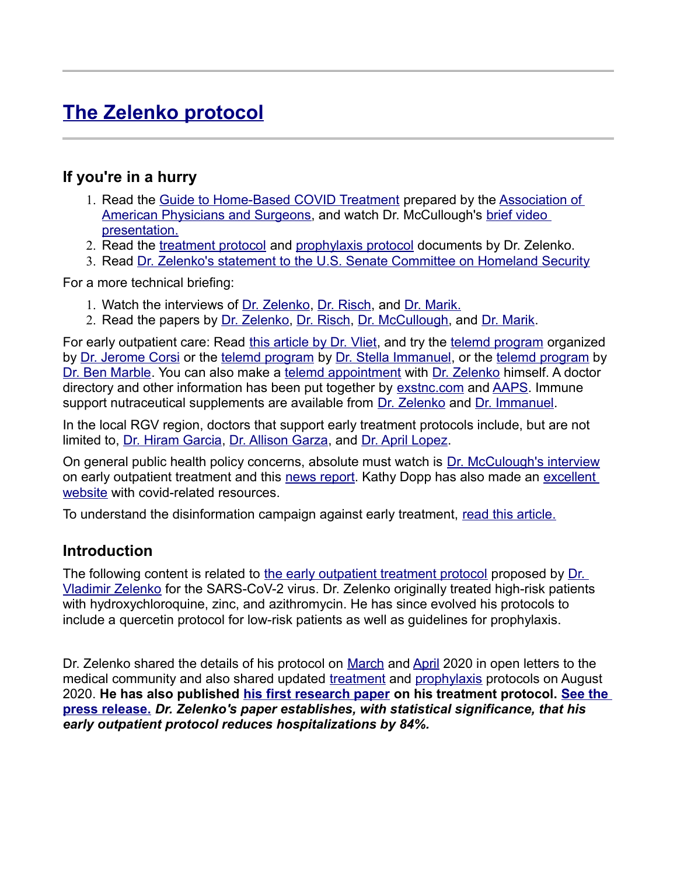# **[The Zelenko protocol](https://www.vladimirzelenkomd.com/)**

#### **If you're in a hurry**

- 1. Read the [Guide to Home-Based COVID Treatment](https://faculty.utrgv.edu/eleftherios.gkioulekas/zelenko/aaps-Guide-to-Home-Based-Covid-Treatment.pdf) prepared by the [Association of](https://aapsonline.org/covidpatientguide/)  [American Physicians and Surgeons,](https://aapsonline.org/covidpatientguide/) and watch Dr. McCullough's [brief video](https://rumble.com/vay2vx-dr.-mccullough-explains-treatment-protocol.html)  [presentation.](https://rumble.com/vay2vx-dr.-mccullough-explains-treatment-protocol.html)
- 2. Read the [treatment protocol](https://vladimirzelenkomd.com/zelenko-treatment-protocol/) and [prophylaxis protocol](https://vladimirzelenkomd.com/zelenko-prophylaxis-protocol/) documents by Dr. Zelenko.
- 3. Read [Dr. Zelenko's statement to the U.S. Senate Committee on Homeland Security](https://faculty.utrgv.edu/eleftherios.gkioulekas/zelenko/Zelenko-statement-to-Senate-hearing.pdf)

For a more technical briefing:

- 1. Watch the interviews of [Dr. Zelenko,](https://www.bitchute.com/video/YPhe5x1tmYbm/) [Dr. Risch,](https://www.bitchute.com/video/4nx9Oa0fORzB/) and [Dr. Marik.](https://www.bitchute.com/video/BhNmh6FHcDU3/)
- 2. Read the papers by [Dr. Zelenko,](https://doi.org/10.1016/j.ijantimicag.2020.106214) [Dr. Risch,](https://doi.org/10.1093/aje/kwaa093) [Dr. McCullough,](https://rcm.imrpress.com/EN/Y2020/V21/I4/517) and [Dr. Marik.](https://doi.org/10.3389/fimmu.2020.01451)

For early outpatient care: Read [this article by Dr. Vliet,](https://aapsonline.org/surviving-covid-19-a-new-model-to-stop-deaths-of-lives-and-businesses/) and try the [telemd program](https://speakwithanmd.com/corsination) organized by [Dr. Jerome Corsi](https://corsination.com/covid-19/) or the [telemd program](https://myfreedoctor.com/) by [Dr. Stella Immanuel,](https://rehobothmedicalcenter.com/) or the telemd program by [Dr. Ben Marble.](https://weartv.com/news/local/gulf-breeze-doctor-creates-free-telemedicine-website-during-covid-19-pandemic) You can also make a [telemd appointment](https://standoutglobal.com/dr-vladimir-zelenko-telemedicine-consultation/) with [Dr. Zelenko](https://www.vladimirzelenkomd.com/) himself. A doctor directory and other information has been put together by [exstnc.com](https://www.exstnc.com/) and [AAPS.](https://c19protocols.com/physicians-facilities-offering-early-treatment/) Immune support nutraceutical supplements are available from [Dr. Zelenko](https://zstack.vladimirzelenkomd.com/) and [Dr. Immanuel.](https://frontlinemds.com/covid19-supplements-covidvites/)

In the local RGV region, doctors that support early treatment protocols include, but are not limited to, [Dr. Hiram Garcia,](https://www.healthgrades.com/physician/dr-hiram-garcia-x95j3) [Dr. Allison Garza,](https://www.dralisongarza.net/) and [Dr. April Lopez.](https://www.lopezfamilyclinic.com/)

On general public health policy concerns, absolute must watch is [Dr. McCulough's interview](https://brandnewtube.com/v/MLpQQg) on early outpatient treatment and this [news report.](https://www.lifesitenews.com/news/tens-of-thousands-of-lives-could-have-been-saved-if-research-on-covid-treatments-hadnt-been-suppressed-doctors-and-economists-say) Kathy Dopp has also made an [excellent](http://www.kathydopp.info/COVIDinfo/COVIDTreatments)  [website](http://www.kathydopp.info/COVIDinfo/COVIDTreatments) with covid-related resources.

To understand the disinformation campaign against early treatment, [read this article.](https://ahrp.org/how-a-false-hydroxychloroquine-narrative-was-created/)

#### **Introduction**

The following content is related to [the early outpatient treatment protocol](https://www.thezelenkoprotocol.com/) proposed by [Dr.](https://www.vladimirzelenkomd.com/)  [Vladimir Zelenko](https://www.vladimirzelenkomd.com/) for the SARS-CoV-2 virus. Dr. Zelenko originally treated high-risk patients with hydroxychloroquine, zinc, and azithromycin. He has since evolved his protocols to include a quercetin protocol for low-risk patients as well as guidelines for prophylaxis.

Dr. Zelenko shared the details of his protocol on [March](https://faculty.utrgv.edu/eleftherios.gkioulekas/zelenko/Vladimir-Zelenko-treatment.pdf) and [April](https://faculty.utrgv.edu/eleftherios.gkioulekas/zelenko/Zelenko-memo-April.pdf) 2020 in open letters to the medical community and also shared updated [treatment](https://faculty.utrgv.edu/eleftherios.gkioulekas/zelenko/Zelenko-memo-August-protocol.pdf) and [prophylaxis](https://faculty.utrgv.edu/eleftherios.gkioulekas/zelenko/Zelenko-memo-August-prophylaxis.pdf) protocols on August 2020. **He has also published [his first research paper](https://doi.org/10.1016/j.ijantimicag.2020.106214) on his treatment protocol. [See the](https://faculty.utrgv.edu/eleftherios.gkioulekas/zelenko/Zelenko-press-release-October.pdf)  [press release.](https://faculty.utrgv.edu/eleftherios.gkioulekas/zelenko/Zelenko-press-release-October.pdf)** *Dr. Zelenko's paper establishes, with statistical significance, that his early outpatient protocol reduces hospitalizations by 84%.*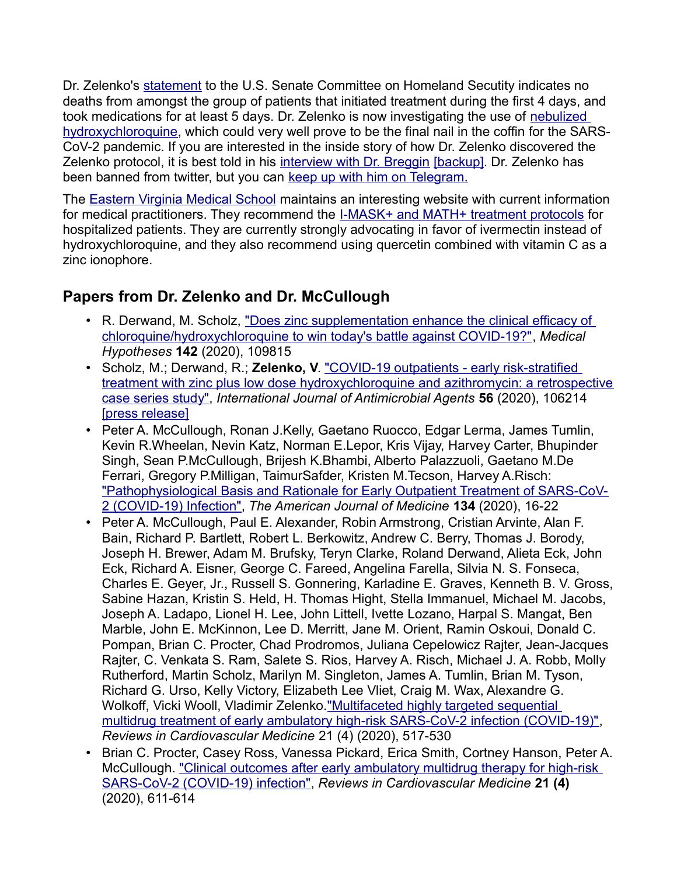Dr. Zelenko's [statement](https://drive.google.com/file/d/1lxMEkBRjcYGklxpPRcw7uEXDkVwATEEd/view) to the U.S. Senate Committee on Homeland Secutity indicates no deaths from amongst the group of patients that initiated treatment during the first 4 days, and took medications for at least 5 days. Dr. Zelenko is now investigating the use of [nebulized](https://docs.google.com/document/d/1WjfphkNfYDxF4MMw7bS9HJpmeGuhwEFuJkUTexjHHOc/edit)  [hydroxychloroquine,](https://docs.google.com/document/d/1WjfphkNfYDxF4MMw7bS9HJpmeGuhwEFuJkUTexjHHOc/edit) which could very well prove to be the final nail in the coffin for the SARS-CoV-2 pandemic. If you are interested in the inside story of how Dr. Zelenko discovered the Zelenko protocol, it is best told in his [interview with Dr. Breggin](https://youtube.com/watch?v=uJ4ibn3ehnw) [\[backup\].](https://newtube.app/user/SlobodanGul/TJo9JKF?u=t) Dr. Zelenko has been banned from twitter, but you can [keep up with him on Telegram.](https://t.me/zelenkoprotocol)

The [Eastern Virginia Medical School](https://www.evms.edu/covid-19/covid_care_for_clinicians/) maintains an interesting website with current information for medical practitioners. They recommend the [I-MASK+ and MATH+ treatment protocols](https://covid19criticalcare.com/) for hospitalized patients. They are currently strongly advocating in favor of ivermectin instead of hydroxychloroquine, and they also recommend using quercetin combined with vitamin C as a zinc ionophore.

# **Papers from Dr. Zelenko and Dr. McCullough**

- R. Derwand, M. Scholz, "Does zinc supplementation enhance the clinical efficacy of [chloroquine/hydroxychloroquine to win today's battle against COVID-19?",](https://doi.org/10.1016/j.mehy.2020.109815) *Medical Hypotheses* **142** (2020), 109815
- Scholz, M.; Derwand, R.; **Zelenko, V**. ["COVID-19 outpatients early risk-stratified](https://doi.org/10.1016/j.ijantimicag.2020.106214)  [treatment with zinc plus low dose hydroxychloroquine and azithromycin: a retrospective](https://doi.org/10.1016/j.ijantimicag.2020.106214) [case series study",](https://doi.org/10.1016/j.ijantimicag.2020.106214) *International Journal of Antimicrobial Agents* **56** (2020), 106214 [\[press release\]](https://faculty.utrgv.edu/eleftherios.gkioulekas/zelenko/Zelenko-press-release-October.pdf)
- Peter A. McCullough, Ronan J.Kelly, Gaetano Ruocco, Edgar Lerma, James Tumlin, Kevin R.Wheelan, Nevin Katz, Norman E.Lepor, Kris Vijay, Harvey Carter, Bhupinder Singh, Sean P.McCullough, Brijesh K.Bhambi, Alberto Palazzuoli, Gaetano M.De Ferrari, Gregory P.Milligan, TaimurSafder, Kristen M.Tecson, Harvey A.Risch: ["Pathophysiological Basis and Rationale for Early Outpatient Treatment of SARS-CoV-](https://doi.org/10.1016/j.amjmed.2020.07.003)[2 \(COVID-19\) Infection",](https://doi.org/10.1016/j.amjmed.2020.07.003) *The American Journal of Medicine* **134** (2020), 16-22
- Peter A. McCullough, Paul E. Alexander, Robin Armstrong, Cristian Arvinte, Alan F. Bain, Richard P. Bartlett, Robert L. Berkowitz, Andrew C. Berry, Thomas J. Borody, Joseph H. Brewer, Adam M. Brufsky, Teryn Clarke, Roland Derwand, Alieta Eck, John Eck, Richard A. Eisner, George C. Fareed, Angelina Farella, Silvia N. S. Fonseca, Charles E. Geyer, Jr., Russell S. Gonnering, Karladine E. Graves, Kenneth B. V. Gross, Sabine Hazan, Kristin S. Held, H. Thomas Hight, Stella Immanuel, Michael M. Jacobs, Joseph A. Ladapo, Lionel H. Lee, John Littell, Ivette Lozano, Harpal S. Mangat, Ben Marble, John E. McKinnon, Lee D. Merritt, Jane M. Orient, Ramin Oskoui, Donald C. Pompan, Brian C. Procter, Chad Prodromos, Juliana Cepelowicz Rajter, Jean-Jacques Rajter, C. Venkata S. Ram, Salete S. Rios, Harvey A. Risch, Michael J. A. Robb, Molly Rutherford, Martin Scholz, Marilyn M. Singleton, James A. Tumlin, Brian M. Tyson, Richard G. Urso, Kelly Victory, Elizabeth Lee Vliet, Craig M. Wax, Alexandre G. Wolkoff, Vicki Wooll, Vladimir Zelenko."Multifaceted highly targeted sequential [multidrug treatment of early ambulatory high-risk SARS-CoV-2 infection \(COVID-19\)",](https://rcm.imrpress.com/EN/Y2020/V21/I4/517) *Reviews in Cardiovascular Medicine* 21 (4) (2020), 517-530
- Brian C. Procter, Casey Ross, Vanessa Pickard, Erica Smith, Cortney Hanson, Peter A. McCullough. ["Clinical outcomes after early ambulatory multidrug therapy for high-risk](https://rcm.imrpress.com/EN/10.31083/j.rcm.2020.04.260)  [SARS-CoV-2 \(COVID-19\) infection",](https://rcm.imrpress.com/EN/10.31083/j.rcm.2020.04.260) *Reviews in Cardiovascular Medicine* **21 (4)** (2020), 611-614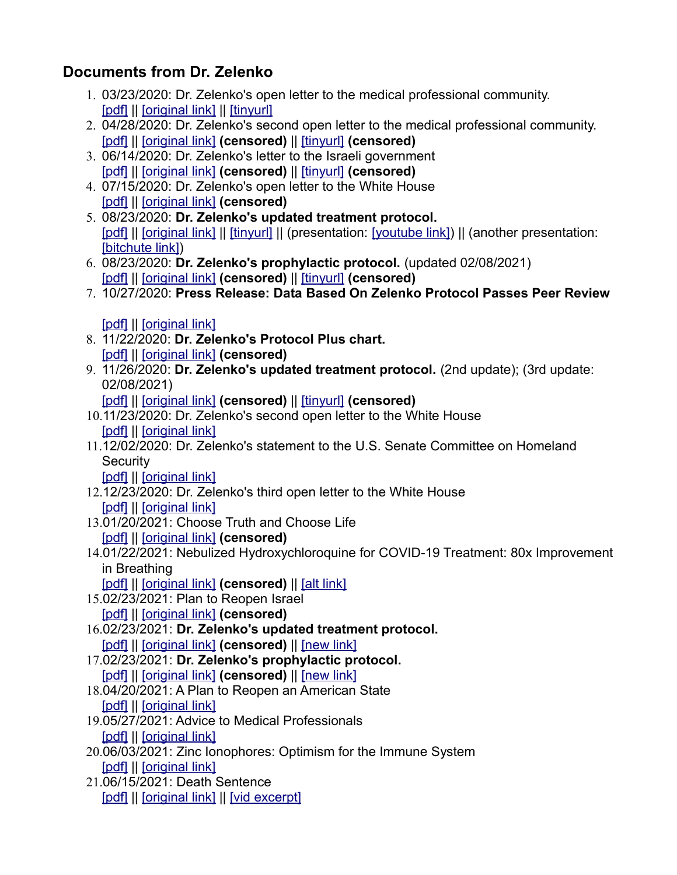# **Documents from Dr. Zelenko**

- 1. 03/23/2020: Dr. Zelenko's open letter to the medical professional community. [\[pdf\]](https://faculty.utrgv.edu/eleftherios.gkioulekas/zelenko/Vladimir-Zelenko-treatment.pdf) || [\[original link\]](https://docs.google.com/document/d/1SesxgaPnpT6OfCYuaFSwXzDK4cDKMbivoALprcVFj48/mobilebasic) || [\[tinyurl\]](https://tinyurl.com/yx2cxf6q)
- 2. 04/28/2020: Dr. Zelenko's second open letter to the medical professional community. [\[pdf\]](https://faculty.utrgv.edu/eleftherios.gkioulekas/zelenko/Zelenko-memo-April.pdf) || [\[original link\]](https://docs.google.com/document/d/1pjgHlqI-ZuKOziN3txQsN5zz62v3K043pR3DdhEmcos/) **(censored)** || [\[tinyurl\]](https://tinyurl.com/yxk8ssco) **(censored)**
- 3. 06/14/2020: Dr. Zelenko's letter to the Israeli government [\[pdf\]](https://faculty.utrgv.edu/eleftherios.gkioulekas/zelenko/Zelenko-memo-June-Dr-Shemtov-letter.pdf) || [\[original link\]](https://docs.google.com/document/d/1KHgmPaKCQvRL7V9a2ReH0krKmls3SSnsfJzNx-0XHnY/edit) **(censored)** || [\[tinyurl\]](https://tinyurl.com/y4hw7dye) **(censored)**
- 4. 07/15/2020: Dr. Zelenko's open letter to the White House [\[pdf\]](https://faculty.utrgv.edu/eleftherios.gkioulekas/zelenko/Zelenko-memo-July.pdf) || [\[original link\]](https://twitter.com/zev_dr/status/1286013832817770498?s=20) **(censored)**
- 5. 08/23/2020: **Dr. Zelenko's updated treatment protocol.** [\[pdf\]](https://faculty.utrgv.edu/eleftherios.gkioulekas/zelenko/Zelenko-memo-August-protocol.pdf) || [\[original link\]](https://drive.google.com/file/d/1VnBudq0f0dPtsJRZrRt3XiBDZAYvjlTR/view) || [\[tinyurl\]](https://tinyurl.com/y2hrr39r) || (presentation: [\[youtube link\]\)](https://www.youtube.com/watch?v=KxE1_4P9L4Y) || (another presentation: [\[bitchute link\]\)](https://www.bitchute.com/video/gvhjacohi5E1/)
- 6. 08/23/2020: **Dr. Zelenko's prophylactic protocol.** (updated 02/08/2021) [\[pdf\]](https://faculty.utrgv.edu/eleftherios.gkioulekas/zelenko/Zelenko-memo-August-prophylaxis.pdf) || [\[original link\]](https://docs.google.com/document/d/1i7C_6H1Yq0u8lrzmnzt5N1JHg-b5Hb0E3nLixedgwpQ/preview?pru=AAABdEFtqJ8*mqPEWUG390ekXBifWSnfUg) **(censored)** || [\[tinyurl\]](https://tinyurl.com/yxclhvrc) **(censored)**
- 7. 10/27/2020: **Press Release: Data Based On Zelenko Protocol Passes Peer Review**

## [\[pdf\]](https://faculty.utrgv.edu/eleftherios.gkioulekas/zelenko/Zelenko-press-release-October.pdf) || [\[original link\]](https://docs.google.com/document/d/1lkkd04rtWrHQTZ0iyihzYG3K_VPY7rI-VSkaGQ8T-j8/edit#heading=h.9xpwmm8c5h6i)

- 8. 11/22/2020: **Dr. Zelenko's Protocol Plus chart.** [\[pdf\]](https://faculty.utrgv.edu/eleftherios.gkioulekas/zelenko/Zelenko-memo-November-protocol.pdf) || [\[original link\]](https://twitter.com/zev_dr/status/1330624554646056965) **(censored)**
- 9. 11/26/2020: **Dr. Zelenko's updated treatment protocol.** (2nd update); (3rd update: 02/08/2021)
	- [\[pdf\]](https://faculty.utrgv.edu/eleftherios.gkioulekas/zelenko/Zelenko-memo-November-updated-protocol.pdf) || [\[original link\]](https://docs.google.com/document/d/1TaRDwXMhQHSMsgrs9TFBclHjPHerXMuB87DUXmcAvwg/edit) **(censored)** || [\[tinyurl\]](https://tinyurl.com/y3n7z3g2) **(censored)**
- 10.11/23/2020: Dr. Zelenko's second open letter to the White House [\[pdf\]](https://faculty.utrgv.edu/eleftherios.gkioulekas/zelenko/Zelenko-2nd-letter-to-potus.pdf) || [\[original link\]](https://docs.google.com/document/d/190obP8Wt02YaCQfp0HBrFNqRmOnWm-uTHgeFw1Yi6U8/edit)
- 11.12/02/2020: Dr. Zelenko's statement to the U.S. Senate Committee on Homeland **Security**

[\[pdf\]](https://faculty.utrgv.edu/eleftherios.gkioulekas/zelenko/Zelenko-statement-to-Senate-hearing.pdf) || [\[original link\]](https://docs.google.com/document/d/1cOeNjAy0ihuSqL2IeZxFUaZ6BLfhr-kOC-gaEstlZBk/edit)

- 12.12/23/2020: Dr. Zelenko's third open letter to the White House [\[pdf\]](https://faculty.utrgv.edu/eleftherios.gkioulekas/zelenko/Zelenko-3rd-letter-to-potus.pdf) || [\[original link\]](https://docs.google.com/document/d/1sR4t1Q0CQbfdLVk8u-fUx3a2K9IXLWkeXHnwNmMVu5Y/edit)
- 13.01/20/2021: Choose Truth and Choose Life

[\[pdf\]](https://faculty.utrgv.edu/eleftherios.gkioulekas/zelenko/Zelenko-oped-Choose-Life.pdf) || [\[original link\]](https://docs.google.com/document/d/1t0Y8f77xKSTnI8fj3Xt3nmEam5zNkQLBDDQ-_H3dxCw/edit?usp=sharing) **(censored)**

- 14.01/22/2021: Nebulized Hydroxychloroquine for COVID-19 Treatment: 80x Improvement in Breathing
- [\[pdf\]](https://faculty.utrgv.edu/eleftherios.gkioulekas/zelenko/Zelenko-nebulized-hcq.pdf) || [\[original link\]](https://docs.google.com/document/d/1WjfphkNfYDxF4MMw7bS9HJpmeGuhwEFuJkUTexjHHOc/edit) (censored) || [\[alt link\]](https://www.aestheticsadvisor.com/2021/04/nebulized-hydroxychloroquine-for-covid.html?m=1)
- 15.02/23/2021: Plan to Reopen Israel
	- [\[pdf\]](https://faculty.utrgv.edu/eleftherios.gkioulekas/zelenko/Zelenko-02-2021-Plan-to-Reopen-Israel.pdf) || [\[original link\]](https://docs.google.com/document/d/1eCUwW7ngUmQkSHFRZO7coo_CIjrQw1Lfo9Q4TZnxLmY/edit?usp=sharing) **(censored)**
- 16.02/23/2021: **Dr. Zelenko's updated treatment protocol.**
	- [\[pdf\]](https://faculty.utrgv.edu/eleftherios.gkioulekas/zelenko/Zelenko-02-2021-treatment.pdf) || [\[original link\]](https://docs.google.com/document/d/1TaRDwXMhQHSMsgrs9TFBclHjPHerXMuB87DUXmcAvwg/edit) **(censored)** || [\[new link\]](https://docs.google.com/document/d/1KPhMTBfLkaG-W6KI-D0J6f2kfcQI0D2MKtLNBUd_mTc/edit)
- 17.02/23/2021: **Dr. Zelenko's prophylactic protocol.** [\[pdf\]](https://faculty.utrgv.edu/eleftherios.gkioulekas/zelenko/Zelenko-02-2021-prophylaxis.pdf) || [\[original link\]](https://docs.google.com/document/d/1i7C_6H1Yq0u8lrzmnzt5N1JHg-b5Hb0E3nLixedgwpQ/) **(censored)** || [\[new link\]](https://docs.google.com/document/d/1WWgHAGwdMy4MWFJtlubnx_R1wIeAs1YY7HCO8FPHiFw/edit)
- 18.04/20/2021: A Plan to Reopen an American State [\[pdf\]](https://faculty.utrgv.edu/eleftherios.gkioulekas/zelenko/Zelenko-A-Plan-to-Reopen-An-American-State.pdf) || [\[original link\]](https://docs.google.com/document/d/1A1EVE_ceDJ8BPeT0AulqfbBoGD9S7Mke0vH03Cwa4dU/edit)
- 
- 19.05/27/2021: Advice to Medical Professionals [\[pdf\]](https://faculty.utrgv.edu/eleftherios.gkioulekas/zelenko/Zelenko-2021-05-Advice-to-Medical-Professionals.pdf) || [\[original link\]](https://docs.google.com/document/d/12Lg3bNUYFxBrPrzXiEmQnbpihav1JHKYlhezCEo6hy0/edit)
- 20.06/03/2021: Zinc Ionophores: Optimism for the Immune System [\[pdf\]](https://faculty.utrgv.edu/eleftherios.gkioulekas/zelenko/Zelenko-Z-Stack-Whitepaper.pdf) || [\[original link\]](https://docs.google.com/document/d/1CBYLPbxzf0vgi6IRg5Ay6kGwAYX3uVjGS8n0SzQbSAs/edit)
- 21.06/15/2021: Death Sentence [\[pdf\]](https://faculty.utrgv.edu/eleftherios.gkioulekas/zelenko/Zelenko-06-2021-The-Death-Sentence.pdf) || [\[original link\]](https://docs.google.com/document/d/1-5-F00SWeqxW7CPT2Ux4l0-MIdOfOQUo84-pMYH3plA/edit) || [\[vid excerpt\]](https://www.ourfreedomtube.com/v/daPrbu)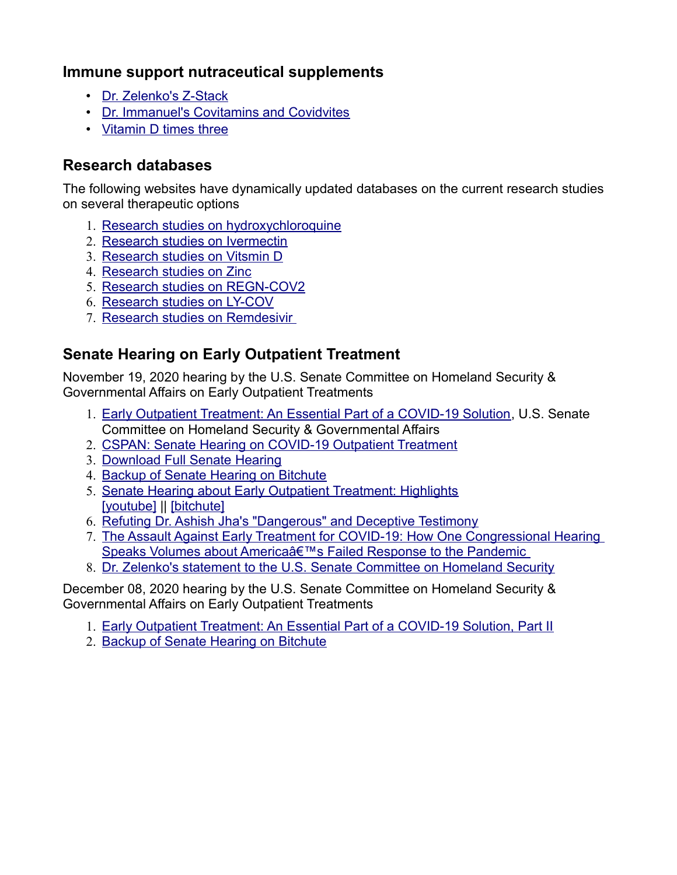#### **Immune support nutraceutical supplements**

- [Dr. Zelenko's Z-Stack](https://zstacklife.com/)
- [Dr. Immanuel's Covitamins and Covidvites](https://frontlinemds.com/covid19-supplements-covidvites/)
- [Vitamin D times three](https://dvelopimmunity.com/products/vitamin-d-times-three?)

#### **Research databases**

The following websites have dynamically updated databases on the current research studies on several therapeutic options

- 1. [Research studies on hydroxychloroquine](https://c19study.com/)
- 2. [Research studies on Ivermectin](https://c19ivermectin.com/)
- 3. [Research studies on Vitsmin D](https://c19vitamind.com/)
- 4. [Research studies on Zinc](https://c19zinc.com/)
- 5. [Research studies on REGN-COV2](https://c19regn.com/)
- 6. [Research studies on LY-COV](https://c19ly.com/)
- 7. [Research studies on Remdesivir](https://c19rmd.com/)

## **Senate Hearing on Early Outpatient Treatment**

November 19, 2020 hearing by the U.S. Senate Committee on Homeland Security & Governmental Affairs on Early Outpatient Treatments

- 1. [Early Outpatient Treatment: An Essential Part of a COVID-19 Solution,](https://www.hsgac.senate.gov/hearings/early-outpatient-treatment-an-essential-part-of-a-covid-19-solution) U.S. Senate Committee on Homeland Security & Governmental Affairs
- 2. [CSPAN: Senate Hearing on COVID-19 Outpatient Treatment](https://www.c-span.org/video/?478159-1/senate-hearing-covid-19-outpatient-treatment)
- 3. [Download Full Senate Hearing](https://drive.google.com/file/d/1rYDPUZCSWPzjekZHsCYAZxVLo_2Aqysf/view?usp=sharing)
- 4. [Backup of Senate Hearing on Bitchute](https://www.bitchute.com/video/fRytjxxzGUn6/)
- 5. [Senate Hearing about Early Outpatient Treatment: Highlights](https://covexit.com/live-senate-hearing-about-early-outpatient-treatment/) [\[youtube\]](https://www.youtube.com/watch?v=T_uaf7qavmw) || [\[bitchute\]](https://www.bitchute.com/video/NkLLY47cFXhV/)
- 6. [Refuting Dr. Ashish Jha's "Dangerous" and Deceptive Testimony](https://theeconomicstandard.com/refuting-dr-ashish-jhas-dangerous-and-deceptive-testimony/)
- 7. [The Assault Against Early Treatment for COVID-19: How One Congressional Hearing](https://www.thedesertreview.com/opinion/letters_to_editor/the-assault-against-early-treatment-for-covid-19-how-one-congressional-hearing-speaks-volumes-about/article_33425ff2-3593-11eb-b0d2-cf1365831d45.html)  Speaks Volumes about America's Failed Response to the Pandemic
- 8. [Dr. Zelenko's statement to the U.S. Senate Committee on Homeland Security](https://faculty.utrgv.edu/eleftherios.gkioulekas/zelenko/Zelenko-statement-to-Senate-hearing.pdf)

December 08, 2020 hearing by the U.S. Senate Committee on Homeland Security & Governmental Affairs on Early Outpatient Treatments

- 1. [Early Outpatient Treatment: An Essential Part of a COVID-19 Solution, Part II](https://www.hsgac.senate.gov/early-outpatient-treatment-an-essential-part-of-a-covid-19-solution-part-ii)
- 2. [Backup of Senate Hearing on Bitchute](https://www.bitchute.com/video/GB302NEExIyu/)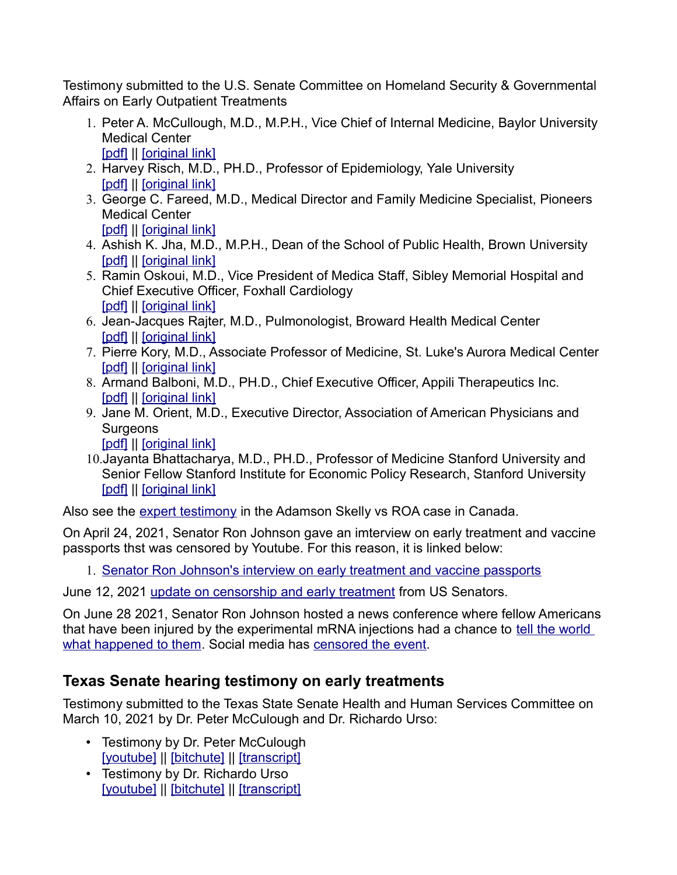Testimony submitted to the U.S. Senate Committee on Homeland Security & Governmental Affairs on Early Outpatient Treatments

- 1. Peter A. McCullough, M.D., M.P.H., Vice Chief of Internal Medicine, Baylor University Medical Center [\[pdf\]](https://faculty.utrgv.edu/eleftherios.gkioulekas/zelenko/senate-hearing/Testimony-McCullough-2020-11-19.pdf) || [\[original link\]](http://www.hsgac.senate.gov/download/testimony-mccullough-2020-11-19)
- 2. Harvey Risch, M.D., PH.D., Professor of Epidemiology, Yale University [\[pdf\]](https://faculty.utrgv.edu/eleftherios.gkioulekas/zelenko/senate-hearing/Testimony-Risch-2020-11-19.pdf) || [\[original link\]](http://www.hsgac.senate.gov/download/testimony-risch-2020-11-19)
- 3. George C. Fareed, M.D., Medical Director and Family Medicine Specialist, Pioneers Medical Center [\[pdf\]](https://faculty.utrgv.edu/eleftherios.gkioulekas/zelenko/senate-hearing/Testimony-Fareed-2020-11-19.pdf) || [\[original link\]](http://www.hsgac.senate.gov/download/testimony-fareed-2020-11-19)
- 4. Ashish K. Jha, M.D., M.P.H., Dean of the School of Public Health, Brown University [\[pdf\]](https://faculty.utrgv.edu/eleftherios.gkioulekas/zelenko/senate-hearing/Testimony-Jha-2020-11-19.pdf) || [\[original link\]](http://www.hsgac.senate.gov/download/testimony-jha-2020-11-19)
- 5. Ramin Oskoui, M.D., Vice President of Medica Staff, Sibley Memorial Hospital and Chief Executive Officer, Foxhall Cardiology [\[pdf\]](https://faculty.utrgv.edu/eleftherios.gkioulekas/zelenko/senate-hearing/Testimony-Oskoui-2020-12-08.pdf) || [\[original link\]](http://www.hsgac.senate.gov/download/oskoui12-08-2020)
- 6. Jean-Jacques Rajter, M.D., Pulmonologist, Broward Health Medical Center [\[pdf\]](https://faculty.utrgv.edu/eleftherios.gkioulekas/zelenko/senate-hearing/Testimony-Rajter-2020-12-08.pdf) || [\[original link\]](http://www.hsgac.senate.gov/download/rajter12-08-2020)
- 7. Pierre Kory, M.D., Associate Professor of Medicine, St. Luke's Aurora Medical Center [\[pdf\]](https://faculty.utrgv.edu/eleftherios.gkioulekas/zelenko/senate-hearing/Testimony-Kory-2020-12-08.pdf) || [\[original link\]](http://www.hsgac.senate.gov/download/kory12-08-2020)
- 8. Armand Balboni, M.D., PH.D., Chief Executive Officer, Appili Therapeutics Inc. [\[pdf\]](https://faculty.utrgv.edu/eleftherios.gkioulekas/zelenko/senate-hearing/Testimony-Balboni-2020-12-08.pdf) || [\[original link\]](http://www.hsgac.senate.gov/download/balboni12-08-2020)
- 9. Jane M. Orient, M.D., Executive Director, Association of American Physicians and **Surgeons**

[\[pdf\]](https://faculty.utrgv.edu/eleftherios.gkioulekas/zelenko/senate-hearing/Testimony-Orient-2020-12-08.pdf) || [\[original link\]](http://www.hsgac.senate.gov/download/orient12-08-2020)

10.Jayanta Bhattacharya, M.D., PH.D., Professor of Medicine Stanford University and Senior Fellow Stanford Institute for Economic Policy Research, Stanford University [\[pdf\]](https://faculty.utrgv.edu/eleftherios.gkioulekas/zelenko/senate-hearing/Bhattacharya12-08-2020.pdf) || [\[original link\]](http://www.hsgac.senate.gov/download/bhattacharya12-08-2020)

Also see the [expert testimony](https://weareallessential.ca/adamson_vs_roa/) in the Adamson Skelly vs ROA case in Canada.

On April 24, 2021, Senator Ron Johnson gave an imterview on early treatment and vaccine passports thst was censored by Youtube. For this reason, it is linked below:

1. [Senator Ron Johnson's interview on early treatment and vaccine passports](https://rumble.com/vg0ozp-government-should-be-opposed-to-vaccine-passportsl.-a-conversation-with-u.s.html)

June 12, 2021 [update on censorship and early treatment](https://rumble.com/vifrwz-12th-june-us-senate.-you-must-watch-and-share..html) from US Senators.

On June 28 2021, Senator Ron Johnson hosted a news conference where fellow Americans that have been injured by the experimental mRNA injections had a chance to [tell the world](https://rumble.com/vj79qt-press-conference-with-families-speaking-out-about-adverse-vaccine-reactions.html)  [what happened to them.](https://rumble.com/vj79qt-press-conference-with-families-speaking-out-about-adverse-vaccine-reactions.html) Social media has [censored the event.](https://thefederalist.com/2021/06/29/twitter-censors-video-of-mother-describing-daughters-covid-19-vaccine-side-effects/)

## **Texas Senate hearing testimony on early treatments**

Testimony submitted to the Texas State Senate Health and Human Services Committee on March 10, 2021 by Dr. Peter McCulough and Dr. Richardo Urso:

- Testimony by Dr. Peter McCulough [\[youtube\]](https://www.youtube.com/watch?v=QAHi3lX3oGM) || [\[bitchute\]](https://www.bitchute.com/video/5hvjiZ9T1XEH/) || [\[transcript\]](https://www.jennifermargulis.net/peter-mccullough-md-compassion-crisis-in-medicine/)
- Testimony by Dr. Richardo Urso [\[youtube\]](https://www.youtube.com/watch?v=d8o58HB8uYE) || [\[bitchute\]](https://www.bitchute.com/video/eQvVW5e6dhtj/) || [\[transcript\]](https://dryburgh.com/richard-urso-md-needless-deaths-youtube-censorship/)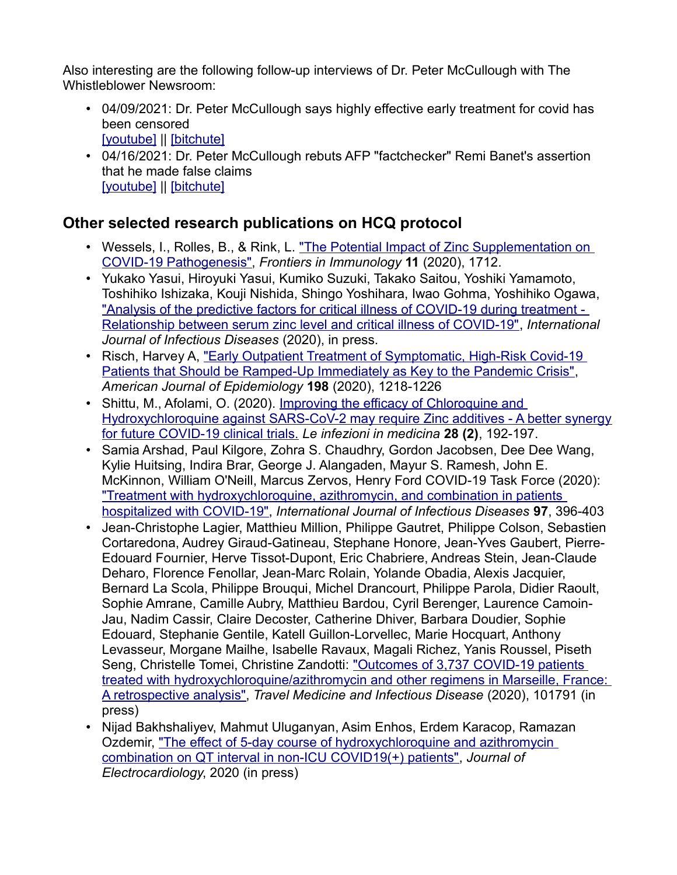Also interesting are the following follow-up interviews of Dr. Peter McCullough with The Whistleblower Newsroom:

- 04/09/2021: Dr. Peter McCullough says highly effective early treatment for covid has been censored [\[youtube\]](https://www.youtube.com/watch?v=yQVxSyhJUAo) || [\[bitchute\]](https://www.bitchute.com/video/9qvcNzevHFXD/)
- 04/16/2021: Dr. Peter McCullough rebuts AFP "factchecker" Remi Banet's assertion that he made false claims [\[youtube\]](https://www.youtube.com/watch?v=pdY-7Scf6qE) || [\[bitchute\]](https://www.bitchute.com/video/CDIeAg3skPQ8/)

#### **Other selected research publications on HCQ protocol**

- Wessels, I., Rolles, B., & Rink, L. "The Potential Impact of Zinc Supplementation on [COVID-19 Pathogenesis",](https://doi.org/10.3389/fimmu.2020.01712) *Frontiers in Immunology* **11** (2020), 1712.
- Yukako Yasui, Hiroyuki Yasui, Kumiko Suzuki, Takako Saitou, Yoshiki Yamamoto, Toshihiko Ishizaka, Kouji Nishida, Shingo Yoshihara, Iwao Gohma, Yoshihiko Ogawa, "Analysis of the predictive factors for critical illness of COVID-19 during treatment -[Relationship between serum zinc level and critical illness of COVID-19",](https://doi.org/10.1016/j.ijid.2020.09.008) *International Journal of Infectious Diseases* (2020), in press.
- Risch, Harvey A, "Early Outpatient Treatment of Symptomatic, High-Risk Covid-19 [Patients that Should be Ramped-Up Immediately as Key to the Pandemic Crisis",](https://doi.org/10.1093/aje/kwaa093) *American Journal of Epidemiology* **198** (2020), 1218-1226
- Shittu, M., Afolami, O. (2020). [Improving the efficacy of Chloroquine and](https://www.infezmed.it/media/journal/Vol_28_2_2020_9.pdf)  [Hydroxychloroquine against SARS-CoV-2 may require Zinc additives - A better synergy](https://www.infezmed.it/media/journal/Vol_28_2_2020_9.pdf) [for future COVID-19 clinical trials.](https://www.infezmed.it/media/journal/Vol_28_2_2020_9.pdf) *Le infezioni in medicina* **28 (2)**, 192-197.
- Samia Arshad, Paul Kilgore, Zohra S. Chaudhry, Gordon Jacobsen, Dee Dee Wang, Kylie Huitsing, Indira Brar, George J. Alangaden, Mayur S. Ramesh, John E. McKinnon, William O'Neill, Marcus Zervos, Henry Ford COVID-19 Task Force (2020): ["Treatment with hydroxychloroquine, azithromycin, and combination in patients](https://doi.org/10.1016/j.ijid.2020.06.099)  [hospitalized with COVID-19",](https://doi.org/10.1016/j.ijid.2020.06.099) *International Journal of Infectious Diseases* **97**, 396-403
- Jean-Christophe Lagier, Matthieu Million, Philippe Gautret, Philippe Colson, Sebastien Cortaredona, Audrey Giraud-Gatineau, Stephane Honore, Jean-Yves Gaubert, Pierre-Edouard Fournier, Herve Tissot-Dupont, Eric Chabriere, Andreas Stein, Jean-Claude Deharo, Florence Fenollar, Jean-Marc Rolain, Yolande Obadia, Alexis Jacquier, Bernard La Scola, Philippe Brouqui, Michel Drancourt, Philippe Parola, Didier Raoult, Sophie Amrane, Camille Aubry, Matthieu Bardou, Cyril Berenger, Laurence Camoin-Jau, Nadim Cassir, Claire Decoster, Catherine Dhiver, Barbara Doudier, Sophie Edouard, Stephanie Gentile, Katell Guillon-Lorvellec, Marie Hocquart, Anthony Levasseur, Morgane Mailhe, Isabelle Ravaux, Magali Richez, Yanis Roussel, Piseth Seng, Christelle Tomei, Christine Zandotti: ["Outcomes of 3,737 COVID-19 patients](https://doi.org/10.1016/j.tmaid.2020.101791)  [treated with hydroxychloroquine/azithromycin and other regimens in Marseille, France:](https://doi.org/10.1016/j.tmaid.2020.101791)  [A retrospective analysis",](https://doi.org/10.1016/j.tmaid.2020.101791) *Travel Medicine and Infectious Disease* (2020), 101791 (in press)
- Nijad Bakhshaliyev, Mahmut Uluganyan, Asim Enhos, Erdem Karacop, Ramazan Ozdemir, ["The effect of 5-day course of hydroxychloroquine and azithromycin](https://www.sciencedirect.com/science/article/pii/S0022073620305288)  [combination on QT interval in non-ICU COVID19\(+\) patients",](https://www.sciencedirect.com/science/article/pii/S0022073620305288) *Journal of Electrocardiology*, 2020 (in press)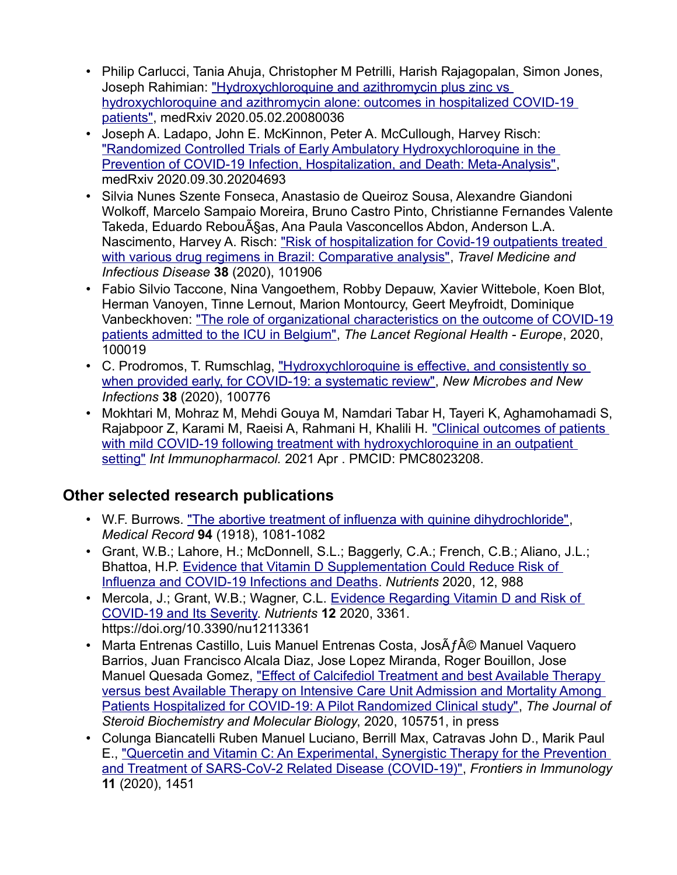- Philip Carlucci, Tania Ahuja, Christopher M Petrilli, Harish Rajagopalan, Simon Jones, Joseph Rahimian: "Hydroxychloroquine and azithromycin plus zinc vs hydroxychloroquine and azithromycin alone: outcomes in hospitalized COVID-19 [patients",](https://doi.org/10.1101/2020.05.02.20080036) medRxiv 2020.05.02.20080036
- Joseph A. Ladapo, John E. McKinnon, Peter A. McCullough, Harvey Risch: ["Randomized Controlled Trials of Early Ambulatory Hydroxychloroquine in the](https://doi.org/10.1101/2020.09.30.20204693)  [Prevention of COVID-19 Infection, Hospitalization, and Death: Meta-Analysis",](https://doi.org/10.1101/2020.09.30.20204693) medRxiv 2020.09.30.20204693
- Silvia Nunes Szente Fonseca, Anastasio de Queiroz Sousa, Alexandre Giandoni Wolkoff, Marcelo Sampaio Moreira, Bruno Castro Pinto, Christianne Fernandes Valente Takeda, Eduardo Rebouças, Ana Paula Vasconcellos Abdon, Anderson L.A. Nascimento, Harvey A. Risch: "Risk of hospitalization for Covid-19 outpatients treated [with various drug regimens in Brazil: Comparative analysis",](https://doi.org/10.1016/j.tmaid.2020.101906) *Travel Medicine and Infectious Disease* **38** (2020), 101906
- Fabio Silvio Taccone, Nina Vangoethem, Robby Depauw, Xavier Wittebole, Koen Blot, Herman Vanoyen, Tinne Lernout, Marion Montourcy, Geert Meyfroidt, Dominique Vanbeckhoven: ["The role of organizational characteristics on the outcome of COVID-19](https://doi.org/10.1016/j.lanepe.2020.100019) [patients admitted to the ICU in Belgium",](https://doi.org/10.1016/j.lanepe.2020.100019) *The Lancet Regional Health - Europe*, 2020, 100019
- C. Prodromos, T. Rumschlag, "Hydroxychloroquine is effective, and consistently so [when provided early, for COVID-19: a systematic review",](https://doi.org/10.1016/j.nmni.2020.100776) *New Microbes and New Infections* **38** (2020), 100776
- Mokhtari M, Mohraz M, Mehdi Gouya M, Namdari Tabar H, Tayeri K, Aghamohamadi S, Rajabpoor Z, Karami M, Raeisi A, Rahmani H, Khalili H. ["Clinical outcomes of patients](https://europepmc.org/article/PMC/PMC8023208)  [with mild COVID-19 following treatment with hydroxychloroquine in an outpatient](https://europepmc.org/article/PMC/PMC8023208)  [setting"](https://europepmc.org/article/PMC/PMC8023208) *Int Immunopharmacol.* 2021 Apr . PMCID: PMC8023208.

## **Other selected research publications**

- W.F. Burrows. ["The abortive treatment of influenza with quinine dihydrochloride",](https://books.google.com/books?id=v5xAAQAAMAAJ&pg=PA1081&lpg=PA1081&dq=The+abortive+treatment+of+influenza+with+quinine+dihydrochloride&source=bl&ots=hxQF9IWha2&sig=ACfU3U2_Lluh0ppx628CQAY7GgQyzSoFuw&hl=en&sa=X&ved=2ahUKEwjLzr_Cm4zxAhUKPK0KHUqDBGkQ6AEwEHoECBAQAw) *Medical Record* **94** (1918), 1081-1082
- Grant, W.B.; Lahore, H.; McDonnell, S.L.; Baggerly, C.A.; French, C.B.; Aliano, J.L.; Bhattoa, H.P. [Evidence that Vitamin D Supplementation Could Reduce Risk of](https://www.mdpi.com/2072-6643/12/4/988)  [Influenza and COVID-19 Infections and Deaths.](https://www.mdpi.com/2072-6643/12/4/988) *Nutrients* 2020, 12, 988
- Mercola, J.; Grant, W.B.; Wagner, C.L. Evidence Regarding Vitamin D and Risk of [COVID-19 and Its Severity.](https://doi.org/10.3390/nu12113361) *Nutrients* **12** 2020, 3361. https://doi.org/10.3390/nu12113361
- Marta Entrenas Castillo, Luis Manuel Entrenas Costa, Jos $\tilde{A}f\hat{A}\circledcirc$  Manuel Vaquero Barrios, Juan Francisco Alcala Diaz, Jose Lopez Miranda, Roger Bouillon, Jose Manuel Quesada Gomez, ["Effect of Calcifediol Treatment and best Available Therapy](https://doi.org/10.1016/j.jsbmb.2020.105751)  [versus best Available Therapy on Intensive Care Unit Admission and Mortality Among](https://doi.org/10.1016/j.jsbmb.2020.105751)  [Patients Hospitalized for COVID-19: A Pilot Randomized Clinical study",](https://doi.org/10.1016/j.jsbmb.2020.105751) *The Journal of Steroid Biochemistry and Molecular Biology*, 2020, 105751, in press
- Colunga Biancatelli Ruben Manuel Luciano, Berrill Max, Catravas John D., Marik Paul E., ["Quercetin and Vitamin C: An Experimental, Synergistic Therapy for the Prevention](https://doi.org/10.3389/fimmu.2020.01451)  [and Treatment of SARS-CoV-2 Related Disease \(COVID-19\)",](https://doi.org/10.3389/fimmu.2020.01451) *Frontiers in Immunology* **11** (2020), 1451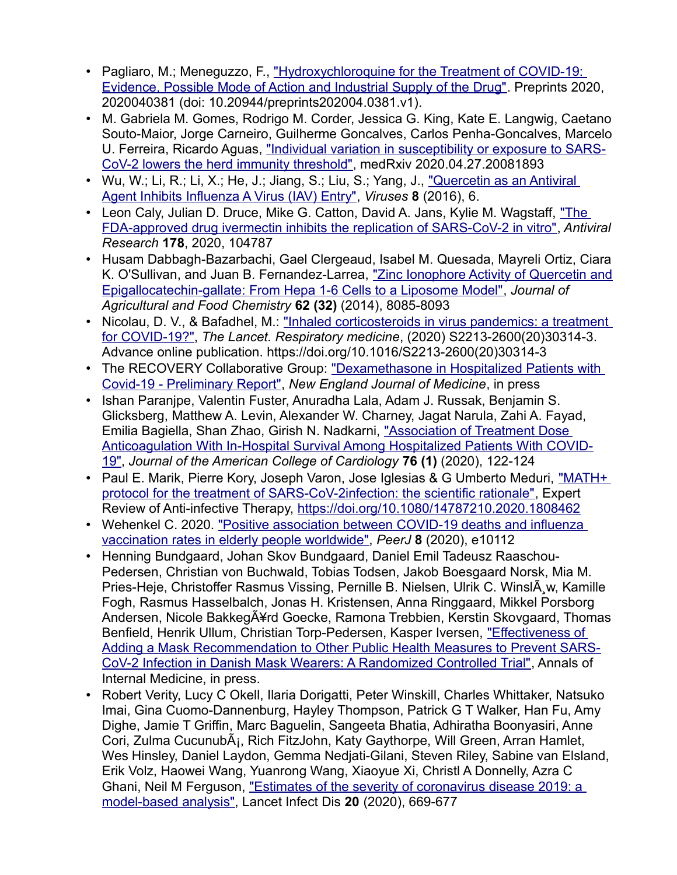- Pagliaro, M.; Meneguzzo, F., ["Hydroxychloroquine for the Treatment of COVID-19:](https://www.preprints.org/manuscript/202004.0381/v1)  [Evidence, Possible Mode of Action and Industrial Supply of the Drug".](https://www.preprints.org/manuscript/202004.0381/v1) Preprints 2020, 2020040381 (doi: 10.20944/preprints202004.0381.v1).
- M. Gabriela M. Gomes, Rodrigo M. Corder, Jessica G. King, Kate E. Langwig, Caetano Souto-Maior, Jorge Carneiro, Guilherme Goncalves, Carlos Penha-Goncalves, Marcelo U. Ferreira, Ricardo Aguas, ["Individual variation in susceptibility or exposure to SARS-](https://doi.org/10.1101/2020.04.27.20081893)[CoV-2 lowers the herd immunity threshold",](https://doi.org/10.1101/2020.04.27.20081893) medRxiv 2020.04.27.20081893
- Wu, W.; Li, R.; Li, X.; He, J.; Jiang, S.; Liu, S.; Yang, J., "Quercetin as an Antiviral [Agent Inhibits Influenza A Virus \(IAV\) Entry",](https://doi.org/10.3390/v8010006) *Viruses* **8** (2016), 6.
- Leon Caly, Julian D. Druce, Mike G. Catton, David A. Jans, Kylie M. Wagstaff, ["The](https://doi.org/10.1016/j.antiviral.2020.104787)  [FDA-approved drug ivermectin inhibits the replication of SARS-CoV-2 in vitro",](https://doi.org/10.1016/j.antiviral.2020.104787) *Antiviral Research* **178**, 2020, 104787
- Husam Dabbagh-Bazarbachi, Gael Clergeaud, Isabel M. Quesada, Mayreli Ortiz, Ciara K. O'Sullivan, and Juan B. Fernandez-Larrea, ["Zinc Ionophore Activity of Quercetin and](https://doi.org/10.1021/jf5014633) [Epigallocatechin-gallate: From Hepa 1-6 Cells to a Liposome Model",](https://doi.org/10.1021/jf5014633) *Journal of Agricultural and Food Chemistry* **62 (32)** (2014), 8085-8093
- Nicolau, D. V., & Bafadhel, M.: "Inhaled corticosteroids in virus pandemics: a treatment [for COVID-19?",](https://doi.org/10.1016/S2213-2600(20)30314-3) *The Lancet. Respiratory medicine*, (2020) S2213-2600(20)30314-3. Advance online publication. https://doi.org/10.1016/S2213-2600(20)30314-3
- The RECOVERY Collaborative Group: "Dexamethasone in Hospitalized Patients with [Covid-19 - Preliminary Report",](https://www.nejm.org/doi/full/10.1056/NEJMoa2021436) *New England Journal of Medicine*, in press
- Ishan Paranjpe, Valentin Fuster, Anuradha Lala, Adam J. Russak, Benjamin S. Glicksberg, Matthew A. Levin, Alexander W. Charney, Jagat Narula, Zahi A. Fayad, Emilia Bagiella, Shan Zhao, Girish N. Nadkarni, ["Association of Treatment Dose](https://www.onlinejacc.org/content/76/1/122)  [Anticoagulation With In-Hospital Survival Among Hospitalized Patients With COVID-](https://www.onlinejacc.org/content/76/1/122)[19",](https://www.onlinejacc.org/content/76/1/122) *Journal of the American College of Cardiology* **76 (1)** (2020), 122-124
- Paul E. Marik, Pierre Kory, Joseph Varon, Jose Iglesias & G Umberto Meduri, ["MATH+](https://covid19criticalcare.com/wp-content/uploads/2020/08/MATH-protocol-for-the-treatment-of-SARS-CoV-2-infection-the-scientific-rationale.pdf)  [protocol for the treatment of SARS-CoV-2infection: the scientific rationale",](https://covid19criticalcare.com/wp-content/uploads/2020/08/MATH-protocol-for-the-treatment-of-SARS-CoV-2-infection-the-scientific-rationale.pdf) Expert Review of Anti-infective Therapy,<https://doi.org/10.1080/14787210.2020.1808462>
- Wehenkel C. 2020. "Positive association between COVID-19 deaths and influenza [vaccination rates in elderly people worldwide",](https://doi.org/10.7717/peerj.10112) *PeerJ* **8** (2020), e10112
- Henning Bundgaard, Johan Skov Bundgaard, Daniel Emil Tadeusz Raaschou-Pedersen, Christian von Buchwald, Tobias Todsen, Jakob Boesgaard Norsk, Mia M. Pries-Heje, Christoffer Rasmus Vissing, Pernille B. Nielsen, Ulrik C. WinslÂ, w, Kamille Fogh, Rasmus Hasselbalch, Jonas H. Kristensen, Anna Ringgaard, Mikkel Porsborg Andersen, Nicole Bakkeg $\tilde{A}$ ¥rd Goecke, Ramona Trebbien, Kerstin Skovgaard, Thomas Benfield, Henrik Ullum, Christian Torp-Pedersen, Kasper Iversen, ["Effectiveness of](https://doi.org/10.7326/M20-6817)  [Adding a Mask Recommendation to Other Public Health Measures to Prevent SARS-](https://doi.org/10.7326/M20-6817)[CoV-2 Infection in Danish Mask Wearers: A Randomized Controlled Trial",](https://doi.org/10.7326/M20-6817) Annals of Internal Medicine, in press.
- Robert Verity, Lucy C Okell, Ilaria Dorigatti, Peter Winskill, Charles Whittaker, Natsuko Imai, Gina Cuomo-Dannenburg, Hayley Thompson, Patrick G T Walker, Han Fu, Amy Dighe, Jamie T Griffin, Marc Baguelin, Sangeeta Bhatia, Adhiratha Boonyasiri, Anne Cori, Zulma CucunubÂ<sub>i</sub>, Rich FitzJohn, Katy Gaythorpe, Will Green, Arran Hamlet, Wes Hinsley, Daniel Laydon, Gemma Nedjati-Gilani, Steven Riley, Sabine van Elsland, Erik Volz, Haowei Wang, Yuanrong Wang, Xiaoyue Xi, Christl A Donnelly, Azra C Ghani, Neil M Ferguson, "Estimates of the severity of coronavirus disease 2019: a [model-based analysis",](https://doi.org/10.1016/S1473-3099(20)30243-7) Lancet Infect Dis **20** (2020), 669-677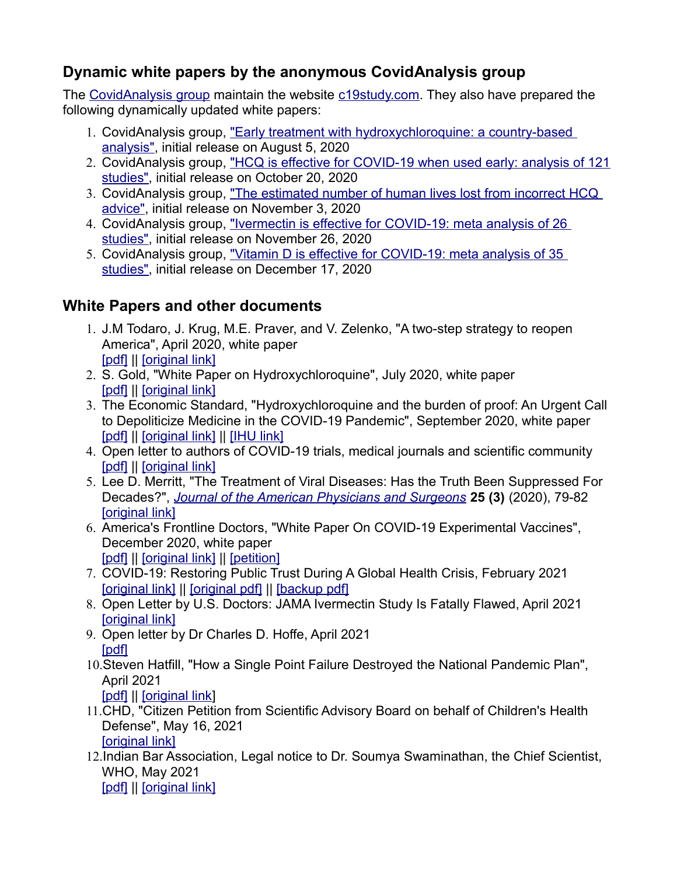# **Dynamic white papers by the anonymous CovidAnalysis group**

The [CovidAnalysis group](https://twitter.com/CovidAnalysis) maintain the website [c19study.com.](https://c19study.com/) They also have prepared the following dynamically updated white papers:

- 1. CovidAnalysis group, "Early treatment with hydroxychloroquine: a country-based [analysis",](https://hcqtrial.com/) initial release on August 5, 2020
- 2. CovidAnalysis group, ["HCQ is effective for COVID-19 when used early: analysis of 121](https://hcqmeta.com/) [studies",](https://hcqmeta.com/) initial release on October 20, 2020
- 3. CovidAnalysis group, ["The estimated number of human lives lost from incorrect HCQ](https://hcqlost.com/)  [advice",](https://hcqlost.com/) initial release on November 3, 2020
- 4. CovidAnalysis group, ["Ivermectin is effective for COVID-19: meta analysis of 26](https://ivmmeta.com/)  [studies",](https://ivmmeta.com/) initial release on November 26, 2020
- 5. CovidAnalysis group, ["Vitamin D is effective for COVID-19: meta analysis of 35](https://vdmeta.com/)  [studies",](https://vdmeta.com/) initial release on December 17, 2020

# **White Papers and other documents**

- 1. J.M Todaro, J. Krug, M.E. Praver, and V. Zelenko, "A two-step strategy to reopen America", April 2020, white paper [\[pdf\]](https://faculty.utrgv.edu/eleftherios.gkioulekas/zelenko/white-paper-reopen-america.pdf) || [\[original link\]](https://docs.google.com/document/u/1/d/e/2PACX-1vT4I4Ls6RAsDqSaKBVIdLPIKFNs7tbWWzZ3eP1NrNltiiZqmUHK-rPDLxeN2qvt0es1S-v6jP29S_T1/pub)
- 2. S. Gold, "White Paper on Hydroxychloroquine", July 2020, white paper [\[pdf\]](https://faculty.utrgv.edu/eleftherios.gkioulekas/zelenko/White-Paper-on-HCQ-2020.pdf) || [\[original link\]](https://drive.google.com/file/d/1hF0vgIGXOA4mut5NauUmSbAtoWH_Kxsn/view?usp=sharing)
- 3. The Economic Standard, "Hydroxychloroquine and the burden of proof: An Urgent Call to Depoliticize Medicine in the COVID-19 Pandemic", September 2020, white paper [\[pdf\]](https://faculty.utrgv.edu/eleftherios.gkioulekas/zelenko/Kass-HCQ-White-Paper-2020.pdf) || [\[original link\]](https://www.mediterranee-infection.com/hydroxychloroquine-and-the-burden-of-proof/) || [\[IHU link\]](https://hcqwhitepaper.com/)
- 4. Open letter to authors of COVID-19 trials, medical journals and scientific community [\[pdf\]](https://faculty.utrgv.edu/eleftherios.gkioulekas/zelenko/OpenLetter-Hydroxy.pdf) || [\[original link\]](https://drive.google.com/file/d/1NZOJ57fM0RTaHD1t_9w2iua7lUJhOgWT/view)
- 5. Lee D. Merritt, "The Treatment of Viral Diseases: Has the Truth Been Suppressed For Decades?", *[Journal of the American Physicians and Surgeons](https://jpands.org/)* **25 (3)** (2020), 79-82 **[\[original link\]](https://jpands.org/vol25no3/merritt.pdf)**
- 6. America's Frontline Doctors, "White Paper On COVID-19 Experimental Vaccines", December 2020, white paper [\[pdf\]](https://faculty.utrgv.edu/eleftherios.gkioulekas/zelenko/afd-paper-on-experimental-vaccines.pdf) || [\[original link\]](https://img1.wsimg.com/blobby/go/99d35b02-a5cb-41e6-ad80-a070f8a5ee17/SMPwhitepaper2.pdf) || [\[petition\]](https://stopmedicaldiscrimination.org/)
- 7. COVID-19: Restoring Public Trust During A Global Health Crisis, February 2021 [\[original link\]](https://www.greenmedinfo.com/blog/covid-19-restoring-public-trust-during-global-health-crisis) || [\[original pdf\]](https://cdn.greenmedinfo.health/sites/default/files/cdn/Position_Paper_v24_FINAL.pdf) || [\[backup pdf\]](https://faculty.utrgv.edu/eleftherios.gkioulekas/zelenko/Position_Paper_v24_FINAL.pdf)
- 8. Open Letter by U.S. Doctors: JAMA Ivermectin Study Is Fatally Flawed, April 2021 [\[original link\]](https://jamaletter.com/)
- 9. Open letter by Dr Charles D. Hoffe, April 2021 [\[pdf\]](https://faculty.utrgv.edu/eleftherios.gkioulekas/zelenko/vcc-open-letter-dr-hoffe-to-dr-henry-april-5-2021.pdf)
- 10.Steven Hatfill, "How a Single Point Failure Destroyed the National Pandemic Plan", April 2021

[\[pdf\]](https://drstevenhatfill.com/wp-content/uploads/2021/04/Single-Point-Failure-Dr-Steven-Hatfill-04-28-2021.pdf) || [\[original link\]](https://drstevenhatfill.com/how-a-single-point-failure-destroyed-the-national-pandemic-plan/)

- 11.CHD, "Citizen Petition from Scientific Advisory Board on behalf of Children's Health Defense", May 16, 2021 [\[original link\]](https://www.regulations.gov/document/FDA-2021-P-0460-0001)
- 12.Indian Bar Association, Legal notice to Dr. Soumya Swaminathan, the Chief Scientist, WHO, May 2021

[\[pdf\]](https://faculty.utrgv.edu/eleftherios.gkioulekas/zelenko/Legal-Notice-to-Dr.-Soumya-Swaminathan_Chief-Scientist-WHO-1.pdf) || [\[original link\]](https://indianbarassociation.in/wp-content/uploads/2021/05/Legal-Notice-to-Dr.-Soumya-Swaminathan_Chief-Scientist-WHO-1.pdf)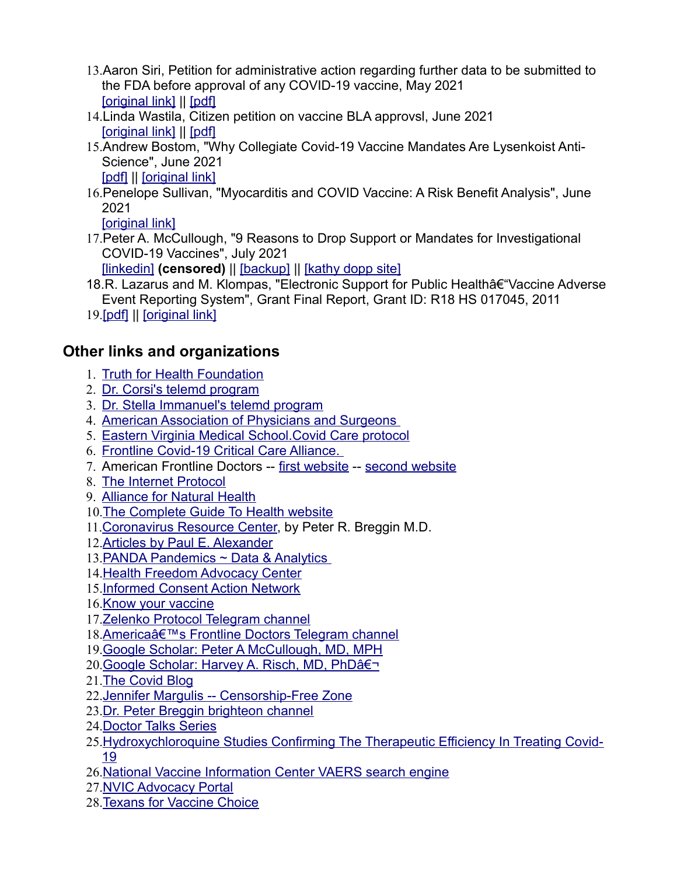- 13.Aaron Siri, Petition for administrative action regarding further data to be submitted to the FDA before approval of any COVID-19 vaccine, May 2021 [\[original link\]](https://www.regulations.gov/document/FDA-2021-P-0529-0001) || [\[pdf\]](https://downloads.regulations.gov/FDA-2021-P-0529-0001/attachment_1.pdf)
- 14.Linda Wastila, Citizen petition on vaccine BLA approvsl, June 2021 [\[original link\]](https://www.regulations.gov/document/FDA-2021-P-0521-0001) || [\[pdf\]](https://downloads.regulations.gov/FDA-2021-P-0521-0001/attachment_1.pdf)
- 15.Andrew Bostom, "Why Collegiate Covid-19 Vaccine Mandates Are Lysenkoist Anti-Science", June 2021 [\[pdf\]](https://faculty.utrgv.edu/eleftherios.gkioulekas/zelenko/Why-Collegiate-Covid-19-Vaccine-Mandates-Are-Lysenkoist.pdf) || [\[original link\]](https://www.andrewbostom.org/wp-content/uploads/2021/06/Why-Collegiate-Covid-19-Vaccine-Mandates-Are-Lysenkoist.pdf)
- 16.Penelope Sullivan, "Myocarditis and COVID Vaccine: A Risk Benefit Analysis", June 2021

[\[original link\]](https://www.jennifermargulis.net/myocarditis-and-covid-vaccine/)

17.Peter A. McCullough, "9 Reasons to Drop Support or Mandates for Investigational COVID-19 Vaccines", July 2021

[\[linkedin\]](https://www.linkedin.com/pulse/9-reasons-drop-support-mandates-investigational-peter-mccullough) **(censored)** || [\[backup\]](https://faculty.utrgv.edu/eleftherios.gkioulekas/zelenko/mcculough-censored-article-on-vaccines.pdf) || [\[kathy dopp site\]](http://www.kathydopp.info/COVIDinfo/Vaccines/9ReasonsToDropCOVIDVaccineMandates)

- 18.R. Lazarus and M. Klompas, "Electronic Support for Public Health†"Vaccine Adverse Event Reporting System", Grant Final Report, Grant ID: R18 HS 017045, 2011
- 19.[\[pdf\]](https://faculty.utrgv.edu/eleftherios.gkioulekas/zelenko/lazarus-final-report-2011.pdf) || [\[original link\]](https://digital.ahrq.gov/sites/default/files/docs/publication/r18hs017045-lazarus-final-report-2011.pdf)

# **Other links and organizations**

- 1. [Truth for Health Foundation](https://www.truthforhealth.org/)
- 2. [Dr. Corsi's telemd program](https://speakwithanmd.com/corsination)
- 3. [Dr. Stella Immanuel's telemd program](https://frontlinemds.com/)
- 4. [American Association of Physicians and Surgeons](https://aapsonline.org/)
- 5. [Eastern Virginia Medical School.Covid Care protocol](https://www.evms.edu/covid-19/covid_care_for_clinicians/)
- 6. [Frontline Covid-19 Critical Care Alliance.](https://covid19criticalcare.com/)
- 7. American Frontline Doctors -- [first website](https://americasfrontlinedoctorsummit.com/) -- [second website](https://americasfrontlinedoctors.us/index.html)
- 8. [The Internet Protocol](https://internetprotocol.co/articles/covid-19/)
- 9. [Alliance for Natural Health](https://anh-usa.org/)
- 10.[The Complete Guide To Health website](https://www.thecompleteguidetohealth.com/the-bcp-protocol.html)
- 11.[Coronavirus Resource Center,](https://breggin.com/coronavirus-resource-center/) by Peter R. Breggin M.D.
- 12.[Articles by Paul E. Alexander](https://www.aier.org/staffs/paul-e-alexander/)
- 13.[PANDA Pandemics ~ Data & Analytics](https://www.pandata.org/)
- 14.[Health Freedom Advocacy Center](https://standforhealthfreedom.com/)
- 15.[Informed Consent Action Network](https://www.icandecide.org/)
- 16.[Know your vaccine](https://www.knowyourvaccine.org/)
- 17.[Zelenko Protocol Telegram channel](https://t.me/zelenkoprotocol)
- 18.[America's Frontline Doctors Telegram channel](https://t.me/AmericasFrontlineDoctors)
- 19.[Google Scholar: Peter A McCullough, MD, MPH](https://scholar.google.com/citations?user=LzqEaOkAAAAJ&hl=en)
- 20. [Google Scholar: Harvey A. Risch, MD, PhD‬](http://scholar.google.com/citations?user=E1US9ucAAAAJ&hl=en)
- 21.[The Covid Blog](https://thecovidblog.com/)
- 22.[Jennifer Margulis -- Censorship-Free Zone](https://censorshipfreezone.net/)
- 23.[Dr. Peter Breggin brighteon channel](https://www.brighteon.com/channels/peterbregginmd)
- 24.[Doctor Talks Series](https://www.whatsupcanada.org/doctor-talks-series/)
- 25.[Hydroxychloroquine Studies Confirming The Therapeutic Efficiency In Treating Covid-](http://hydroxystudy.info/)[19](http://hydroxystudy.info/)
- 26.[National Vaccine Information Center VAERS search engine](https://medalerts.org/)
- 27.[NVIC Advocacy Portal](https://nvicadvocacy.org/members/Home.aspx)
- 28.[Texans for Vaccine Choice](https://www.texansforvaccinechoice.com/)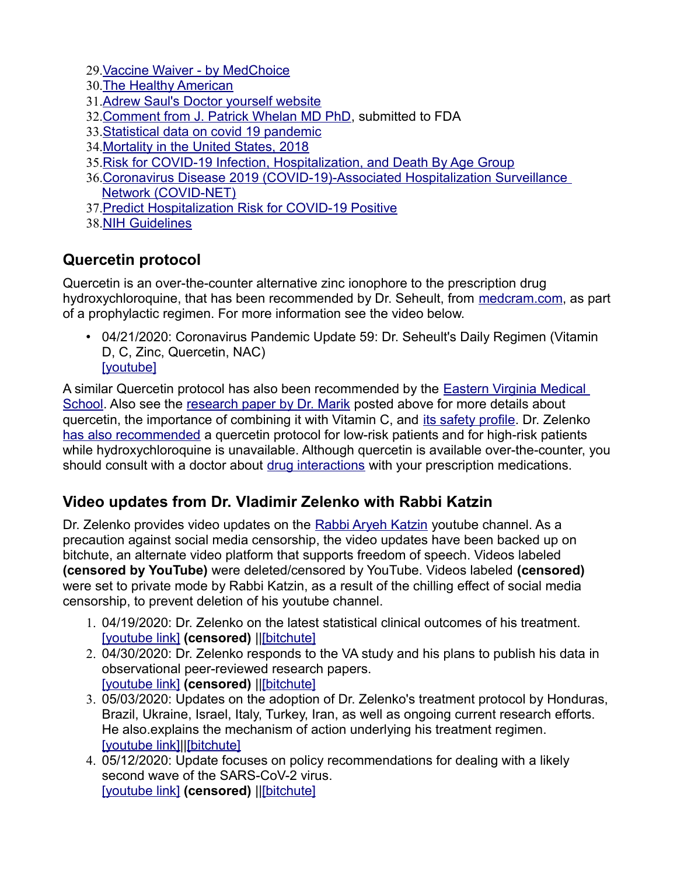29.[Vaccine Waiver - by MedChoice](https://www.covidvaccinewaiver.com/)

- 30.[The Healthy American](https://www.thehealthyamerican.org/)
- 31.[Adrew Saul's Doctor yourself website](http://www.doctoryourself.com/index.html)
- 32.[Comment from J. Patrick Whelan MD PhD,](https://www.regulations.gov/document/FDA-2020-N-1898-0246) submitted to FDA
- 33.[Statistical data on covid 19 pandemic](https://covid19.healthdata.org/united-states-of-america)
- 34.[Mortality in the United States, 2018](https://www.cdc.gov/nchs/products/databriefs/db355.htm)
- 35.[Risk for COVID-19 Infection, Hospitalization, and Death By Age Group](https://www.cdc.gov/coronavirus/2019-ncov/covid-data/investigations-discovery/hospitalization-death-by-age.html)
- 36.[Coronavirus Disease 2019 \(COVID-19\)-Associated Hospitalization Surveillance](https://www.cdc.gov/coronavirus/2019-ncov/covid-data/covid-net/purpose-methods.html)  [Network \(COVID-NET\)](https://www.cdc.gov/coronavirus/2019-ncov/covid-data/covid-net/purpose-methods.html)
- 37.[Predict Hospitalization Risk for COVID-19 Positive](https://riskcalc.org/COVID19Hospitalization/)
- 38.[NIH Guidelines](https://files.covid19treatmentguidelines.nih.gov/guidelines/covid19treatmentguidelines.pdf)

# **Quercetin protocol**

Quercetin is an over-the-counter alternative zinc ionophore to the prescription drug hydroxychloroquine, that has been recommended by Dr. Seheult, from [medcram.com,](https://www.medcram.com/) as part of a prophylactic regimen. For more information see the video below.

• 04/21/2020: Coronavirus Pandemic Update 59: Dr. Seheult's Daily Regimen (Vitamin D, C, Zinc, Quercetin, NAC) [\[youtube\]](https://www.youtube.com/watch?v=NM2A2xNLWR4&t=2s)

A similar Quercetin protocol has also been recommended by the [Eastern Virginia Medical](https://www.evms.edu/covid-19/covid_care_for_clinicians/)  [School.](https://www.evms.edu/covid-19/covid_care_for_clinicians/) Also see the [research paper by Dr. Marik](https://doi.org/10.3389/fimmu.2020.01451) posted above for more details about quercetin, the importance of combining it with Vitamin C, and [its safety profile.](https://examine.com/supplements/quercetin/) Dr. Zelenko [has also recommended](https://faculty.utrgv.edu/eleftherios.gkioulekas/zelenko/Zelenko-memo-August-protocol.pdf) a quercetin protocol for low-risk patients and for high-risk patients while hydroxychloroquine is unavailable. Although quercetin is available over-the-counter, you should consult with a doctor about [drug interactions](https://www.webmd.com/vitamins-and-supplements/quercetin-uses-and-risks) with your prescription medications.

## **Video updates from Dr. Vladimir Zelenko with Rabbi Katzin**

Dr. Zelenko provides video updates on the [Rabbi Aryeh Katzin](https://www.youtube.com/channel/UCOdDFhDnCWZoeg1EG60jp4w) youtube channel. As a precaution against social media censorship, the video updates have been backed up on bitchute, an alternate video platform that supports freedom of speech. Videos labeled **(censored by YouTube)** were deleted/censored by YouTube. Videos labeled **(censored)** were set to private mode by Rabbi Katzin, as a result of the chilling effect of social media censorship, to prevent deletion of his youtube channel.

- 1. 04/19/2020: Dr. Zelenko on the latest statistical clinical outcomes of his treatment. [\[youtube link\]](https://youtu.be/-K7lnW9_xnw) **(censored)** |[|\[bitchute\]](https://www.bitchute.com/video/Rnxl1CHNhabU/)
- 2. 04/30/2020: Dr. Zelenko responds to the VA study and his plans to publish his data in observational peer-reviewed research papers. [\[youtube link\]](https://youtu.be/EyGHiFlF98g) **(censored)** |[|\[bitchute\]](https://www.bitchute.com/video/4qodiC51oCjV/)
- 3. 05/03/2020: Updates on the adoption of Dr. Zelenko's treatment protocol by Honduras, Brazil, Ukraine, Israel, Italy, Turkey, Iran, as well as ongoing current research efforts. He also.explains the mechanism of action underlying his treatment regimen. [\[youtube link\]|](https://youtu.be/k1HPTPOdhLQ)[|\[bitchute\]](https://www.bitchute.com/video/X1lfnG7HpAJH/)
- 4. 05/12/2020: Update focuses on policy recommendations for dealing with a likely second wave of the SARS-CoV-2 virus. [\[youtube link\]](https://youtu.be/ccCgqa20Qp8) **(censored)** |[|\[bitchute\]](https://www.bitchute.com/video/xU3FHUXhtriD/)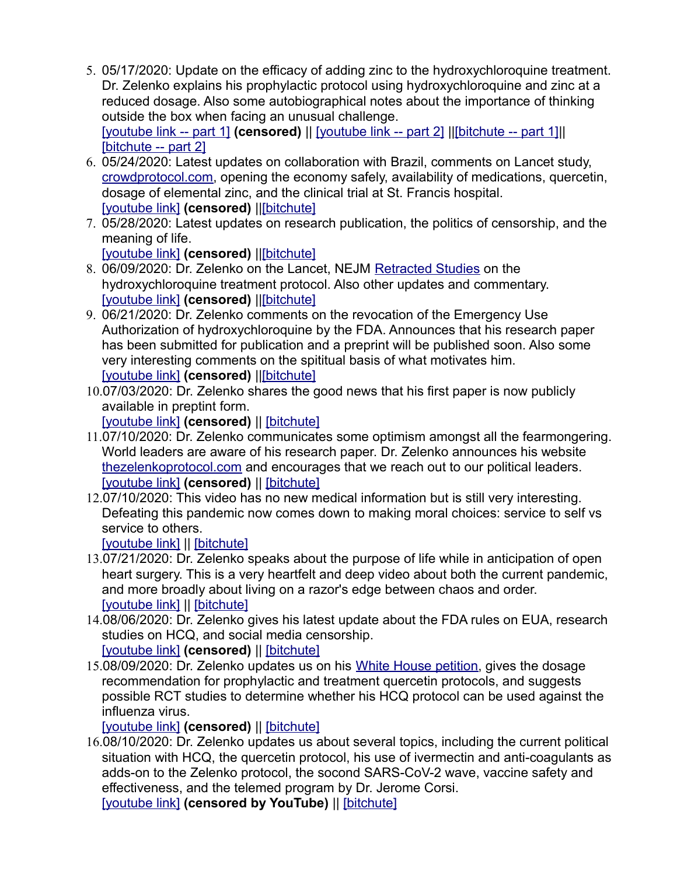5. 05/17/2020: Update on the efficacy of adding zinc to the hydroxychloroquine treatment. Dr. Zelenko explains his prophylactic protocol using hydroxychloroquine and zinc at a reduced dosage. Also some autobiographical notes about the importance of thinking outside the box when facing an unusual challenge.

[\[youtube link -- part 1\]](https://youtu.be/RwBiFc_lx2w) **(censored)** || [\[youtube link -- part 2\]](https://youtu.be/isrmXiaF9sY) |[|\[bitchute -- part 1\]|](https://www.bitchute.com/video/nQhNX00PMXc8/)| [\[bitchute -- part 2\]](https://www.bitchute.com/video/OnPIQHJug1Ap/)

- 6. 05/24/2020: Latest updates on collaboration with Brazil, comments on Lancet study, [crowdprotocol.com,](https://crowdprotocol.com/) opening the economy safely, availability of medications, quercetin, dosage of elemental zinc, and the clinical trial at St. Francis hospital. [\[youtube link\]](https://youtu.be/rIW5GmHdeDE) **(censored)** |[|\[bitchute\]](https://www.bitchute.com/video/nYgfUwJwihpG/)
- 7. 05/28/2020: Latest updates on research publication, the politics of censorship, and the meaning of life.

[\[youtube link\]](https://youtu.be/4k7lg9RArGU) **(censored)** |[|\[bitchute\]](https://www.bitchute.com/video/kYwhiAuXKyhc/)

- 8. 06/09/2020: Dr. Zelenko on the Lancet, NEJM [Retracted Studies](https://www.the-scientist.com/news-opinion/lancet-retracts-surgispheres-study-on-hydroxychloroquine-67613) on the hydroxychloroquine treatment protocol. Also other updates and commentary. [\[youtube link\]](https://www.youtube.com/watch?v=8Ez0r4LhkvU) **(censored)** |[|\[bitchute\]](https://www.bitchute.com/video/wN3eZiwaiRi9/)
- 9. 06/21/2020: Dr. Zelenko comments on the revocation of the Emergency Use Authorization of hydroxychloroquine by the FDA. Announces that his research paper has been submitted for publication and a preprint will be published soon. Also some very interesting comments on the spititual basis of what motivates him. [\[youtube link\]](https://www.youtube.com/watch?v=zBHBWR0OyhQ) **(censored)** |[|\[bitchute\]](https://www.bitchute.com/video/G8B7o0JHshZm/)
- 10.07/03/2020: Dr. Zelenko shares the good news that his first paper is now publicly available in preptint form.

[\[youtube link\]](https://youtu.be/2WHNBJwLye4) **(censored)** || [\[bitchute\]](https://www.bitchute.com/video/LM09lXZiTlwA/)

- 11.07/10/2020: Dr. Zelenko communicates some optimism amongst all the fearmongering. World leaders are aware of his research paper. Dr. Zelenko announces his website [thezelenkoprotocol.com](https://www.thezelenkoprotocol.com/) and encourages that we reach out to our political leaders. [\[youtube link\]](https://www.youtube.com/watch?v=2M2A4OViI3A&t=2s) **(censored)** || [\[bitchute\]](https://www.bitchute.com/video/wrWMw6b2JnW0/)
- 12.07/10/2020: This video has no new medical information but is still very interesting. Defeating this pandemic now comes down to making moral choices: service to self vs service to others.

[\[youtube link\]](https://www.youtube.com/watch?v=CIbX1CQeGRw&t=36s) || [\[bitchute\]](https://www.bitchute.com/video/zQSIxTb4VSHa/)

- 13.07/21/2020: Dr. Zelenko speaks about the purpose of life while in anticipation of open heart surgery. This is a very heartfelt and deep video about both the current pandemic, and more broadly about living on a razor's edge between chaos and order. [\[youtube link\]](https://www.youtube.com/watch?v=V7yGtPX9uiM&t=4s) || [\[bitchute\]](https://www.bitchute.com/video/XA3pHFLMHLEk/)
- 14.08/06/2020: Dr. Zelenko gives his latest update about the FDA rules on EUA, research studies on HCQ, and social media censorship.

[\[youtube link\]](https://www.youtube.com/watch?v=kAwgCxR88QM&t=2564s) **(censored)** || [\[bitchute\]](https://www.bitchute.com/video/mSrAIqaURGqp/)

15.08/09/2020: Dr. Zelenko updates us on his [White House petition,](https://petitions.whitehouse.gov/petition/please-give-zelenko-protocol-eua) gives the dosage recommendation for prophylactic and treatment quercetin protocols, and suggests possible RCT studies to determine whether his HCQ protocol can be used against the influenza virus.

[\[youtube link\]](https://www.youtube.com/watch?v=QD6Fxozv0VY) **(censored)** || [\[bitchute\]](https://www.bitchute.com/video/2LxO2yUPLyfo/)

16.08/10/2020: Dr. Zelenko updates us about several topics, including the current political situation with HCQ, the quercetin protocol, his use of ivermectin and anti-coagulants as adds-on to the Zelenko protocol, the socond SARS-CoV-2 wave, vaccine safety and effectiveness, and the telemed program by Dr. Jerome Corsi.

[\[youtube link\]](https://www.youtube.com/watch?v=su7yc9kph4o&t=1s) **(censored by YouTube)** || [\[bitchute\]](https://www.bitchute.com/video/v31Rh6Pu6QIA/)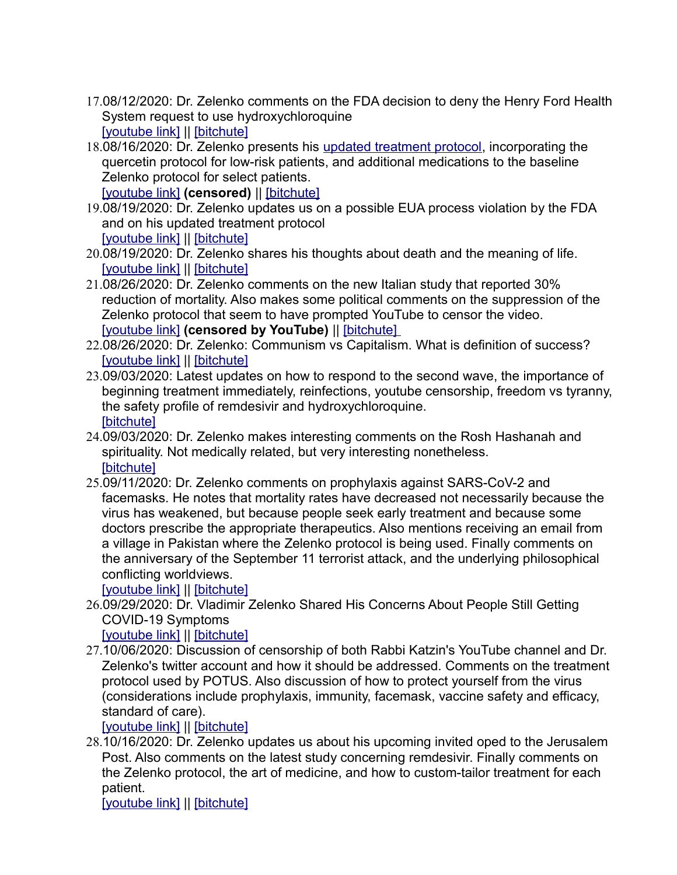- 17.08/12/2020: Dr. Zelenko comments on the FDA decision to deny the Henry Ford Health System request to use hydroxychloroquine [\[youtube link\]](https://www.youtube.com/watch?v=g0ptIcDn-68) || [\[bitchute\]](https://www.bitchute.com/video/DhmvWgOlZKtg/)
- 18.08/16/2020: Dr. Zelenko presents his [updated treatment protocol,](https://faculty.utrgv.edu/eleftherios.gkioulekas/zelenko/Zelenko-memo-August-protocol.pdf) incorporating the quercetin protocol for low-risk patients, and additional medications to the baseline Zelenko protocol for select patients.

[\[youtube link\]](https://www.youtube.com/watch?v=KxE1_4P9L4Y) **(censored)** || [\[bitchute\]](https://www.bitchute.com/video/8BRDxXoFgGJK/)

- 19.08/19/2020: Dr. Zelenko updates us on a possible EUA process violation by the FDA and on his updated treatment protocol [\[youtube link\]](https://www.youtube.com/watch?v=q4eGrNrNk8Y) || [\[bitchute\]](https://www.bitchute.com/video/1Xy00dHIZism/)
- 20.08/19/2020: Dr. Zelenko shares his thoughts about death and the meaning of life. [\[youtube link\]](https://www.youtube.com/watch?v=4HfwXj99AhE) || [\[bitchute\]](https://www.bitchute.com/video/qLi6vlG32e7U/)
- 21.08/26/2020: Dr. Zelenko comments on the new Italian study that reported 30% reduction of mortality. Also makes some political comments on the suppression of the Zelenko protocol that seem to have prompted YouTube to censor the video. [\[youtube link\]](https://www.youtube.com/watch?v=ZQj4pphqGAA) **(censored by YouTube)** || [\[bitchute\]](https://www.bitchute.com/video/Tnxtah2bCjTL/)
- 22.08/26/2020: Dr. Zelenko: Communism vs Capitalism. What is definition of success? [\[youtube link\]](https://www.youtube.com/watch?v=n4-UNlJZeE8&t=2s) || [\[bitchute\]](https://www.bitchute.com/video/azEcZJNjAsjR/)
- 23.09/03/2020: Latest updates on how to respond to the second wave, the importance of beginning treatment immediately, reinfections, youtube censorship, freedom vs tyranny, the safety profile of remdesivir and hydroxychloroquine. [\[bitchute\]](https://www.bitchute.com/video/f18I9G4k6sPC/)
- 24.09/03/2020: Dr. Zelenko makes interesting comments on the Rosh Hashanah and spirituality. Not medically related, but very interesting nonetheless. [\[bitchute\]](https://www.bitchute.com/video/969653jEoFB5/)
- 25.09/11/2020: Dr. Zelenko comments on prophylaxis against SARS-CoV-2 and facemasks. He notes that mortality rates have decreased not necessarily because the virus has weakened, but because people seek early treatment and because some doctors prescribe the appropriate therapeutics. Also mentions receiving an email from a village in Pakistan where the Zelenko protocol is being used. Finally comments on the anniversary of the September 11 terrorist attack, and the underlying philosophical conflicting worldviews.

[\[youtube link\]](https://www.youtube.com/watch?v=SXy8X-FgtQo) | [\[bitchute\]](https://www.bitchute.com/video/tHnJvLE6tEhH/)

26.09/29/2020: Dr. Vladimir Zelenko Shared His Concerns About People Still Getting COVID-19 Symptoms

[\[youtube link\]](https://www.youtube.com/watch?v=hRXRmQrrIZE) || [\[bitchute\]](https://www.bitchute.com/video/epzFcvnJrN55/)

27.10/06/2020: Discussion of censorship of both Rabbi Katzin's YouTube channel and Dr. Zelenko's twitter account and how it should be addressed. Comments on the treatment protocol used by POTUS. Also discussion of how to protect yourself from the virus (considerations include prophylaxis, immunity, facemask, vaccine safety and efficacy, standard of care).

[\[youtube link\]](https://www.youtube.com/watch?v=IphR9P2rXxA) || [\[bitchute\]](https://www.bitchute.com/video/k79VNhYo2Ddn/)

28.10/16/2020: Dr. Zelenko updates us about his upcoming invited oped to the Jerusalem Post. Also comments on the latest study concerning remdesivir. Finally comments on the Zelenko protocol, the art of medicine, and how to custom-tailor treatment for each patient.

[\[youtube link\]](https://www.youtube.com/watch?v=SsCi06j-Tio) || [\[bitchute\]](https://www.bitchute.com/video/rBHwKncu5of6/)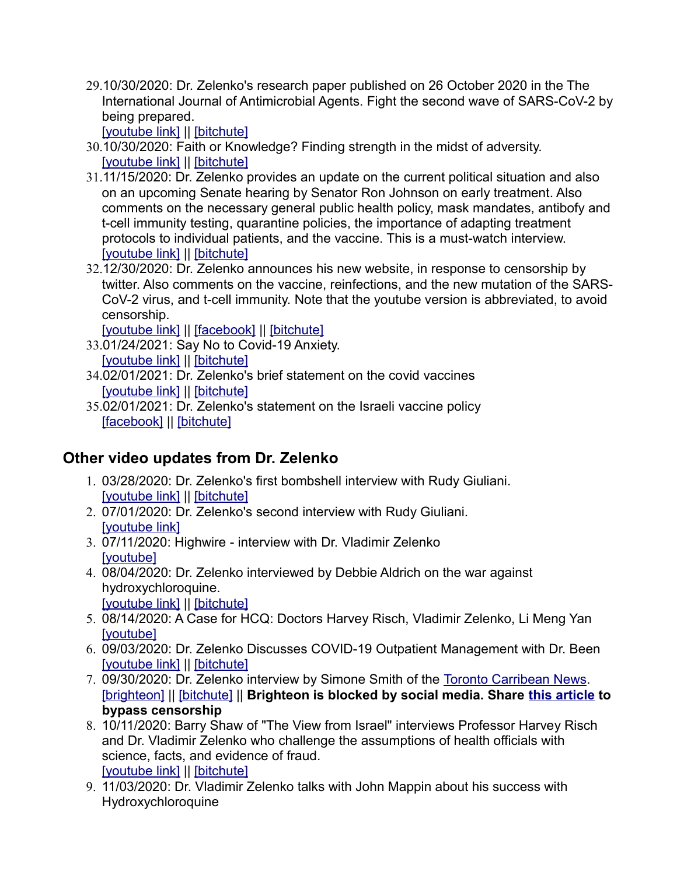29.10/30/2020: Dr. Zelenko's research paper published on 26 October 2020 in the The International Journal of Antimicrobial Agents. Fight the second wave of SARS-CoV-2 by [being prepare](https://www.youtube.com/watch?v=-8Km-liEagU&t=329s)d[.](https://www.bitchute.com/video/TanPw8HOHphZ/) 

[youtube link] || [bitchute]

- 30.[10/30/2020: F](https://www.youtube.com/watch?v=mgOW0MQhOGE&t=307s)a[ith or Know](https://www.bitchute.com/video/9rYWF7rpb36d/)ledge? Finding strength in the midst of adversity. [youtube link] || [bitchute]
- 31.11/15/2020: Dr. Zelenko provides an update on the current political situation and also on an upcoming Senate hearing by Senator Ron Johnson on early treatment. Also comments on the necessary general public health policy, mask mandates, antibofy and t-cell immunity testing, quarantine policies, the importance of adapting treatment [protocols to in](https://www.youtube.com/watch?v=we18kaNVKnY&t=1803s)d[ividual pat](https://www.bitchute.com/video/JdZVggTHLfN7/)ients, and the vaccine. This is a must-watch interview. [youtube link] || [bitchute]
- 32.12/30/2020: Dr. Zelenko announces his new website, in response to censorship by twitter. Also comments on the vaccine, reinfections, and the new mutation of the SARS-CoV-2 virus, and t-cell immunity. Note that the youtube version is abbreviated, to avoid [censorship.](https://www.youtube.com/watch?v=ZARhjJr0BV0)

[youtube link] || [facebook] || [bitchute]

- 33.[01/24/2021: S](https://www.youtube.com/watch?v=UjwoHTTYTko)a[y No to Co](https://www.bitchute.com/video/hO24KDD1Aulc/)vid-19 Anxiety. [youtube link] || [bitchute]
- 34.[02/01/2021: D](https://youtu.be/mE6qe7MBbi0)r. [Zelenko's](https://www.bitchute.com/video/GcGXfgDL06Kb/) brief statement on the covid vaccines [youtube link] || [bitchute]
- 35.[02/01/2021](https://m.facebook.com/story.php?story_fbid=4381329915216489&id=100000185713095): [Dr. Zelenk](https://www.bitchute.com/video/SQD5xoDJ7qDj/)o's statement on the Israeli vaccine policy [facebook] || [bitchute]

## **Other video updates from Dr. Zelenko**

- 1. [03/28/2020: D](https://www.youtube.com/watch?v=1TJdjhd_XG8)r. [Zelenko's](https://www.bitchute.com/video/f1jcpJsU5ZAJ/) first bombshell interview with Rudy Giuliani. [youtube link] || [bitchute]
- 2. [07/01/2020: D](https://www.youtube.com/watch?v=TFwjY0qe7ro&t=0s)r. Zelenko's second interview with Rudy Giuliani. [youtube link]
- 3. [07/11/202](https://www.youtube.com/watch?v=4YczHH6aIi8)0: Highwire interview with Dr. Vladimir Zelenko [youtube]
- 4. 08/04/2020: Dr. Zelenko interviewed by Debbie Aldrich on the war against [hydroxychloro](https://www.youtube.com/watch?v=Mu_scJimKrA)q[uine.](https://www.bitchute.com/video/Yr1iXkNsMQNW/)  [youtube link] || [bitchute]
- 5. [08/14/202](https://www.youtube.com/watch?v=AlEuYfNJRyE)0: A Case for HCQ: Doctors Harvey Risch, Vladimir Zelenko, Li Meng Yan [youtube]
- 6. [09/03/2020: D](https://www.youtube.com/watch?v=MhLD1P5nH30)r. [Zelenko D](https://www.bitchute.com/video/YPhe5x1tmYbm/)iscusses COVID-19 Outpatient Management with Dr. Been [youtube link] || [bitchute]
- 7. [09/30/2020](https://www.brighteon.com/6db70766-27d4-47ab-848d-a77fe69349d2): [Dr. Zelenk](https://www.bitchute.com/video/4fKGsvA9lZya/)o interview by Simone Smith of the Toronto Carri[bean News.](https://torontocaribbean.com/drzev/)  [brighteon] || [bitchute] || **Brighteon is blocked by social media. Share this article to bypass censorship**
- 8. 10/11/2020: Barry Shaw of "The View from Israel" interviews Professor Harvey Risch and Dr. Vladimir Zelenko who challenge the assumptions of health officials with [science, facts](https://www.youtube.com/watch?v=HZrknfwPxN4), [and eviden](https://www.bitchute.com/video/oapdeyUwVwCZ/)ce of fraud. [youtube link] || [bitchute]
- 9. 11/03/2020: Dr. Vladimir Zelenko talks with John Mappin about his success with [Hydroxychloro](https://www.youtube.com/watch?v=akEiwAElRts)[quine](https://www.bitchute.com/video/aywRcFDaLY8D/)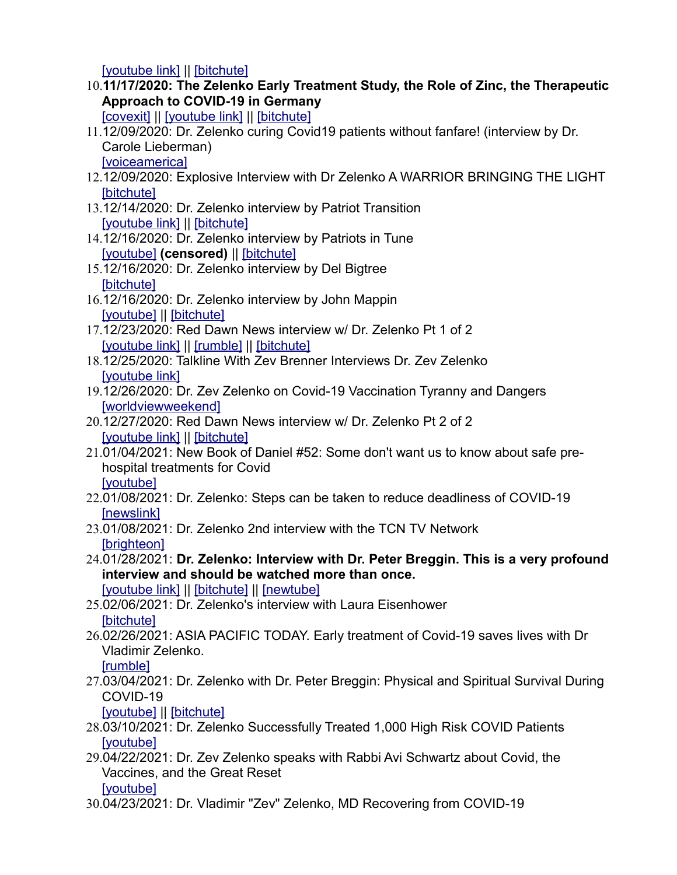[youtube link] || [bitchute]

10.**11/17/2020: The Zelenko Early Treatment Study, the Role of Zinc, the Therapeutic [Approac](https://covexit.com/the-zelenko-early-treatment-study-the-role-of-zinc-the-therapeutic-approach-to-covid-19-in-germany/)[h to COVID-19](https://www.youtube.com/watch?v=1rVrn-F_NBQ) i[n German](https://www.bitchute.com/video/sJ5e2cI4oimT/)y**

[covexit] || [youtube link] || [bitchute]

- 11.12/09/2020: Dr. Zelenko curing Covid19 patients without fanfare! (interview by Dr. [Carole Lieberm](https://www.voiceamerica.com/episode/127420/dr-zelenko-curing-covid19-patients-without-fanfare)an) [voiceamerica]
- 12.[12/09/202](https://www.bitchute.com/video/8OuO4a6rMoFB/)0: Explosive Interview with Dr Zelenko A WARRIOR BRINGING THE LIGHT [bitchute]
- 13.[12/14/2020: D](https://www.youtube.com/watch?v=NT48zTLbws4)r. [Zelenko i](https://www.bitchute.com/video/nXZYrmXOHtjx/)nterview by Patriot Transition [youtube link] || [bitchute]
- 14.[12/16/202](https://www.youtube.com/watch?v=1pxi2nCFF1Y)0: Dr. Zelenk[o interview](https://www.bitchute.com/video/DQwLDkZbTki6/) by Patriots in Tune [youtube] **(censored)** || [bitchute]
- 15.[12/16/202](https://www.bitchute.com/video/MRNew5jjlIwV/)0: Dr. Zelenko interview by Del Bigtree [bitchute]
- 16.[12/16/202](https://www.youtube.com/watch?v=avdp6R6qbGQ)0[: Dr. Zelen](https://www.bitchute.com/video/79u5OXepQc7C/)ko interview by John Mappin [youtube] || [bitchute]
- 17.[12/23/2020: R](https://www.youtube.com/watch?v=ZRNkvTRj-g0)e[d Dawn N](https://rumble.com/vc4unx-red-dawn-news-interview-w-dr.-zelenko-pt-1-of-2.html)[ews interv](https://www.bitchute.com/video/BYVyThQGjLHe/)iew w/ Dr. Zelenko Pt 1 of 2 [youtube link] || [rumble] || [bitchute]
- 18.[12/25/2020: T](https://www.youtube.com/watch?v=qu5HdyTHcvY)alkline With Zev Brenner Interviews Dr. Zev Zelenko [youtube link]
- 19.[12/26/2020: Dr. Zev](https://www.worldviewweekend.com/tv/video/dr-zev-zelenko-covid-19-vaccination-tyranny-and-dangers-and-general-vallely-china) Zelenko on Covid-19 Vaccination Tyranny and Dangers [worldviewweekend]
- 20.[12/27/2020: R](https://www.youtube.com/watch?v=t-17dnwTeeQ)e[d Dawn N](https://www.bitchute.com/video/OsHeSQ1eKGmb/)ews interview w/ Dr. Zelenko Pt 2 of 2 [youtube link] | [bitchute]
- 21.01/04/2021: New Book of Daniel #52: Some don't want us to know about safe pre[hospital tr](https://www.youtube.com/watch?v=PW0IMvsD55c)eatments for Covid [youtube]
- 22.[01/08/202](https://www.oann.com/dr-zelenko-steps-can-be-taken-to-reduce-deadliness-of-covid-19/)1: Dr. Zelenko: Steps can be taken to reduce deadliness of COVID-19 [newslink]
- 23.[01/08/2021](https://www.brighteon.com/f5ea1390-b293-4f53-93d7-1ad4dc631853): Dr. Zelenko 2nd interview with the TCN TV Network [brighteon]
- 24.01/28/2021: **Dr. Zelenko: Interview with Dr. Peter Breggin. This is a very profound [interview and](https://youtube.com/watch?v=uJ4ibn3ehnw) [should be](https://www.bitchute.com/video/70PFy53n4seB/) [watched m](https://newtube.app/user/SlobodanGul/TJo9JKF?u=t)ore than once.**  [youtube link] || [bitchute] || [newtube]
- 25.[02/06/202](https://www.bitchute.com/video/kVDy2jaqLyn9/)1: Dr. Zelenko's interview with Laura Eisenhower [bitchute]
- 26.02/26/2021: ASIA PACIFIC TODAY. Early treatment of Covid-19 saves lives with Dr [Vladimir](https://rumble.com/ve6o6n-asia-pacific-today.-early-treatment-of-covid-19-saves-lives-with-dr-vladimi.html) Zelenko.
	- [rumble]
- 27.03/04/2021[: Dr. Zelen](https://www.bitchute.com/video/nAJ7abjwD66w/)ko with Dr. Peter Breggin: Physical and Spiritual Survival During [COVID-19](https://www.youtube.com/watch?v=oO832phip1U)

[youtube] || [bitchute]

- 28.[03/10/202](https://www.youtube.com/watch?v=oKQvDTf1RJ0)1: Dr. Zelenko Successfully Treated 1,000 High Risk COVID Patients [youtube]
- 29.04/22/2021: Dr. Zev Zelenko speaks with Rabbi Avi Schwartz about Covid, the [Vaccines,](https://www.youtube.com/watch?v=5Jq_ofBPzj8) and the Great Reset [youtube]
- 30.[04/23/202](https://www.youtube.com/watch?v=X4C7cyV-f8E&t=1097s)1[: Dr. Vladi](https://www.bitchute.com/video/KnATG29AmJGO/)mir "Zev" Zelenko, MD Recovering from COVID-19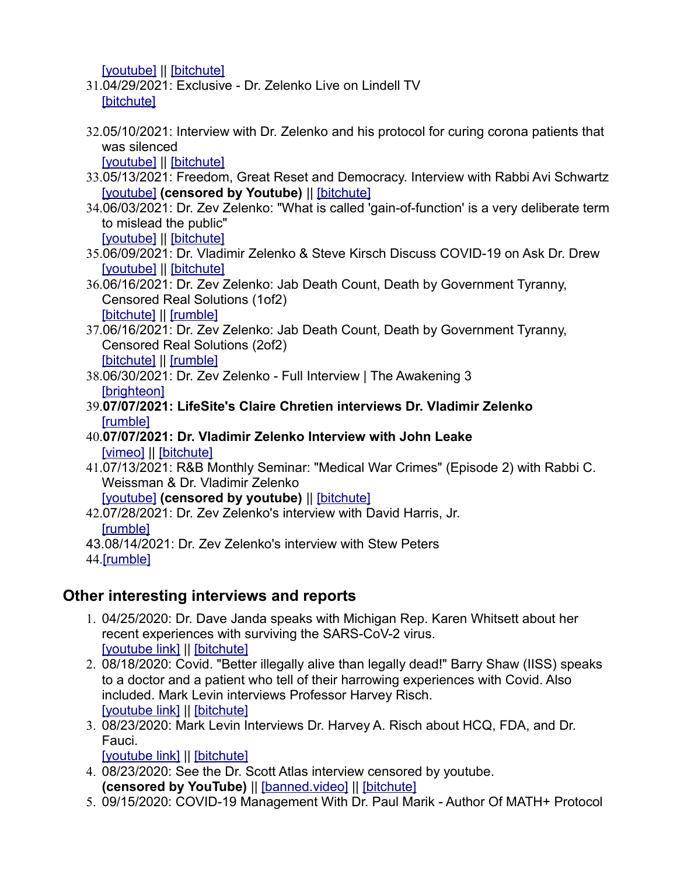[youtube] || [bitchute]

- 31.[04/29/202](https://www.bitchute.com/video/cVdArNQlspE2/)1: Exclusive Dr. Zelenko Live on Lindell TV [bitchute]
- 32.05/10/2021: Interview with Dr. Zelenko and his protocol for curing corona patients that [was silenc](https://www.youtube.com/watch?v=-Zwgeb_xkRM)[ed](https://www.bitchute.com/video/leEjqU1LsQGH/)

[youtube] || [bitchute]

- 33.[05/13/202](https://www.youtube.com/watch?v=I1nsTjUgBxg)1: Freedom, Great Reset [and Demo](https://www.bitchute.com/video/egLHtqRtipmd/)cracy. Interview with Rabbi Avi Schwartz [youtube] **(censored by Youtube)** || [bitchute]
- 34.06/03/2021: Dr. Zev Zelenko: "What is called 'gain-of-function' is a very deliberate term [to mislead](https://www.youtube.com/watch?v=Zqd4cDF5pHM) t[he public"](https://www.bitchute.com/video/bikmt5ttqzcX/) [youtube] || [bitchute]
- 35.[06/09/202](https://www.youtube.com/watch?v=jD6Kein67Rk)1[: Dr. Vladi](https://www.bitchute.com/video/7tZ59hjBarR5/)mir Zelenko & Steve Kirsch Discuss COVID-19 on Ask Dr. Drew [youtube] || [bitchute]
- 36.06/16/2021: Dr. Zev Zelenko: Jab Death Count, Death by Government Tyranny, [Censored](https://www.bitchute.com/video/KCtQDkIFjATq/) [Real Solu](https://rumble.com/villlv-dr.-zev-zelenko-jab-death-count-death-by-government-tyranny-censored-real-s.html)tions (1of2) [bitchute] || [rumble]
- 37.06/16/2021: Dr. Zev Zelenko: Jab Death Count, Death by Government Tyranny, [Censored](https://www.bitchute.com/video/pexDUsIZTMMT/) [Real Solu](https://rumble.com/vin38z-part-2-dr.-zev-zelenko-jab-death-count-death-by-government-tyranny-censored.html)tions (2of2) [bitchute] || [rumble]
- 38.[06/30/2021](https://www.brighteon.com/cca3ccf5-a085-4045-b890-07bdb55d4b30): Dr. Zev Zelenko Full Interview | The Awakening 3 [brighteon]
- 39.**[07/07/20](https://rumble.com/vjjt91-dr.-zelenko.html)21: LifeSite's Claire Chretien interviews Dr. Vladimir Zelenko** [rumble]
- 40.**[07/07/2](https://vimeo.com/575833221)0[21: Dr. Vla](https://www.bitchute.com/video/pPORF7WbpNqB/)dimir Zelenko Interview with John Leake** [vimeo] || [bitchute]
- 41.07/13/2021: R&B Monthly Seminar: "Medical War Crimes" (Episode 2) with Rabbi C. [Weissman](https://www.youtube.com/watch?v=GKl3BqTrFmA) & Dr. Vladimir Zelenko

[youtube] **(censored by youtube)** || [bitchute]

- 42.[07/28/20](https://rumble.com/vkgjv1-dr-zev-has-been-banned-and-threatened-you-need-to-hear-this.html)21: Dr. Zev Zelenko's interview with David Harris, Jr. [rumble]
- 43[.08/14/20](https://rumble.com/vl4u7t-dr.-zev-zelenko-slays-globalists-exposes-global-genocidal-event.html)21: Dr. Zev Zelenko's interview with Stew Peters

#### 44.[rumble]

#### **Other interesting interviews and reports**

- 1. 04/25/2020: Dr. Dave Janda speaks with Michigan Rep. Karen Whitsett about her [recent experie](https://www.youtube.com/watch?v=Jx2RvzHLNkU)n[ces with s](https://www.bitchute.com/video/zKW5mPW69w10/)urviving the SARS-CoV-2 virus. [youtube link] || [bitchute]
- 2. 08/18/2020: Covid. "Better illegally alive than legally dead!" Barry Shaw (IISS) speaks to a doctor and a patient who tell of their harrowing experiences with Covid. Also [included. Mar](https://www.youtube.com/watch?v=9V5HM1S5two&t=2931s)k [Levin inter](https://www.bitchute.com/video/827MIDmdu0hm/)views Professor Harvey Risch. [youtube link] || [bitchute]
- 3. 08/23/2020: M[ark Levin In](https://www.bitchute.com/video/4nx9Oa0fORzB/)terviews Dr. Harvey A. Risch about HCQ, FDA, and Dr. [Fauci.](https://www.youtube.com/watch?v=SkfL0PNf6vc)

[youtube link] || [bitchute]

- 4. 08/23/2020: See the Dr. S[cott Atlas intervie](https://banned.video/watch?id=5f5fb1eddc50dc07a1fb17ab)[w censored](https://www.bitchute.com/video/6gMR4FHiAGA9/) by youtube. **(censored by YouTube)** || [banned.video] || [bitchute]
- 5. [09/15/2020: C](https://www.youtube.com/watch?v=cy1kdZhXsP8)[OVID-19 M](https://www.bitchute.com/video/BhNmh6FHcDU3/)anagement With Dr. Paul Marik Author Of MATH+ Protocol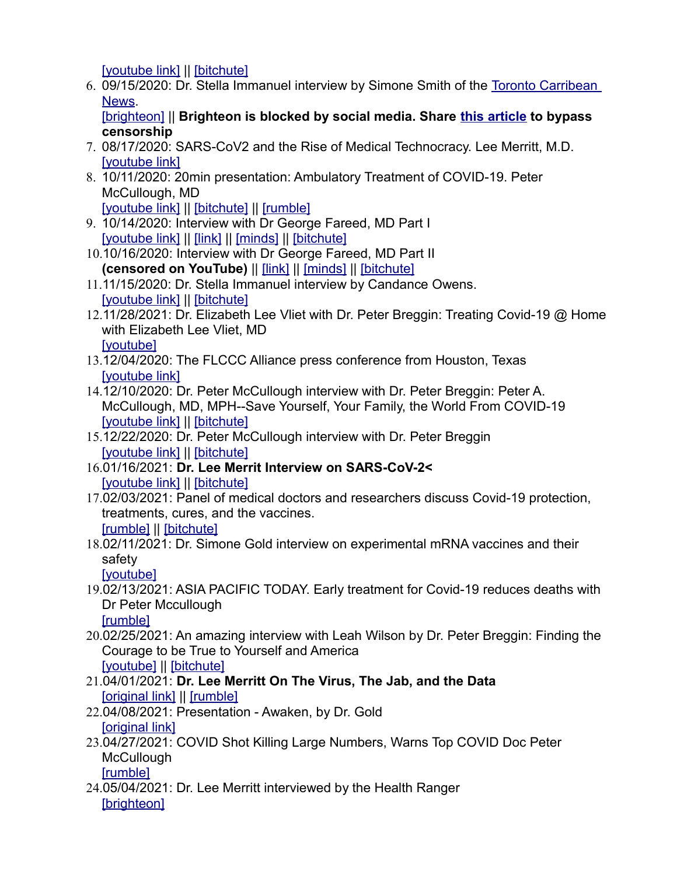[youtube link] || [bitchute]

6. [09/15/](https://torontocaribbean.com/)2020: Dr. Stella Immanuel interview by Simone Smith [of the Toront](https://torontocaribbean.com/drimmanuel/)o Carribean [News.](https://www.brighteon.com/4b9053b4-4bb6-4be1-b97f-5ccb7abe6917) 

[brighteon] || **Brighteon is blocked by social media. Share this article to bypass censorship**

- 7. [08/17/2020: S](https://www.youtube.com/watch?v=sjYvitCeMPc)ARS-CoV2 and the Rise of Medical Technocracy. Lee Merritt, M.D. [youtube link]
- 8. 10/11/2020: 20min presentation: Ambulatory Treatment of COVID-19. Peter [McCullough, M](https://www.youtube.com/watch?v=cxmhvZ6eEI4)[D](https://www.bitchute.com/video/GdY5UfGoe5pr/)

[youtube link] || [bitchute] || [rumble]

- 9. [10/14/2020: In](https://www.youtube.com/watch?v=PW53vyKxUhc)t[erview](http://covexit.com/interview-with-dr-george-fareed-md-part-1/) [with Dr G](https://www.minds.com/newsfeed/1163282878760632320)[eorge Fare](https://www.bitchute.com/video/aCBiQyQo9gOp/)ed, MD Part I [youtube link] || [link] || [minds] || [bitchute]
- 10.10/16/2020: Interview with [Dr Ge](http://covexit.com/dr-george-fareed-interview-part-2/)[orge Fare](https://www.minds.com/newsfeed/1164814242957037568)[ed, MD Pa](https://www.bitchute.com/video/oBHdjg0ALnJN/)rt II **(censored on YouTube)** || [link] || [minds] || [bitchute]
- 11.[11/15/2020: D](https://www.youtube.com/watch?v=5g7EWA9GFkQ)r. [Stella Imm](https://www.bitchute.com/video/FpYPdIaK1eoa/)anuel interview by Candance Owens. [youtube link] || [bitchute]
- 12.11/28/2021: Dr. Elizabeth Lee Vliet with Dr. Peter Breggin: Treating Covid-19 @ Home [with Eliza](https://www.youtube.com/watch?v=jjYKx-wqxJk)beth Lee Vliet, MD [youtube]
- 13.[12/04/2020: T](https://www.youtube.com/watch?v=4V3yxrJwJQs)he FLCCC Alliance press conference from Houston, Texas [youtube link]
- 14.12/10/2020: Dr. Peter McCullough interview with Dr. Peter Breggin: Peter A. [McCullough, M](https://www.youtube.com/watch?v=QxDIKsB8KfU)[D, MPH--S](https://www.bitchute.com/video/GKH2gH0tO87w/)ave Yourself, Your Family, the World From COVID-19 [youtube link] || [bitchute]
- 15.[12/22/2020: D](https://www.youtube.com/watch?v=ylvD35MbprU)r. [Peter Mc](https://www.bitchute.com/video/V1LzhA5X6gAF/)Cullough interview with Dr. Peter Breggin [youtube link] || [bitchute]
- 16.[01/16/2021:](https://www.youtube.com/watch?v=3mPIomjWwd4) **Dr[. Lee Merr](https://www.bitchute.com/video/JBw6oiO5K3ru/)it Interview on SARS-CoV-2<** [youtube link] || [bitchute]
- 17.02/03/2021: Panel of medical doctors and researchers discuss Covid-19 protection, [treatmen](https://rumble.com/vdk0j3-karladine-panel-020321.html)t[s, cures, a](https://www.bitchute.com/video/rQ1cqtWGlOc6/)nd the vaccines. [rumble] || [bitchute]
- 18.02/11/2021: Dr. Simone Gold interview on experimental mRNA vaccines and their [safety](https://www.youtube.com/watch?v=BraR-HQO6Qs)

[youtube]

19.02/13/2021: ASIA PACIFIC TODAY. Early treatment for Covid-19 reduces deaths with [Dr Peter](https://rumble.com/vdsy67-asia-pacific-today.-early-treatment-for-covid-19-reduces-deaths-with-dr-pet.html) Mccullough

[rumble]

- 20.02/25/2021: An amazing interview with Leah Wilson by Dr. Peter Breggin: Finding the [Courage t](https://www.youtube.com/watch?v=2xUFflTRJ1A)o [be True to](https://www.bitchute.com/video/YOnQVYU9wZ3b/) Yourself and America [youtube] || [bitchute]
- 21.[04/01/2021:](https://davejanda.com/dr-lee-merritt-the-virus-the-jab-the-data-april-2021/) **D[r. Lee Me](https://rumble.com/vf9sbz-dr.-lee-merrit-on-the-virus-the-jab-and-the-data.html)rritt On The Virus, The Jab, and the Data** [original link] || [rumble]
- 22.[04/08/2021: P](https://rumble.com/vfhko9-dr.-gold-awaken.html)resentation Awaken, by Dr. Gold [original link]
- 23.04/27/2021: COVID Shot Killing Large Numbers, Warns Top COVID Doc Peter **[McCullou](https://rumble.com/vg6dcd-peter-mccullough-interview.html)gh**
- [rumble] 24.[05/04/2021](https://www.brighteon.com/85761cb5-b202-4d89-b36d-cc920319ab73): Dr. Lee Merritt interviewed by the Health Ranger

[brighteon]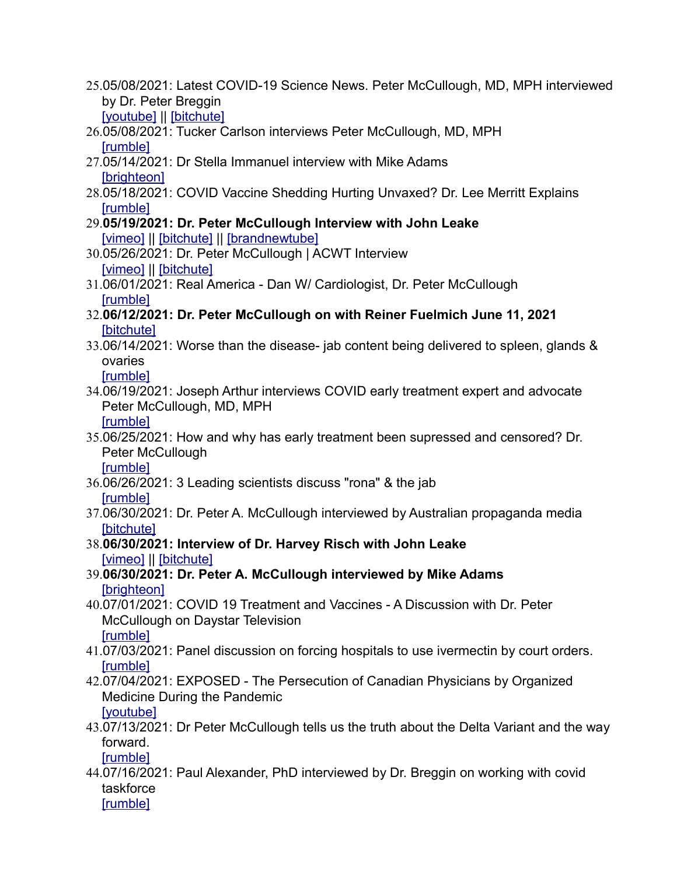- 25.05/08/2021: Latest COVID-19 Science News. Peter McCullough, MD, MPH interviewed [by Dr. Pet](https://www.youtube.com/watch?v=UVzxu5Uxd10)e[r Breggin](https://www.bitchute.com/video/QAhWF3ERE7fW/)  [youtube] || [bitchute]
- 26.[05/08/20](https://rumble.com/vgqfkd-full-interview-peter-mccullough-on-covid-19-successes-and-failures.html)21: Tucker Carlson interviews Peter McCullough, MD, MPH [rumble]
- 27.[05/14/2021](https://www.brighteon.com/8b2f8dcd-2bfa-4189-a133-aa8cab015fec): Dr Stella Immanuel interview with Mike Adams [brighteon]
- 28.[05/18/20](https://rumble.com/vh8swd-lee-merrit-interview.html)21: COVID Vaccine Shedding Hurting Unvaxed? Dr. Lee Merritt Explains [rumble]
- 29.**[05/19/2](https://vimeo.com/553518199)0[21: Dr. Pe](https://www.bitchute.com/video/vQNNmKgwpPZ7/)te[r McCullough In](https://brandnewtube.com/v/MLpQQg)terview with John Leake** [vimeo] || [bitchute] || [brandnewtube]
- 30.[05/26/2](https://vimeo.com/555924477)0[21: Dr. Pet](https://www.bitchute.com/video/BKso3X7G0oDo/)er McCullough | ACWT Interview [vimeo] || [bitchute]
- 31.[06/01/20](https://rumble.com/vhxq75-real-america-dan-w-dr.-peter-mccullough-june-1-2021.html)21: Real America Dan W/ Cardiologist, Dr. Peter McCullough [**rumble**]
- 32.**[06/12/202](https://www.bitchute.com/video/rKP61hruGxIt/)1: Dr. Peter McCullough on with Reiner Fuelmich June 11, 2021** [bitchute]
- 33.06/14/2021: Worse than the disease- jab content being delivered to spleen, glands & [ovaries](https://rumble.com/vijpsh-wore-than-the-disease-the-unintended-consequences-of-the-jab.html)

[rumble]

- 34.06/19/2021: Joseph Arthur interviews COVID early treatment expert and advocate [Peter Mc](https://rumble.com/viuokn-artists-united-against-covid.html)Cullough, MD, MPH [rumble]
- 35.06/25/2021: How and why has early treatment been supressed and censored? Dr. [Peter Mc](https://rumble.com/vj0o8p-how-and-why-has-early-treatment-been-supressed-and-censored-dr.-peter-mccul.html?mref=iee61&mc=coulf)Cullough [rumble]
- 36.[06/26/20](https://rumble.com/vj28hj-3-leading-scientists-discuss-rona-and-the-jab.html)21: 3 Leading scientists discuss "rona" & the jab [rumble]
- 37.[06/30/202](https://www.bitchute.com/video/RAdN5b6LO2Ut/)1: Dr. Peter A. McCullough interviewed by Australian propaganda media [bitchute]
- 38.**[06/30/2](https://vimeo.com/568993443)0[21: Intervi](https://www.bitchute.com/video/PosrTBW0NePk/)ew of Dr. Harvey Risch with John Leake** [vimeo] || [bitchute]
- 39.**[06/30/2021](https://www.brighteon.com/fc2aa0fe-eae0-4c32-bc23-47e6b6ab9d97): Dr. Peter A. McCullough interviewed by Mike Adams** [brighteon]
- 40.07/01/2021: COVID 19 Treatment and Vaccines A Discussion with Dr. Peter [McCullou](https://rumble.com/vjdq6b-covid-19-treatment-and-vaccines-a-discussion-with-dr.-peter-mccullough.html)gh on Daystar Television [rumble]
- 41.[07/03/20](https://rumble.com/vjdsol-special-prerecorded-karladine-panel-discussion.html)21: Panel discussion on forcing hospitals to use ivermectin by court orders. [rumble]
- 42.07/04/2021: EXPOSED The Persecution of Canadian Physicians by Organized [Medicine](https://www.youtube.com/watch?v=GpViJcdJFkc) During the Pandemic [youtube]
- 43.07/13/2021: Dr Peter McCullough tells us the truth about the Delta Variant and the way [forward.](https://rumble.com/vjs5hv-dr-peter-mccullough-on-australias-plan-to-open-the-borders..html)

[rumble]

44.07/16/2021: Paul Alexander, PhD interviewed by Dr. Breggin on working with covid [taskforce](https://www.brighteon.com/248b0cd2-2978-4a47-bc8c-ece9292228f2) [rumble]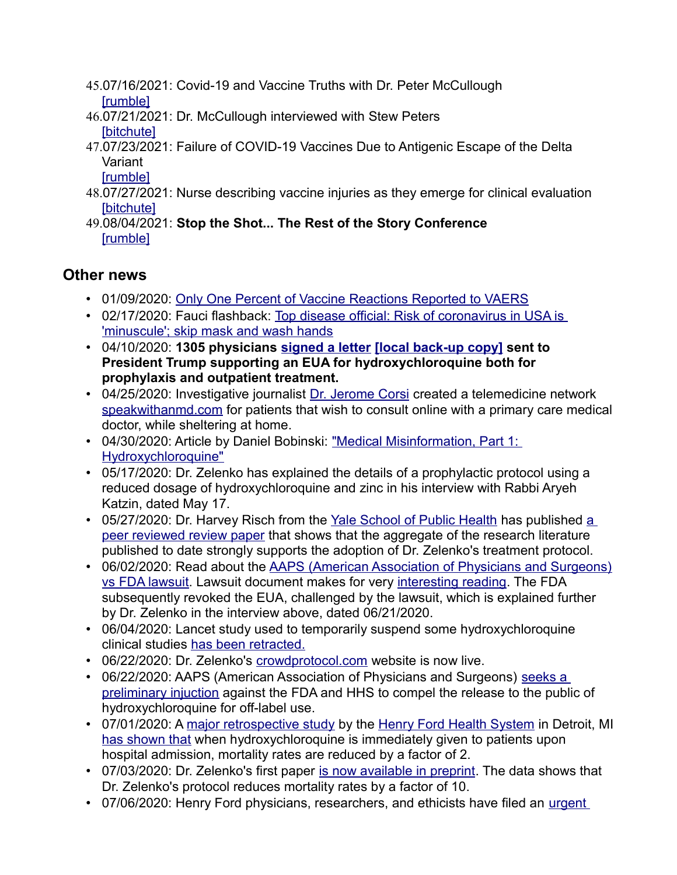- 45.[07/16/20](https://rumble.com/vjy61w-covid-19-and-vaccine-truths-with-dr-peter-mccullough.html)21: Covid-19 and Vaccine Truths with Dr. Peter McCullough [rumble]
- 46.[07/21/202](https://www.bitchute.com/video/pkQvdHCl0uTX/)1: Dr. McCullough interviewed with Stew Peters [bitchute]
- 47.07/23/2021: Failure of COVID-19 Vaccines Due to Antigenic Escape of the Delta [Variant](https://rumble.com/vk8mf5-covid-vaccine-effectiveness-against-variants.html)

[rumble]

- 48.[07/27/202](https://www.bitchute.com/video/YVfQribXCEsX/)1: Nurse describing vaccine injuries as they emerge for clinical evaluation [bitchute]
- 49.[08/04/20](https://rumble.com/vkoyp8-stop-the-shot...-the-rest-of-the-story-conference.html)21: **Stop the Shot... The Rest of the Story Conference** [rumble]

#### **Other news**

- 01/09/2020: Only One Perce[nt of Vaccine Reactions Reported to VAERS](https://www.usatoday.com/story/news/health/2020/02/17/nih-disease-official-anthony-fauci-risk-of-coronavirus-in-u-s-is-minuscule-skip-mask-and-wash-hands/4787209002/)
- [02/17/2020: Fauci flashback: Top diseas](https://www.usatoday.com/story/news/health/2020/02/17/nih-disease-official-anthony-fauci-risk-of-coronavirus-in-u-s-is-minuscule-skip-mask-and-wash-hands/4787209002/)e offic[ial: Risk of coronavirus](https://faculty.utrgv.edu/eleftherios.gkioulekas/zelenko/letter-to-pres-trump-4-13-2020-4pm-b.pdf) in USA is 'minuscule'; skip mask and wa[sh hands](https://aapsonline.org/letter-to-pres-trump-4-13-2020-4pm-b.pdf)
- 04/10/2020: **1305 physicians signed a letter [local back-up copy] sent to President Trump supporting an EUA for hydroxychloroquine both for prophylaxis and outpatient treat[ment.](https://corsination.com/covid-19/)**
- [04/25/2020: Investiga](https://speakwithanmd.com/corsination)tive journalist Dr. Jerome Corsi created a telemedicine network speakwithanmd.com for patients that wish to consult online with a primary care medical doctor, while sheltering at home.
- [04/30/2020: Article by](https://uncoverdc.com/2020/04/30/medical-misinformation-part-1-hydroxychloroquine/) Daniel Bobinski: "Medical Misinformation, Part 1: Hydroxychloroquine"
- 05/17/2020: Dr. Zelenko has explained the details of a prophylactic protocol using a reduced dosage of hydroxychloroquine and zinc in his interview with Rabbi Aryeh Katzin, dated May 17.
- [05/27/2020: Dr. Harvey Risc](https://doi.org/10.1093/aje/kwaa093)h from the Yale School of Public Health has published a peer reviewed review paper that shows that the aggregate of the research literature published to date strongly s[upports the adoption of Dr. Zelenko's treatment protocol.](https://aapsonline.org/hcqsuit/)
- [06/02/2020: Re](https://aapsonline.org/hcqsuit/)ad about the AAPS (American Ass[ociation of Physician](http://aapsonline.org/judicial/aaps-v-fda-hcq-6-2-2020.pdf)s and Surgeons) vs FDA lawsuit. Lawsuit document makes for very interesting reading. The FDA subsequently revoked the EUA, challenged by the lawsuit, which is explained further by Dr. Zelenko in the interview above, dated 06/21/2020.
- 06/04/2020: L[ancet study used to te](https://www.the-scientist.com/news-opinion/lancet-retracts-surgispheres-study-on-hydroxychloroquine-67613)mporarily suspend some hydroxychloroquine clinical studies has been r[etracted.](https://www.crowdprotocol.com/)
- 06/22/2020: Dr. Zelenko's crowdprotocol.com website is now live.
- [06/22/2020: AAPS \(A](https://aapsonline.org/preliminary-injunction-sought-to-release-hydroxychloroquine-to-the-public/)merican Association of Physicians and Surgeons) seeks a preliminary injuction against the FDA and HHS to compel the release to the public of hydroxychloro[quine for off-label use.](https://www.ijidonline.com/article/S1201-9712(20)30534-8/fulltext)
- [07/01/2020: A m](https://sharylattkisson.com/2020/07/breaking-hydroxychloroquine-lowers-covid-19-death-rate-study-finds/)ajor retrospective study by the Henry Ford Health System in Detroit, MI has shown that when hydroxychloroquine is immediately given to patients upon hospital admission, mortality rates ar[e reduced by a factor of 2.](https://www.preprints.org/manuscript/202007.0025/v1)
- 07/03/2020: Dr. Zelenko's first paper is now available in preprint. The data shows that Dr. Zelenko's protocol reduces mortality rates by a factor of 10.
- [07/06/2020](https://americaoutloud.com/wp-content/uploads/2020/07/Emergency-Use-Authorization-EUA.pdf)[: Henry Ford p](https://faculty.utrgv.edu/eleftherios.gkioulekas/zelenko/Emergency-Use-Authorization-EUA.pdf)hysicians, researchers, and ethicists have filed an urgent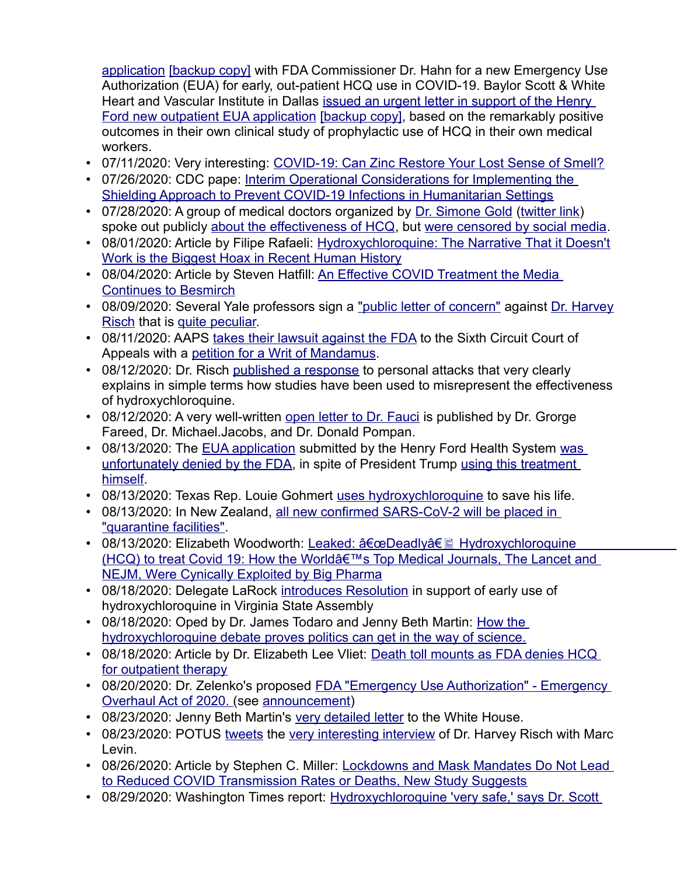application [backup copy] with FDA Commissioner Dr. Hahn for a new Emergency Use Authorization (EUA) for early, out-pati[ent HCQ use in COVID-19. Baylor Scott & White](https://hcqpetition.com/7-6-2020-EUA-Support.pdf)  [Heart and Vascular Institute in Dallas](https://hcqpetition.com/7-6-2020-EUA-Support.pdf) [issued an urg](https://faculty.utrgv.edu/eleftherios.gkioulekas/zelenko/7-6-2020-EUA-Support.pdf)ent letter in support of the Henry Ford new outpatient EUA application [backup copy], based on the remarkably positive outcomes in their own clinical study of prophylactic use of HCQ in their own medical workers.

- 07/11/2020: Very intere[sting: COVID-19: Can Zinc Restore Your Lost Sense of Smell?](https://www.cdc.gov/coronavirus/2019-ncov/global-covid-19/shielding-approach-humanitarian.html)
- [07/26/2020: CDC pape: Interim Operational Considerations for Implementing](https://www.cdc.gov/coronavirus/2019-ncov/global-covid-19/shielding-approach-humanitarian.html) the Shielding Approach to Prevent COVID-19 Infections i[n Humanitarian S](https://thegoldopinion.com/)[ettings](https://twitter.com/drsimonegold?lang=en)
- 07/28/2020: A gro[up of medical doctors organized](https://www.bitchute.com/video/HeC0tHZDX7dk/) by Dr. Simone Gold (twitter link) spoke out publicly about the effectiv[eness of HCQ, but were censored by social media.](https://truthabouthcq.com/hcq-works/)
- [08/01/2020: Article by Filipe Rafaeli: Hydroxychloroq](https://truthabouthcq.com/hcq-works/)uine: The Narrative That it Doesn't Work is the Biggest Hoax in Recent [Human History](https://www.realclearpolitics.com/articles/2020/08/04/an_effective_covid_treatment_the_media_continues_to_besmirch_143875.html)
- [08/04/2020: Article by S](https://www.realclearpolitics.com/articles/2020/08/04/an_effective_covid_treatment_the_media_continues_to_besmirch_143875.html)teven Hatfill: An Eff[ective COVID Treatment t](https://medium.com/@gregggonsalves/statement-from-yale-faculty-on-hydroxychloroquine-and-its-use-in-covid-19-47d0dee7b2b0)he Med[ia](https://doi.org/10.1093/aje/kwaa093)  Continues to Besmirch
- [08/09/](https://doi.org/10.1093/aje/kwaa093)2020: [Several Yale p](https://www.globalresearch.ca/academia-stoops-defamation-hydroxychloroquine/5720584)rofessors sign a "public letter of concern" against Dr. Harvey Risch that is quite [peculiar.](https://aapsonline.org/hydroxychloroquine-case-is-filed-in-the-sixth-circuit-by-aaps/)
- 08/11/2020: A[APS takes their lawsuit against th](https://aapsonline.org/judicial/aaps-v-fda-hcq-8-10-2020.pdf)e FDA to the Sixth Circuit Court of Appeals with a petitio[n for a Writ of Mandam](https://www.washingtonexaminer.com/opinion/hydroxychloroquine-works-in-high-risk-patients-and-saying-otherwise-is-dangerous)us.
- 08/12/2020: Dr. Risch published a response to personal attacks that very clearly explains in simple terms how s[tudies have been used t](https://corsination.com/open-letter-to-dr-anthony-fauci/)o misrepresent the effectiveness of hydroxychloroquine.
- 08/12/2020: A very well-written open letter to Dr. Fauci is published by Dr. Grorge Fareed, Dr. Mich[ael.Jacobs, and](https://faculty.utrgv.edu/eleftherios.gkioulekas/zelenko/Emergency-Use-Authorization-EUA.pdf) Dr. Donald Pompan.
- [08/13/2020: The EUA application](https://www.freep.com/story/news/health/2020/08/13/henry-ford-health-hydroxychloroquine-covid-fda/3360940001/) submitted by the Henry Ford Health System was [unfortun](https://faculty.utrgv.edu/eleftherios.gkioulekas/zelenko/trump-takes-hcq.pdf)ately denied by the FDA, in spit[e of President Trump usin](https://www.thegatewaypundit.com/2020/08/without-doubt-hydroxychloroquine-protocols-helped-symptom-free-4-days-congressman-louie-gohmert-speaks-bout-covid-19/?fbclid=IwAR2oAXIxu9evTJVk3ylgFcjExUiTXx8ARhI1GmGtDu4ZFc_0GFmiJrIcT9s)g this treatment himself.
- 08/13/2020: Texas Rep. Louie Gohmert uses hydroxychloroquine to save his life.
- [08/13/2020: In New Z](https://www.newshub.co.nz/home/new-zealand/2020/08/coronavirus-all-new-zealand-s-confirmed-covid-19-cases-to-be-put-in-quarantine-facilities-from-now-on.html?fbclid=IwAR20aWh4MhMivqiApFHt_DrN12uJYlOCXAgdE2QLQsaqHqYeOv3ufxTaC0Y)ealand, all new confirmed SARS-CoV-2 will be placed in "quarantine facilities".
- 08/13/2020: Elizabeth Woodworth: Leaked:  $\hat{a} \in \mathbb{C}$ Deadly $\hat{a} \in \mathbb{R}$  Hydroxychloroquine  $(HCQ)$  to treat Covid 19: How the World $\hat{a} \in \mathbb{N}$ s Top Medical Journals, The Lancet and NEJM, Were Cynically Exploit[ed by Big Pharma](https://aapsonline.org/delegate-larock-introduces-resolution-in-support-of-early-use-of-hydroxychloroquine-in-virginia-state-assembly/)
- 08/18/2020: Delegate LaRock introduces Resolution in support [of early use of](https://www.washingtontimes.com/news/2020/aug/18/how-the-hydroxychloroquine-debate-proves-politics-/)  hydroxychloroquine in Virginia State Assembly
- 08/18/2020: Oped by Dr. James Todaro and Jenny Beth Martin: How the hydroxychloroquine debate proves politics ca[n get in the way of science.](https://www.wnd.com/2020/08/death-toll-mounts-fda-denies-hcq-outpatient-therapy/)
- [08/18/2020: Article by](https://www.wnd.com/2020/08/death-toll-mounts-fda-denies-hcq-outpatient-therapy/) Dr. Elizabeth Lee Vliet: Death toll mounts as FDA denies HCQ for outpatient therapy
- [08/20/2020: Dr. Zelenk](https://writeyourlaws.com/2020/08/the-fda-emergency-use-authorization-emergency-overhaul-act-of-2020/)o's [proposed FDA "E](https://twitter.com/zev_dr/status/1297374599131299840?s=20)mergency Use Authorization" Emergency Overhaul Act of 2020. (see anno[uncement\)](https://tpp-resources.s3.amazonaws.com/documents/HCQ-Letter-to-President-Trump-FS.pdf)
- 08/23/2020: Jenny B[eth Mar](https://mobile.twitter.com/realDonaldTrump/status/1297715098795094017?s=20)tin'[s very detailed letter to the](https://www.youtube.com/watch?v=SkfL0PNf6vc) White House.
- 08/23/2020: POTUS tweets the very interesting interview of Dr. Harvey Risch with Marc Levin.
- [08/26/2020: Article by Stephen C. Miller: Lockdowns and Mask Mandates](https://www.aier.org/article/lockdowns-and-mask-mandates-do-not-lead-to-reduced-covid-transmission-rates-or-deaths-new-study-suggests/) Do Not Lead to Reduced COVID Transmission Rate[s or Deaths, New Study Suggests](https://www.washingtontimes.com/news/2020/aug/29/hydroxychloroquine-uproar-shows-objective-science-/)
- [08/29/2020: Washington Times report: H](https://www.washingtontimes.com/news/2020/aug/29/hydroxychloroquine-uproar-shows-objective-science-/)ydroxychloroquine 'very safe,' says Dr. Scott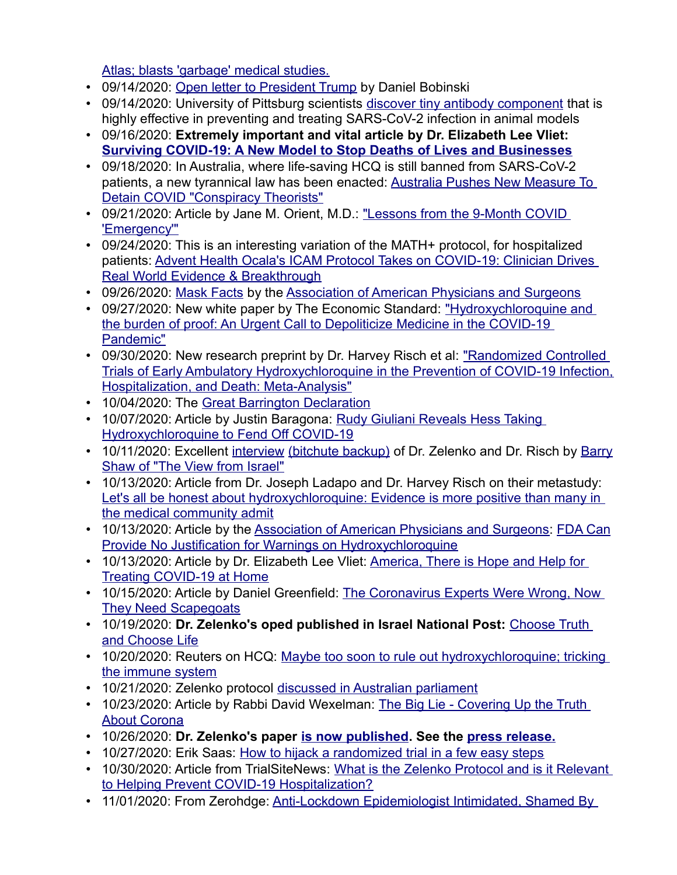Atlas; blasts ['garbage' medical studies.](https://uncoverdc.com/2020/09/14/an-open-letter-to-president-trump/)

- 09/14/2020: Open letter to President Trump by Daniel Bobinski
- 09/14/2020: University of Pittsburg scientists discover tiny antibody component that is highly effective in preventing and treating SARS-CoV-2 infection in animal models
- 09/16/2020: **[Extremely important and vital article by Dr. Elizabeth Lee Vliet:](https://aapsonline.org/surviving-covid-19-a-new-model-to-stop-deaths-of-lives-and-businesses/) Surviving COVID-19: A New Model to Stop Deaths of Lives and Businesses**
- 09/18/2020: In Australia, where life-saving HCQ i[s still banned from SARS-CoV-2](https://www.zerohedge.com/political/australia-push-new-measure-detain-conspiracy-theorists)  [patients, a new tyrannical law has bee](https://www.zerohedge.com/political/australia-push-new-measure-detain-conspiracy-theorists)n enacted: Australia Pushes New Measure To Detain COVID "Conspiracy Theorists"
- [09/21/2020: A](https://aapsonline.org/lessons-from-the-9-month-covid-emergency/)rticle by Jane M. Orient, M.D.: "Lessons from the 9-Month COVID 'Emergency'"
- 09/24/2020: This is an interesting variation of the MATH+ protocol, for hospitalized [patients: Advent Health Ocala's ICAM](https://www.trialsitenews.com/advent-health-ocalas-icam-protocol-takes-on-covid-19-clinician-drives-real-world-evidence-breakthrough/) Protocol Takes on COVID-19: Clinician Drives Real World [Evidence & B](https://aapsonline.org/mask-facts/)reakt[hrough](https://aapsonline.org/)
- 09/26/2020: Mask Facts by the Association of American P[hysicians and Surgeons](https://hcqwhitepaper.com/)
- 09/27/2020: New white paper by The Economic Standard: "Hydroxychloroquine and [the burden](https://hcqwhitepaper.com/) of proof: An Urgent Call to Depoliticize Medicine in the COVID-19 Pandemic"
- 09/30/2020: New research preprint by Dr. Harvey Risch et al: "Randomized Controlled [Trials of Early Ambulatory Hydroxychloroqu](https://doi.org/10.1101/2020.09.30.20204693)ine in the Prevention of COVID-19 Infection, Hospitalization, [and Death: Meta-Analysis"](https://gbdeclaration.org/)
- 10/04/2020: The Great Barrington Decl[aration](https://www.thedailybeast.com/rudy-giuliani-reveals-hes-taking-hydroxychloroquine-to-fend-off-covid-19)
- [10/07/2020: Article by Justin Baragona: Rud](https://www.thedailybeast.com/rudy-giuliani-reveals-hes-taking-hydroxychloroquine-to-fend-off-covid-19)y Giuliani Reveals Hess Taking Hydroxychloroquine t[o Fend Of](ttps://www.youtube.com/watch?v=HZrknfwPxN4)[f COVID-19](https://www.bitchute.com/video/oapdeyUwVwCZ/)
- [10/11/2020: Excellent interview](https://www.youtube.com/channel/UC08HnNN2GOa9HpLkQNt1i-w) (bitchute backup) of Dr. Zelenko and Dr. Risch by Barry Shaw of "The View from Israel"
- 10/13/2020: Article from Dr. Joseph Ladapo and Dr. Harvey Risch on their metastudy: [Let's all be honest about hydr](https://www.nydailynews.com/opinion/ny-oped-lets-all-be-honest-about-hydroxychloroquine-20201013-5j5q4i23qvfuzos4jh7ztc3usa-story.html)oxychloroquine: Evidence is more positive than many in the medical community a[dmit](https://aapsonline.org/)
- [10/13/2020: Article by the Association of American Physicians](https://aapsonline.org/fda-can-provide-no-justification-for-warnings-on-hydroxychloroquine/) and Surgeons: FDA Can Provide No Justification for Warnings on Hydr[oxychloroquine](https://aapsonline.org/america-there-is-hope-and-help-for-treating-covid-19-at-home/)
- [10/13/2020: Article by Dr. Eliz](https://aapsonline.org/america-there-is-hope-and-help-for-treating-covid-19-at-home/)abeth Lee Vliet: America, There is Hope and Help for Treating COVID-19 at Home
- [10/15/2020: Article by D](https://www.frontpagemag.com/fpm/2020/10/coronavirus-experts-were-wrong-now-they-need-daniel-greenfield/)aniel Greenfield: The Coronavirus Experts Were Wrong, Now They Need Scapegoats
- [10/19/2020:](https://www.israelnationalnews.com/News/News.aspx/289409) **Dr. Zelenko's oped published in Israel National Post:** Choose Truth and Choose Life
- [10/20/2020: Reuters](https://www.reuters.com/article/us-health-coronavirus-science-idUSKBN26N3F1) on HCQ: Maybe too soon to rule out hydroxychloroquine; tricking the immune system
- 10/21/2020: Zelenko protocol discussed in Aus[tralian parliament](https://communalnews.com/the-big-lie-covering-up-the-truth-about-corona/)
- [10/23/2020: Ar](https://communalnews.com/the-big-lie-covering-up-the-truth-about-corona/)ticle by Rabbi Davi[d Wexelman: The B](https://doi.org/10.1016/j.ijantimicag.2020.106214)ig Lie [Covering Up the](https://faculty.utrgv.edu/eleftherios.gkioulekas/zelenko/Zelenko-press-release-October.pdf) Truth About Corona
- 10/26/2020: **Dr. Zelen[ko's paper is now published. See the press release](https://theeconomicstandard.com/how-to-hijack-a-randomized-trial-in-a-few-easy-steps/).**
- 10/27/2020: Erik Saas: How to hijack a [randomized trial in a few easy steps](https://www.trialsitenews.com/what-is-the-zelenko-protocol-and-is-it-relevant-to-helping-prevent-covid-19-hospitalization/)
- [10/30/2020: Article from TrialSiteNews: What is](https://www.trialsitenews.com/what-is-the-zelenko-protocol-and-is-it-relevant-to-helping-prevent-covid-19-hospitalization/) the Zelenko Protocol and is it Relevant to Helping Prevent COVID-1[9 Hospitalization?](https://www.zerohedge.com/medical/anti-lockdown-epidemiologist-intimidated-shamed-contagion-hatred-and-hysteria)
- [11/01/2020: From Zerohdge: Anti-L](https://www.zerohedge.com/medical/anti-lockdown-epidemiologist-intimidated-shamed-contagion-hatred-and-hysteria)ockdown Epidemiologist Intimidated, Shamed By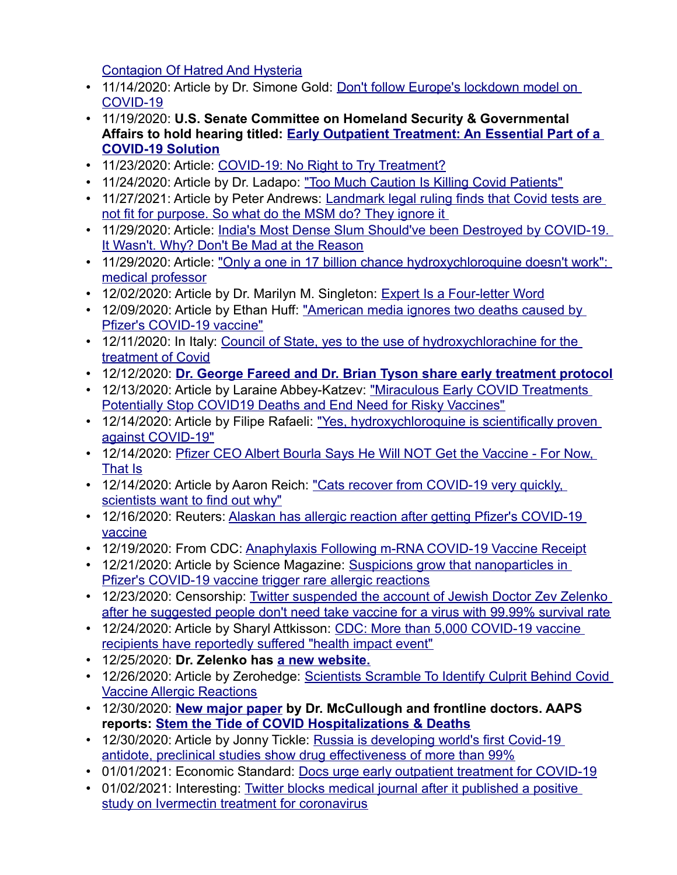Contagion Of Hatred And Hysteria

- [11/14/2020](https://www.washingtontimes.com/news/2020/nov/14/dont-follow-europes-lockdown-model-on-covid-19/): Article by Dr. Simone Gold: Don't follow Europe's lockdown model on COVID-19
- 11/19/2020: **U.S. Senate Com[mittee on Homeland Security & Governmental](https://www.hsgac.senate.gov/hearings/early-outpatient-treatment-an-essential-part-of-a-covid-19-solution)  [Affairs to hold hear](https://www.hsgac.senate.gov/hearings/early-outpatient-treatment-an-essential-part-of-a-covid-19-solution)ing titled: Early Outpatient Treatment: An Essential Part of a COVID-19 Solutio[n](https://aapsonline.org/covid-19-no-right-to-try-treatment/)**
- 11/23/2020: Article: COVID-19: No [Right to Try Treatment?](https://www.wsj.com/articles/too-much-caution-is-killing-covid-patients-11606238928)
- 11/24/2020: Article by Dr. Ladapo: "To[o Much Caution Is Killing Covid Patients"](https://www.rt.com/op-ed/507937-covid-pcr-test-fail/)
- [11/27/2021: Article by Peter Andrews: Landmark legal ruling](https://www.rt.com/op-ed/507937-covid-pcr-test-fail/) finds that Covid tests are not fit for purpose. [So what do the MSM do? They ignore it](https://backtojerusalem.com/indias-most-dense-slum-shouldve-been-destroyed-by-covid-19-it-wasnt-why-dont-be-mad-at-the-reason/)
- [11/29/2020: Article: India's Most Dense Slum](https://backtojerusalem.com/indias-most-dense-slum-shouldve-been-destroyed-by-covid-19-it-wasnt-why-dont-be-mad-at-the-reason/) Should've been Destroyed by COVID-19. It Wasn't. Why? Do[n't Be Mad at the Reason](https://www.skynews.com.au/details/_6212859932001)
- [11/29/2020: Article](https://www.skynews.com.au/details/_6212859932001): "Only a one in 17 billion chance hydroxychloroquine doesn't work": medical professor
- 12/02/2020: Article by Dr. Marilyn [M. Singleton: Expert Is a Four-letter Word](https://www.naturalnews.com/2020-12-09-media-ignores-two-deaths-pfizer-covid19-vaccine.html)
- [12/09/2020: Article by Ethan](https://www.naturalnews.com/2020-12-09-media-ignores-two-deaths-pfizer-covid19-vaccine.html) Huff: "American media ignores two deaths caused by Pfizer's COVID-19 [vaccine"](https://www.ansa.it/canale_saluteebenessere/notizie/sanita/2020/12/11/consiglio-stato-si-a-uso-idrossiclorachina-per-cura-covid_d0ec3dac-4dae-40ec-8eb3-e23e002da32c.html)
- [12/11/2020: In Italy](https://www.ansa.it/canale_saluteebenessere/notizie/sanita/2020/12/11/consiglio-stato-si-a-uso-idrossiclorachina-per-cura-covid_d0ec3dac-4dae-40ec-8eb3-e23e002da32c.html): Council of State, yes to the use of hydroxychlorachine for the treatment of [Covid](https://www.thedesertreview.com/news/dr-george-fareed-and-dr-brian-tyson-share-hcq-protocol/article_7728815e-3ca2-11eb-8a08-7b4b0156c181.html)
- 12/12/2020: **Dr. George Fareed and Dr. Bria[n Tyson share early treatment protocol](https://www.naturalblaze.com/2020/12/miraculous-early-covid-treatments-potentially-stop-covid19-deaths-and-end-need-for-risky-vaccines.html)**
- [12/13/2020: Article by Laraine Abbey-Katzev: "Miraculous Early COVI](https://www.naturalblaze.com/2020/12/miraculous-early-covid-treatments-potentially-stop-covid19-deaths-and-end-need-for-risky-vaccines.html)D Treatments Potentially Stop COVID19 Deaths a[nd End Need for Risky Vaccines"](https://filiperafaeli.substack.com/p/yes-hydroxychloroquine-is-scientifically)
- [12/14/2020: Article](https://filiperafaeli.substack.com/p/yes-hydroxychloroquine-is-scientifically) by Filipe Rafaeli: "Yes, hydroxychloroquine is scientifically proven against CO[VID-19"](https://home-tricks.info/2020/12/16/pfizer-ceo-albert-bourla-says-he-will-not-get-the-vaccine-for-now-that-is?fbclid=IwAR06aqe09XZHlMqnPFktbyZX9eJyNN_IpQQhi6YBYqRcly-6lpfsAR82Evg)
- [12/14/2](https://home-tricks.info/2020/12/16/pfizer-ceo-albert-bourla-says-he-will-not-get-the-vaccine-for-now-that-is?fbclid=IwAR06aqe09XZHlMqnPFktbyZX9eJyNN_IpQQhi6YBYqRcly-6lpfsAR82Evg)020: Pfizer CEO Albert Bourla Says He Will NOT Get the Vaccine For Now, That Is
- [12/14/2020: Article by Aaron Re](https://www.jpost.com/health-science/cats-recover-from-covid-19-very-quickly-scientists-want-to-find-out-why-652102)ich: "Cats recover from COVID-19 very quickly, scientists want to fin[d out why"](https://www.reuters.com/article/idUSKBN28Q2LC?fbclid=IwAR3n_oPxEL78PNkzCmKaUWCAT3DvDLErdpC319d4ozrYqlX9nNJ7Et6WdEM)
- [12/16/20](https://www.reuters.com/article/idUSKBN28Q2LC?fbclid=IwAR3n_oPxEL78PNkzCmKaUWCAT3DvDLErdpC319d4ozrYqlX9nNJ7Et6WdEM)20: Reuters: Al[askan has allergic reaction after getting Pfizer](https://www.cdc.gov/vaccines/acip/meetings/downloads/slides-2020-12/slides-12-19/05-COVID-CLARK.pdf)'[s COVID-19](https://www.cdc.gov/vaccines/acip/meetings/downloads/slides-2020-12/slides-12-19/05-COVID-CLARK.pdf)  vaccine
- 12/19/2020: From CDC: Anaphylaxis Foll[owing m-RNA COVID-19 Vaccine Receipt](https://www.sciencemag.org/news/2020/12/suspicions-grow-nanoparticles-pfizer-s-covid-19-vaccine-trigger-rare-allergic-reactions)
- [12/21/2020: Article by Science Magazine: Suspicions gro](https://www.sciencemag.org/news/2020/12/suspicions-grow-nanoparticles-pfizer-s-covid-19-vaccine-trigger-rare-allergic-reactions)w that nanoparticles in Pfizer's COVID-19 vacci[ne trigger rare allergic reactions](https://techstartups.com/2020/12/23/twitter-suspended-account-jewish-doctor-zev-zelenko-suggested-people-dont-need-vaccine-virus-99-99-survival-rate/)
- 12/23/2020: Censorship: Twitter suspended the account of Jewish Doctor Zev Zelenko after he suggested people don't need t[ake vaccine for a virus with 99.99% survival rate](https://sharylattkisson.com/2020/12/cdc-more-than-5000-covid-19-vaccine-recipients-have-reportedly-suffered-health-impact-event/)
- [12/24/2020: Article by Sharyl Attkisson: CDC: More than 5](https://sharylattkisson.com/2020/12/cdc-more-than-5000-covid-19-vaccine-recipients-have-reportedly-suffered-health-impact-event/),000 COVID-19 vaccine recipients have reportedly suf[fered "health imp](https://www.vladimirzelenkomd.com/)act event"
- 12/25/2020: **Dr. Zelenko has a ne[w website.](https://www.zerohedge.com/medical/scientists-scramble-identify-culprit-behind-covid-vaccine-allergic-reactions)**
- [12/26/2020: Article by Zero](https://www.zerohedge.com/medical/scientists-scramble-identify-culprit-behind-covid-vaccine-allergic-reactions)hedge: Scientists Scramble To Identify Culprit Behind Covid Vaccine Alle[rgic Reactions](https://rcm.imrpress.com/EN/Y2020/V21/I4/517)
- 12/30/2020: **[New major paper by Dr. McCullough and frontlin](https://aapsonline.org/stem-the-tide-of-covid-hospitalizations-deaths/)e doctors. AAPS reports: Stem the Tide of COVID [Hospitalizations & Deaths](https://www.rt.com/russia/511116-world-first-covid19-antidote/)**
- [12/30/2020: Article by Jonny Tickle: Russia is developing world's first C](https://www.rt.com/russia/511116-world-first-covid19-antidote/)ovid-19 antidote, preclinical studies show [drug effectiveness of more than 99%](https://theeconomicstandard.com/docs-urge-early-outpatient-treatment-for-covid-19/)
- 01/01/2021: Economic [Standard: Docs urge early outpatient treatment for COVID-19](https://reclaimthenet.org/ivermectin-twitter-blocks-medical-journal/)
- [01/02/2021: Interesting: Twitter blocks medica](https://reclaimthenet.org/ivermectin-twitter-blocks-medical-journal/)l journal after it published a positive study on Ivermectin treatment for co[ronavirus](https://www.thegatewaypundit.com/2021/01/new-york-state-democrat-lawmaker-propose-bill-detain-disease-carriers-governor-deems-dangerous-public-health/)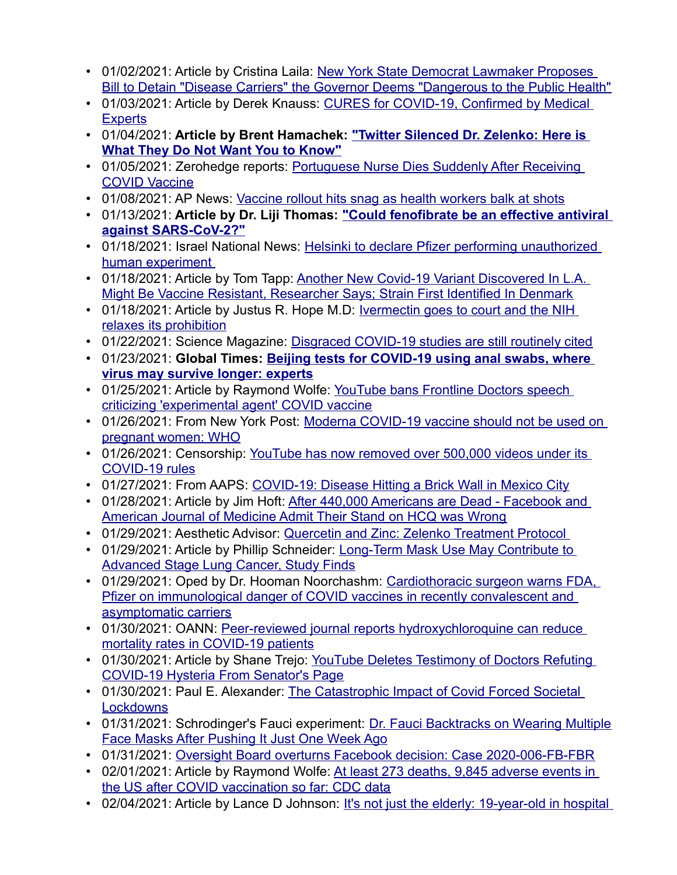- [01/02/2021: Article by Cristina Laila: New York State Democrat Lawmaker Proposes](https://www.thegatewaypundit.com/2021/01/new-york-state-democrat-lawmaker-propose-bill-detain-disease-carriers-governor-deems-dangerous-public-health/)  Bill to Detain "Disease Carriers" the [Governor Deems "Dangerous to the Public Health"](https://prepareforchange.net/2021/01/03/cures-for-covid-19-confirmed-by-medical-experts/)
- [01/03/20](https://prepareforchange.net/2021/01/03/cures-for-covid-19-confirmed-by-medical-experts/)21: Article by Derek Knauss: CURES for COVID-19, Confirmed by Medical **Experts**
- 01/04/2021: **[Article by Brent Hamachek](https://humanevents.com/2021/01/04/twitter-silenced-dr-zelenko-here-is-what-they-do-not-want-you-to-know/): "Twitter Silenced Dr. Zelenko: Here is What They Do Not Want You t[o Know"](https://www.zerohedge.com/covid-19/portuguese-nurse-dies-suddenly-after-receiving-covid-vaccine)**
- [01/05/2021: Zer](https://www.zerohedge.com/covid-19/portuguese-nurse-dies-suddenly-after-receiving-covid-vaccine)ohedg[e reports: Portuguese Nurse Dies Suddenly After Receivi](https://apnews.com/article/coronavirus-vaccine-health-workers-676e03a99badfd5ce3a6cfafe383f6af)ng COVID Vaccine
- 01/08/2021: AP News: Vaccine rollout hit[s snag as health workers balk at shots](https://www.news-medical.net/news/20210113/Could-fenofibrate-be-an-effective-antiviral-against-SARS-CoV-2.aspx)
- [01/13/2021:](https://www.news-medical.net/news/20210113/Could-fenofibrate-be-an-effective-antiviral-against-SARS-CoV-2.aspx) **Article by Dr. Liji Th[omas: "Could fenofibrate be an effective antiviral](https://www.israelnationalnews.com/News/Flash.aspx/529253)  against SARS-CoV-2?"**
- [01/18/2021: Israel N](https://www.israelnationalnews.com/News/Flash.aspx/529253)ational New[s: Helsinki to declare Pfizer performing unauthorized](https://deadline.com/2021/01/another-new-covid-19-variant-in-l-a-vaccine-resistant-denmark-1234675834/)  human experiment
- [01/18/2021: Article by Tom Tapp: Another New Covid-19 Variant Discovered In L.A](https://deadline.com/2021/01/another-new-covid-19-variant-in-l-a-vaccine-resistant-denmark-1234675834/). Might Be Vaccine Resistant, Researcher S[ays; Strain First Identified In Denmark](https://www.thedesertreview.com/opinion/letters_to_editor/ivermectin-goes-to-court-and-the-nih-relaxes-its-prohibition/article_440b7300-59bf-11eb-b945-4f69ec28f4c0.html)
- [01/18/2021: Article by](https://www.thedesertreview.com/opinion/letters_to_editor/ivermectin-goes-to-court-and-the-nih-relaxes-its-prohibition/article_440b7300-59bf-11eb-b945-4f69ec28f4c0.html) Justus R. Hope M.D: Ivermectin goes to court and the NIH relaxes its prohibition
- 01/22/2021: Science Magaz[ine: Disgraced COVID-19 studies are still routinely cited](https://www.globaltimes.cn/page/202101/1213668.shtml)
- 01/23/2021: **[Global Times: Beijing](https://www.globaltimes.cn/page/202101/1213668.shtml) te[sts for COVID-19 using anal swabs, where](https://www.lifesitenews.com/news/youtube-bans-frontline-doctors-speech-criticizing-experimental-agent-covid-vaccine)  virus may survive longer: experts**
- [01/25/2021: Article by Raymond Wolfe: YouTub](https://www.lifesitenews.com/news/youtube-bans-frontline-doctors-speech-criticizing-experimental-agent-covid-vaccine)e bans Frontline Doctors speech criticizing 'experimental agent' CO[VID vaccine](https://nypost.com/2021/01/26/pregnant-women-should-avoid-moderna-covid-19-vaccine-who/)
- [01/26/2021: From New Y](https://nypost.com/2021/01/26/pregnant-women-should-avoid-moderna-covid-19-vaccine-who/)ork Post: Moderna COVID-19 vaccine should not be used on pregnant women: WHO
- [01/26/2021: Cen](https://reclaimthenet.org/youtube-500000-videos-removed-covid-rules/)sorship: [YouTube has now removed over 500,000 videos under](https://aapsonline.org/covid-19-disease-hitting-a-brick-wall-in-mexico-city/) its COVID-19 rules
- 01/27/2021: From AAPS: COVI[D-19: Disease Hitting a Brick Wall in Mexico City](https://www.thegatewaypundit.com/2021/01/440000-americans-dead-facebook-american-journal-medicine-admit-stand-hcq-wrong-people-prosecuted/)
- [01/28/2021: Article by Jim Hoft: After 440,000 Americans are Dead F](https://www.thegatewaypundit.com/2021/01/440000-americans-dead-facebook-american-journal-medicine-admit-stand-hcq-wrong-people-prosecuted/)acebook and American Journal of Medicine [Admit Their Stand on HCQ was Wrong](https://www.aestheticsadvisor.com/2021/01/quercetin-and-zinc-zelenko-treatment.html)
- 01/29/2021: Aesthetic Advisor: Querceti[n and Zinc: Zelenko Treatment Protocol](https://www.blacklistednews.com/article/79130/longterm-mask-use-may-contribute-to-advanced-stage-lung-cancer-study.html)
- [01/29/2021: Article by Phillip Schneider: Lon](https://www.blacklistednews.com/article/79130/longterm-mask-use-may-contribute-to-advanced-stage-lung-cancer-study.html)g-T[erm Mask Use May Contribute to](https://www.lifesitenews.com/opinion/cardiothoracic-surgeon-warns-fda-pfizer-on-immunological-danger-of-covid-vaccines-in-recently-convalescent-and-asymptomatic-carriers)  Advanced Stage Lung Cancer, Study Finds
- [01/29/2021: Oped by Dr. Hooman Noorchashm: Cardiothoracic surgeon warns FDA,](https://www.lifesitenews.com/opinion/cardiothoracic-surgeon-warns-fda-pfizer-on-immunological-danger-of-covid-vaccines-in-recently-convalescent-and-asymptomatic-carriers)  [Pfizer on immunologic](https://www.lifesitenews.com/opinion/cardiothoracic-surgeon-warns-fda-pfizer-on-immunological-danger-of-covid-vaccines-in-recently-convalescent-and-asymptomatic-carriers)[al danger of COVID vaccines in recently convalescent and](https://www.oann.com/peer-reviewed-journal-reports-hydroxychloroquine-can-reduce-mortality-rates-in-covid-19-patients/)  asymptomatic carriers
- [01/30/2021: OANN: Peer-reviewed jo](https://www.oann.com/peer-reviewed-journal-reports-hydroxychloroquine-can-reduce-mortality-rates-in-covid-19-patients/)[urnal reports hydroxychloroquine can reduce](https://bigleaguepolitics.com/youtube-deletes-testimony-of-doctors-refuting-covid-19-hysteria-from-senators-page/)  mortality rates in COVID-19 patients
- [01/30/2021: Article by Shane Trejo: YouTu](https://bigleaguepolitics.com/youtube-deletes-testimony-of-doctors-refuting-covid-19-hysteria-from-senators-page/)be Deletes Testimony of Doctors Refuting COVID-19 Hysteria From Sena[tor's Page](https://www.aier.org/article/the-catastrophic-impact-of-covid-forced-societal-lockdowns/)
- [01/30/2021:](https://www.aier.org/article/the-catastrophic-impact-of-covid-forced-societal-lockdowns/) Paul E. Alexander: The Catastrophic Impact of Covid Forced Societal **Lockdowns**
- [01/31/2021: Schrodinger's Fauci experiment: Dr.](https://www.thegatewaypundit.com/2021/01/dr-fauci-backtracks-wearing-multiple-face-masks-pushing-just-one-week-ago/) Fauci Backtracks on Wearing Multiple Face Masks [After Pushing It Just One Week Ago](https://oversightboard.com/news/325131635492891-oversight-board-overturns-facebook-decision-case-2020-006-fb-fbr/?ref=shareable)
- 01/31/2021: Oversight Board overturns [Facebook decision: Case 2020-006-FB-FBR](https://www.lifesitenews.com/news/at-least-273-deaths-9845-adverse-events-after-covid-vaccination-so-far-cdc-data)
- [02/01/2021: Article by Raymond Wolfe: At least 27](https://www.lifesitenews.com/news/at-least-273-deaths-9845-adverse-events-after-covid-vaccination-so-far-cdc-data)3 deaths, 9,845 adverse events in the US after COVID vaccination so far: C[DC data](https://www.naturalnews.com/2021-02-04-19-year-old-hospitalized-after-second-dose-coronavirus-vaccine.html)
- [02/04/2021: Article by Lance D Johnson: It's not just](https://www.naturalnews.com/2021-02-04-19-year-old-hospitalized-after-second-dose-coronavirus-vaccine.html) the elderly: 19-year-old in hospital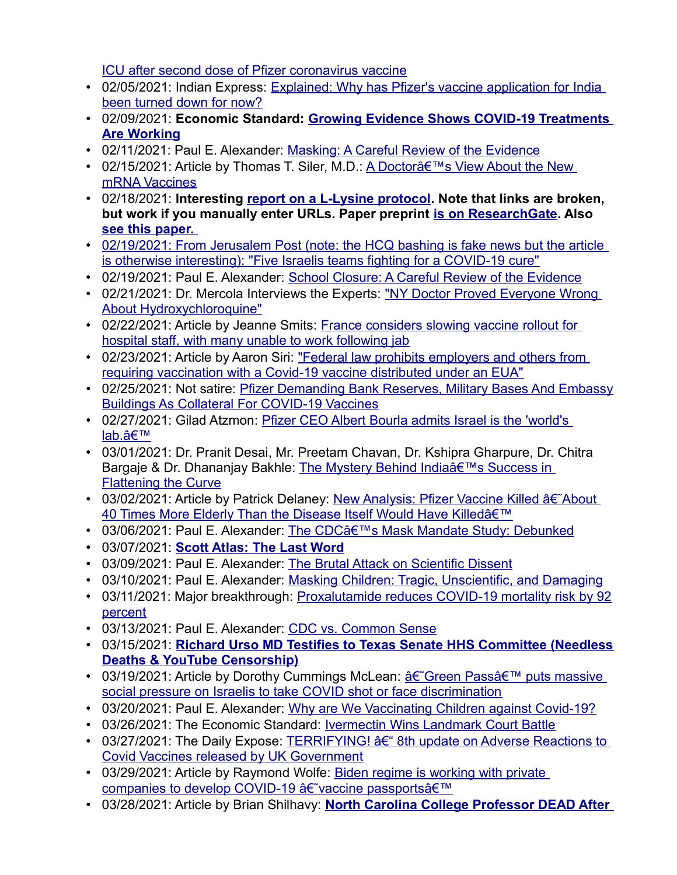ICU after second dose of Pfi[zer coronavirus vaccine](https://indianexpress.com/article/explained/why-has-pfizers-vaccine-application-for-india-been-turned-down-for-now-7176040/)

- [02/05/2021: Indian Express](https://indianexpress.com/article/explained/why-has-pfizers-vaccine-application-for-india-been-turned-down-for-now-7176040/): Explai[ned: Why has Pfizer](https://theeconomicstandard.com/covid-19-treatment-options/)'s vaccine application for India been turned down for now?
- [02/09/2021:](https://theeconomicstandard.com/covid-19-treatment-options/) **Economic Standard: Growing Evidence Shows COVID-19 Treatments Are Working**
- 02/11/2021: Paul E. Alexander: Masking: A [Careful Review of the Evidence](https://www.americanthinker.com/articles/2021/02/a_doctors_view_about_the_new_mrna_vaccines.html)
- [02/15/2021: Artic](https://www.americanthinker.com/articles/2021/02/a_doctors_view_about_the_new_mrna_vaccines.html)le by Thomas T. Siler, M.D.: A Doctor's View About the New mRNA Vaccines
- 02/18/2021: **Interesting report on a L-Lysine protocol[. Note that links are b](https://www.researchgate.net/publication/344210822_Lysine_Therapy_for_SARS-CoV-2)roken, [but work if you](https://www.ncbi.nlm.nih.gov/pmc/articles/PMC7641537/pdf/main.pdf) manually enter URLs. Paper preprint is on ResearchGate. Also  [see this paper.](https://www.ncbi.nlm.nih.gov/pmc/articles/PMC7641537/pdf/main.pdf)**
- [02/19/2021: From Jerusa](https://www.ncbi.nlm.nih.gov/pmc/articles/PMC7641537/pdf/main.pdf)[lem Post \(note: the HCQ bashing is fake news but](https://www.jpost.com/health-science/five-israeli-companies-fighting-for-a-covid-19-cure-659456) the article is otherwise interesting): "Five I[sraelis teams fighting for a COVID-19 cure"](https://www.aier.org/article/school-closure-a-careful-review-of-the-evidence/)
- 02/19/2021: Paul E. Alexander: School Closure: [A Careful Review of the Evidence](https://dawsoncountyjournal.com/blog/2021/02/21/ny-doctor-proved-everyone-wrong-about-hydroxychloroquine/)
- [02/21/2021: Dr. Mercola Inte](https://dawsoncountyjournal.com/blog/2021/02/21/ny-doctor-proved-everyone-wrong-about-hydroxychloroquine/)rviews the Experts: "NY Doctor Proved Everyone Wrong About Hydroxychloroquine"
- [02/22/2021: Article by Jeanne Smits: France conside](https://www.lifesitenews.com/news/france-considers-slowing-vaccine-rollout-for-hospital-staff-with-many-unable-to-work-following-jab)rs slowing vaccine rollout for hospital staff, with many unable t[o work following jab](https://www.statnews.com/2021/02/23/federal-law-prohibits-employers-and-others-from-requiring-vaccination-with-a-covid-19-vaccine-distributed-under-an-eua/)
- [02/23/2021: Article by Aaron Siri: "Federal law prohibits employers and o](https://www.statnews.com/2021/02/23/federal-law-prohibits-employers-and-others-from-requiring-vaccination-with-a-covid-19-vaccine-distributed-under-an-eua/)thers from requiring vaccination w[ith a Covid-19 vaccine distributed under an EUA"](https://greatgameindia.com/pfizer-demanding-military-bases-vaccines/)
- [02/25/2021: Not satire: Pfizer Demanding Bank](https://greatgameindia.com/pfizer-demanding-military-bases-vaccines/) Reserves, Military Bases And Embassy Buildings As Collateral For [COVID-19 Vaccines](https://gilad.online/writings/2021/2/27/hot-off-the-press-pfizer-ceo-albert-bourla-admits-israel-is-the-worlds-labnbsp)
- [02/27/20](https://gilad.online/writings/2021/2/27/hot-off-the-press-pfizer-ceo-albert-bourla-admits-israel-is-the-worlds-labnbsp)21: Gilad Atzmon: Pfizer CEO Albert Bourla admits Israel is the 'world's lab.'
- 03/01/2021: Dr. Pranit Desai, Mr. [Preetam Chavan, Dr. Kshipra Gharpure, Dr. Chitra](https://covexit.com/the-mystery-behind-india-success-in-flattening-the-curve/)  [Bargaje & Dr. Dhana](https://covexit.com/the-mystery-behind-india-success-in-flattening-the-curve/)njay Bakhle: The Mystery Behind India's Success in Flattening the Curve
- [03/02/2021: Article by Patrick Delaney: New Analysis: Pfizer Vaccine K](https://childrenshealthdefense.org/defender/israel-pfizer-vaccine-killed-more-elderly-than-covid/)illed †About 40 Times More Elderly Than the Disease Itself Would Have Killedâ€<sup>™</sup>
- 03/06/2021: [Paul E. Alexander: The CDCâ](https://stanfordreview.org/scott-atlas-the-last-word/)€™s Mask Mandate Study: Debunked
- 03/07/2021: **Scott Atlas: The [Last Word](https://www.aier.org/article/the-brutal-attack-on-scientific-dissent/)**
- 03/09/2021: Paul E. Alexander: [The Brutal Attack on Scientific Dissent](https://www.aier.org/article/masking-children-tragic-unscientific-and-damaging/)
- 03/10/2021: Paul E. Alexander: [Masking Children: Tragic, Unscientific, and Damaging](https://www.europeanpharmaceuticalreview.com/news/147167/proxalutamide-reduces-covid-19-mortality-risk-by-92-percent/)
- [03/11/20](https://www.europeanpharmaceuticalreview.com/news/147167/proxalutamide-reduces-covid-19-mortality-risk-by-92-percent/)21: Major breakthrough: Proxalutamide reduces COVID-19 mortality risk by 92 percent
- 03/13/2021: [Paul E. Alexander: CDC vs. Common Sense](https://dryburgh.com/richard-urso-md-needless-deaths-youtube-censorship/)
- 03/15/2021: **[Richard Urso MD Te](https://dryburgh.com/richard-urso-md-needless-deaths-youtube-censorship/)stifies to Texas [Senate HHS Committee \(Needless](https://www.lifesitenews.com/news/green-pass-puts-massive-social-pressure-on-israelis-to-take-covid-shot-or-face-discrimination) Deaths & YouTube Censorship)**
- 03/19/2021: Article by Dorothy Cummings McLean:  $\hat{\mathbf{a}} \in \hat{\mathbf{a}}$ Green Pass' puts massive social pressure on Israelis to ta[ke COVID shot or face discrimination](https://www.aier.org/article/why-are-we-vaccinating-children-against-covid-19/)
- 03/20/2021: Paul E. Alexander: Why [are We Vaccinating Children against Cov](https://theeconomicstandard.com/ivermectin-wins-landmark-court-battle/)id-19?
- 03/26/2021: The Economic Sta[ndard: Ivermectin Wins Landmark Court Battle](https://dailyexpose.co.uk/2021/03/27/terrifying-8th-update-on-adverse-reactions-to-covid-vaccines-released-by-uk-government/)
- [03/27/2021: The Daily Expose: TERRIFYING](https://dailyexpose.co.uk/2021/03/27/terrifying-8th-update-on-adverse-reactions-to-covid-vaccines-released-by-uk-government/)!  $A \epsilon^*$  8th update on Adverse Reactions to Covid Vaccines released by UK Govern[ment](https://www.lifesitenews.com/news/biden-regime-is-working-with-private-companies-to-develop-covid-19-vaccine-passports)
- [03/29/2021: Article by Raymond Wolfe: Biden regime is work](https://www.lifesitenews.com/news/biden-regime-is-working-with-private-companies-to-develop-covid-19-vaccine-passports)ing with private companies to develop COVID-19 †vaccine passportsâ€<sup>™</sup>
- [03/28/2021: Article by Brian Shilhavy:](https://healthimpactnews.com/2021/north-carolina-college-professor-dead-after-johnson-and-johnson-covid-shot/) **North Carolina College Professor DEAD After**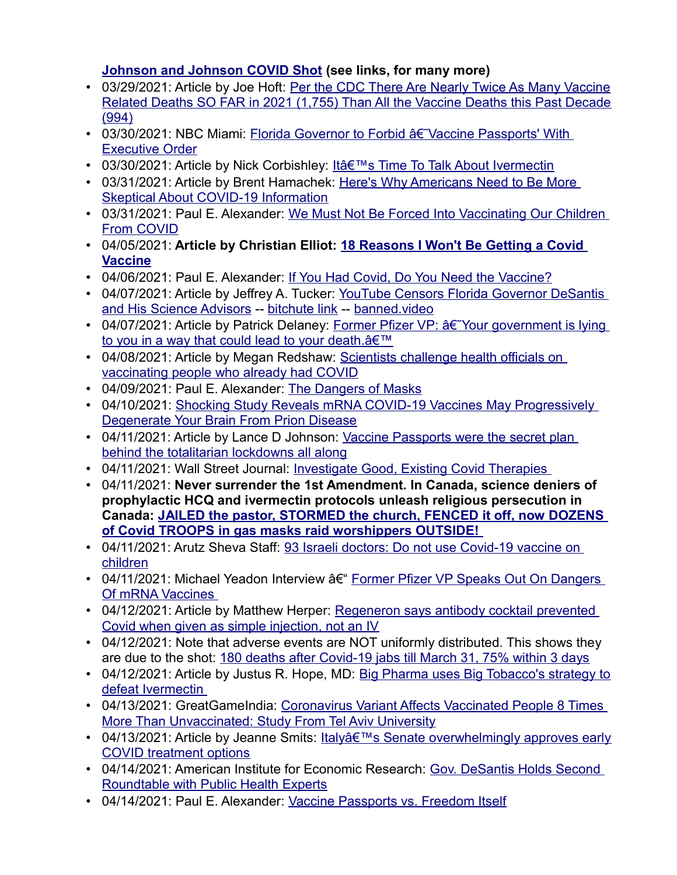#### **Johnson and Johnson COVID [Shot \(see links, for many more\)](https://www.thegatewaypundit.com/2021/03/exclusive-per-cdc-data-nearly-twice-many-vaccine-related-deaths-far-2021-1755-vaccine-deaths-past-decade-994/)**

- [03/29/2021: Article by Joe Hoft: Per the CDC There Are Nearly Twice As Many Vaccine](https://www.thegatewaypundit.com/2021/03/exclusive-per-cdc-data-nearly-twice-many-vaccine-related-deaths-far-2021-1755-vaccine-deaths-past-decade-994/) [Relate](https://www.thegatewaypundit.com/2021/03/exclusive-per-cdc-data-nearly-twice-many-vaccine-related-deaths-far-2021-1755-vaccine-deaths-past-decade-994/)d Deaths SO FAR in 2021 (1,755) Than All the Vaccine Deaths this Past Decade (994)
- [03/30/2021: NBC](https://www.nbcmiami.com/news/local/florida-governor-to-forbid-vaccine-passports-with-executive-order/2416606/) Miami: Florida Governor to Forbid  $\hat{a}\hat{\epsilon}$  Vaccine Passports' With Executive Order
- 03/30/2021: Article by Nick Corbishley: I[t's Time To Talk About Ivermectin](https://humanevents.com/2021/03/31/heres-why-americans-need-to-be-more-skeptical-about-covid-19-information/)
- [03/31/2021: Article by Brent Hamachek](https://humanevents.com/2021/03/31/heres-why-americans-need-to-be-more-skeptical-about-covid-19-information/): Here's Why Americans Need to Be More Skeptical About COVID-19 Info[rmation](https://www.aier.org/article/why-we-must-not-be-forced-into-vaccinating-our-children-from-covid-beware/)
- [03/31/2021: P](https://www.aier.org/article/why-we-must-not-be-forced-into-vaccinating-our-children-from-covid-beware/)aul E. Alexander: We Must Not Be Forced Into Vaccinating Our Children From COVID
- [04/05/20](https://www.deconstructingconventional.com/post/18-reason-i-won-t-be-getting-a-covid-vaccine)21: **Article by Christian Elliot: 18 Reasons I Won't Be Getting a Covid Vaccine**
- 04/06/2021: Paul E. Alexander: If You H[ad Covid, Do You Need the Vaccine?](https://www.aier.org/article/youtube-censors-florida-governor-desantis-and-his-science-advisors/)
- [04/07/2021: Article by Jeff](https://www.aier.org/article/youtube-censors-florida-governor-desantis-and-his-science-advisors/)re[y A. Tucker:](https://www.bitchute.com/video/ZRyQq5LxDIR2/) Y[ouTube Censor](https://banned.video/watch?id=606f28b15ee3b310e61c58f6)s Florida Governor DeSantis and His Science Advisors -- bitchute lin[k -- banned.video](https://www.lifesitenews.com/news/exclusive-former-pfizer-vp-your-government-is-lying-to-you-in-a-way-that-could-lead-to-your-death)
- [04/07/2021: Article by Patrick Delaney: Former Pfi](https://www.lifesitenews.com/news/exclusive-former-pfizer-vp-your-government-is-lying-to-you-in-a-way-that-could-lead-to-your-death)zer VP:  $a \in Y$ our government is lying to you in a way that could lead to your death. a€™
- [04/08/2021: Article by Megan Redshaw: Scie](https://www.lifesitenews.com/news/scientists-challenge-health-officials-on-vaccinating-people-who-already-had-covid)ntists challenge health officials on vaccinating people who already [had COVID](https://www.aier.org/article/the-dangers-of-masks/)
- 04/09/2021: [Paul E. Alexander: The Dangers of Masks](https://greatgameindia.com/mrna-vaccines-degenerate-brain-prion/)
- [04/10/2021: Shocking Study Reveals mRNA](https://greatgameindia.com/mrna-vaccines-degenerate-brain-prion/) COVID-19 Vaccines May Progressively Degenerate Your Brain From Prion Dise[ase](https://www.naturalnews.com/2021-04-11-vaccine-passports-were-the-plan-all-along-lockdowns.html)
- [04/11/2021: Article by Lance D Johnson: V](https://www.naturalnews.com/2021-04-11-vaccine-passports-were-the-plan-all-along-lockdowns.html)accine Passports were the secret plan behind the totalitarian lockdown[s all along](https://www.wsj.com/articles/investigate-good-existing-covid-therapies-11618165926)
- 04/11/2021: Wall Street Journal: Investigate Good, Existing Covid Therapies
- 04/11/2021: **Never surrender the 1st Amendment. In Canada, science deniers of prophyl[actic HCQ and ivermectin protocols unleash religious persecution in](https://therightscoop.com/jailed-the-pastor-stormed-the-church-fenced-it-off-now-dozens-of-covid-troops-in-gas-masks-raid-worshippers-outside-video/)  [Canada: JAILED the pastor, STORMED the church, FENCED i](https://therightscoop.com/jailed-the-pastor-stormed-the-church-fenced-it-off-now-dozens-of-covid-troops-in-gas-masks-raid-worshippers-outside-video/)t off, now DOZENS of Covid TROOPS in gas ma[sks raid worshippers OUTSIDE!](https://www.israelnationalnews.com/News/News.aspx/304124)**
- [04/11/20](https://www.israelnationalnews.com/News/News.aspx/304124)21: Arutz Sheva Staff: 93 Israeli doctors: Do not use Covid-19 vaccine on children
- [04/11/2021: Michael](https://www.thelastamericanvagabond.com/michael-yeadon-interview-former-pfizer-vp-speaks-out-on-dangers-of-mrna-vaccines-covid-illusion/) Yeadon Interview â f "Former Pfizer VP Speaks Out On Dangers Of mRNA Vaccines
- [04/12/2021: Article by Matthew Herper: Regene](https://www.statnews.com/2021/04/12/regeneron-antibody-cocktail-covid-simple-injection/)ron says antibody cocktail prevented Covid when given as simple injection, not an IV
- 04/12/2021: Note th[at adverse events are NOT uniformly distributed. This shows the](https://timesofindia.indiatimes.com/india/180-deaths-after-jabs-till-mar-31-75-within-3-days/articleshow/81978526.cms)y are due to the shot: 180 deaths after Covid-[19 jabs till March 31, 75% within 3 days](https://www.thedesertreview.com/opinion/letters_to_editor/big-pharma-uses-big-tobaccos-strategy-to-defeat-ivermectin/article_fc17022e-9ba6-11eb-8c7b-633764c1bf9e.html)
- [04/12/2021: Article](https://www.thedesertreview.com/opinion/letters_to_editor/big-pharma-uses-big-tobaccos-strategy-to-defeat-ivermectin/article_fc17022e-9ba6-11eb-8c7b-633764c1bf9e.html) by Justus R. Hope, MD: Big Pharma uses Big Tobacco's strategy to defeat Ivermectin
- [04/13/2021: GreatGameIndia: Coronavirus Variant Affects](https://greatgameindia.com/coronavirus-affects-vaccinated-more/) Vaccinated People 8 Times More Than Unvaccinated: Study Fro[m Tel Aviv University](https://www.lifesitenews.com/news/italys-senate-overwhelmingly-approves-early-covid-treatment-options)
- [04/13/2021: Article by Jea](https://www.lifesitenews.com/news/italys-senate-overwhelmingly-approves-early-covid-treatment-options)nne Smits: Italy a E<sup>TM</sup>s Senate [overwhelmingly approves early](https://www.aier.org/article/gov-desantis-holds-second-roundtable-with-public-health-experts/) COVID treatment options
- [04/14/2021: American Institute for Econ](https://www.aier.org/article/gov-desantis-holds-second-roundtable-with-public-health-experts/)omic Research: Gov. DeSantis Holds Second Roundtable with Public Health [Experts](https://www.aier.org/article/vaccine-passports-vs-freedom-itself/)
- 04/14/2021: Paul E. Alexander: Vaccine [Passports vs. Freedom Itself](https://alachuachronicle.com/fldoe-asks-districts-to-make-face-coverings-optional-for-the-2021-22-school-year/)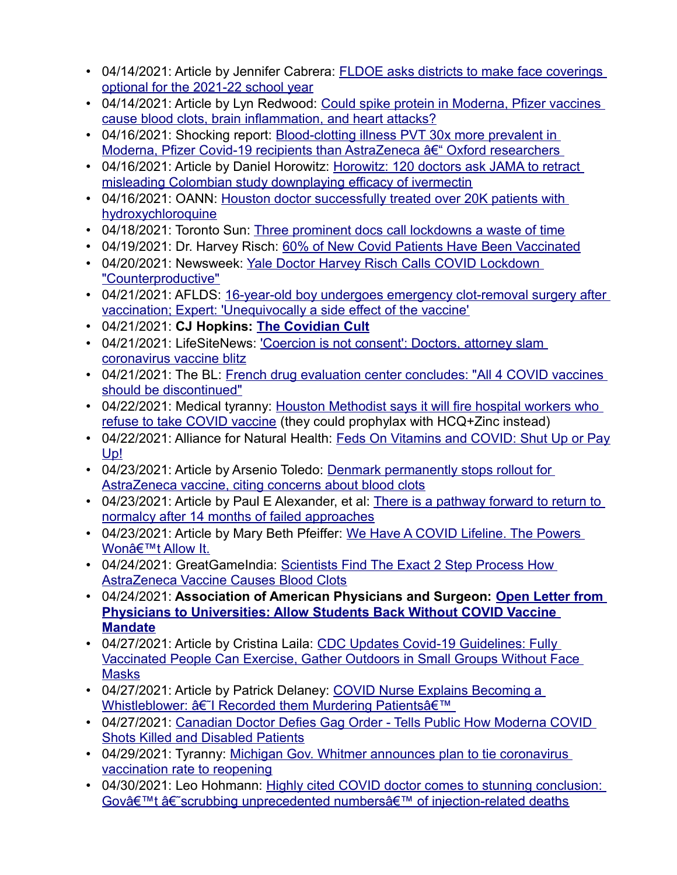- [04/14/2021: Article by Jennifer Cabre](https://alachuachronicle.com/fldoe-asks-districts-to-make-face-coverings-optional-for-the-2021-22-school-year/)ra: FLDOE asks districts to make face coverings optional for the 2021-22 school year
- [04/14/2021: Article by Lyn Redwood: Could spike protein](https://www.lifesitenews.com/opinion/could-spike-in-vaccines-cause-blood-clots-brain-inflammation-and-heart-attacks) in Moderna, Pfizer vaccines cause blood clots, brain infla[mmation, and heart attacks?](https://www.rt.com/news/521313-pvt-bloodclot-mrna-covid-vaccines/)
- 04/16/2021: Shocking report: Blood-clotting illness PVT 30x more prevalent in Moderna, Pfizer Covid-19 recipients than AstraZeneca †Cxford researchers
- [04/16/2021: Article by Daniel Horowitz: Horowitz: 120 doctors as](https://www.theblaze.com/op-ed/horowitz-120-doctors-ask-jama-to-retract-misleading-colombian-study-downplaying-efficacy-of-ivermectin)k JAMA to retract misleading Colombi[an study downplaying efficacy of ivermectin](https://rumble.com/vfqkcp-houston-doctor-successfully-treated-over-20k-patients-with-hydroxychloroqui.html)
- [04/16/2021: OANN:](https://rumble.com/vfqkcp-houston-doctor-successfully-treated-over-20k-patients-with-hydroxychloroqui.html) Hous[ton doctor successfully treated over 20K patients with](https://torontosun.com/news/local-news/levy-three-prominent-docs-call-lockdowns-a-waste-of-time)  hydroxychloroquine
- 04/18/2021: Toronto Sun: Thre[e prominent docs call lockdowns a waste of time](https://rumble.com/vftpdz-dr.-harvey-risch-60-of-new-covid-patients-have-been-vaccinated.html)
- 04/19/2021: Dr. Harvey [Risch: 60% of New Covid Patients Have Been Vaccinated](https://www.newsweek.com/yale-professor-lockdowns-1585070)
- [04/20/2021: Newswe](https://www.newsweek.com/yale-professor-lockdowns-1585070)[ek: Yale Doctor Harvey Risch Calls COVID Lockdown](https://www.americasfrontlinedoctors.org/frontline-news/16-year-old-boy-undergoes-emergency-clot-removal-surgery-after-vaccination-expert-unequivocally-a-side-effect-of-the-vaccine)  "Counterproductive"
- [04/21/2021: AFLDS: 16-year-old boy undergoes emergency clo](https://www.americasfrontlinedoctors.org/frontline-news/16-year-old-boy-undergoes-emergency-clot-removal-surgery-after-vaccination-expert-unequivocally-a-side-effect-of-the-vaccine)t-removal surgery after vaccination; Expert: 'Uneq[uivocally a side effe](https://consentfactory.org/2021/04/21/the-covidian-cult-part-ii/)ct of the vaccine'
- 04/21/2021: **CJ Hopkins: [The Covidian Cult](https://www.lifesitenews.com/news/coercion-is-not-consent-doctors-attorney-slam-coronavirus-vaccine-blitz)**
- [04/21/2021: LifeSiteNews](https://www.lifesitenews.com/news/coercion-is-not-consent-doctors-attorney-slam-coronavirus-vaccine-blitz)[:](https://thebl.com/politics/french-drug-evaluation-center-concludes-all-4-covid-vaccines-should-be-discontinued.html) '[Coercion is not consent](https://thebl.com/politics/french-drug-evaluation-center-concludes-all-4-covid-vaccines-should-be-discontinued.html)': Doctors, attorney slam coronavirus vaccine blitz
- [04/21/2021: The BL: Fre](https://thebl.com/politics/french-drug-evaluation-center-concludes-all-4-covid-vaccines-should-be-discontinued.html)nch drug evaluation center concludes: "All 4 COVID vaccines should be discontinued"
- [04/22/2021: Medical tyranny: H](https://www.houstonchronicle.com/news/houston-texas/health/article/Houston-Methodist-COVID-vaccine-refusal-fire-16121140.php)ouston Methodist says it will fire hospital workers who refuse to take COVID vaccine (they cou[ld prophylax with HCQ+Zinc instead\)](https://anh-usa.org/feds-on-vitamins-and-covid-shut-up-or-pay-up/)
- [04/2](https://anh-usa.org/feds-on-vitamins-and-covid-shut-up-or-pay-up/)2/2021: Alliance for Natural Healt[h: Feds On Vitamins and COVID: Shut Up or Pay](https://www.naturalnews.com/2021-04-23-denmark-permanently-stops-astrazeneca-coronavirus-vaccine-rollout.html) Up!
- [04/23/2021: Article by Arsenio Toledo: Denmark perman](https://www.naturalnews.com/2021-04-23-denmark-permanently-stops-astrazeneca-coronavirus-vaccine-rollout.html)ently stops rollout for AstraZeneca vaccine, citing concerns about bl[ood clots](https://www.lifesitenews.com/opinion/there-is-a-pathway-forward-to-return-to-normalcy-after-14-months-of-failed-approaches)
- [04/23/2021: Article by Paul E Alexander, et al: T](https://www.lifesitenews.com/opinion/there-is-a-pathway-forward-to-return-to-normalcy-after-14-months-of-failed-approaches)here is a pathway forward to return to normalcy after 14 months of failed appro[aches](https://trialsitenews.com/we-have-a-covid-lifeline-the-powers-wont-allow-it/)
- [04/23/2021: Article](https://trialsitenews.com/we-have-a-covid-lifeline-the-powers-wont-allow-it/) by Mary B[eth Pfeiffer: We Have A COVID Lifeline. The Powers](https://greatgameindia.com/2-step-process-vaccine-blood-clots/)  Won't Allow It.
- [04/24/2021: GreatGameIndia: Scientists F](https://greatgameindia.com/2-step-process-vaccine-blood-clots/)ind The Exact 2 Step Pr[ocess How](https://aapsonline.org/open-letter-from-physicians-to-universities-reverse-covid-vaccine-mandates/)  AstraZeneca Vaccine Causes Blood Clots
- 04/24/2021: **[Association of American Physicians and Surgeon: Open Letter from](https://aapsonline.org/open-letter-from-physicians-to-universities-reverse-covid-vaccine-mandates/)  [Physician](https://aapsonline.org/open-letter-from-physicians-to-universities-reverse-covid-vaccine-mandates/)s to Universities: Allow [Students Back Without COVID Vaccine](https://www.thegatewaypundit.com/2021/04/cdc-updates-covid-19-guidelines-fully-vaccinated-people-can-exercise-gather-outdoors-small-groups-without-face-masks/)  Mandate**
- [04/27/2021: Article by Cristina Laila: CDC Updates Covid-19 Guidelines: Fully](https://www.thegatewaypundit.com/2021/04/cdc-updates-covid-19-guidelines-fully-vaccinated-people-can-exercise-gather-outdoors-small-groups-without-face-masks/)  [Vaccina](https://www.thegatewaypundit.com/2021/04/cdc-updates-covid-19-guidelines-fully-vaccinated-people-can-exercise-gather-outdoors-small-groups-without-face-masks/)ted People Can Exercise, Gath[er Outdoors in Small Groups Without Face](https://humansarefree.com/2021/04/covid-nurse-whistleblower-murdering-patients.html)  Masks
- [04/27/2021: Article by Patrick Delaney: COVID Nurse Explain](https://humansarefree.com/2021/04/covid-nurse-whistleblower-murdering-patients.html)s Becoming a Whistleblower: â€~I Recorded them Murdering Patients'
- [04/27/2021: Canadian Doctor Defie](https://themostbeautifulworld.com/blog/Canadian-doctor)s Gag Order Tells Public How Moderna COVID Shots Killed and Disa[bled Patients](https://www.foxnews.com/us/michigan-gov-gretchen-whitmer-covid-19-vaccine-rate-reopening)
- [04/29/2021: Tyranny: Michiga](https://www.foxnews.com/us/michigan-gov-gretchen-whitmer-covid-19-vaccine-rate-reopening)n Gov. Whitmer announces plan to tie coronavirus vaccination rate to reopening
- [04/30/2021: Leo Hohmann: Highly cited COVID doctor comes to stunning conclu](https://leohohmann.com/2021/04/30/highly-cited-covid-doctor-comes-to-stunning-conclusion-govt-scrubbing-unprecedented-numbers-of-injection-related-deaths/)sion: Gov't †scrubbing unp[recedented numbers' of injection-related deaths](https://www.salk.edu/news-release/the-novel-coronavirus-spike-protein-plays-additional-key-role-in-illness/)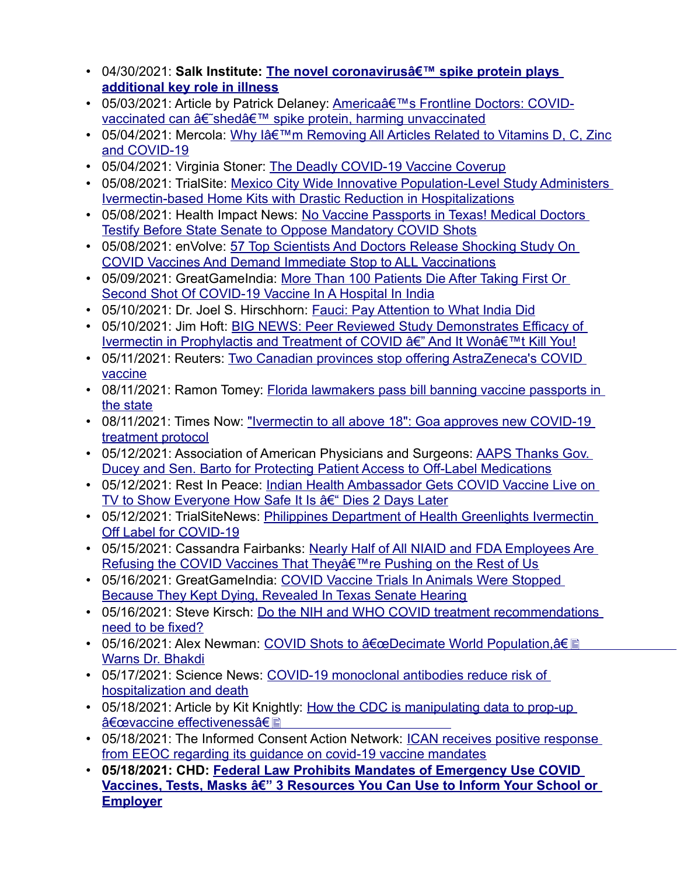- 04/30/2021: [Salk Institute: Th](https://www.salk.edu/news-release/the-novel-coronavirus-spike-protein-plays-additional-key-role-in-illness/)e novel coronavirus a i<sup>™</sup> spike protein plays **additional key role in illness**
- [05/03/2021: Article by Patrick Delaney: America's Frontline Do](https://www.lifesitenews.com/news/americas-frontline-doctors-covid-vaccinated-can-shed-spike-protein-harming-unvaccinated)ctors: COVIDvaccinated can †shedâ€<sup>™</sup> spike protein, harming unvaccinated
- [05/04/2021: Me](https://articles.mercola.com/sites/articles/archive/2021/05/04/removing-articles-related-to-vitamin-d-c-and-zinc.aspx)rcola: Why lâ€<sup>™</sup>m Removing All Articles Related to Vitamins D, C, Zinc and COVID-19
- 05/04/2021: Virginia [Stoner: The Deadly COVID-19 Vaccine Coverup](https://trialsitenews.com/mexico-city-wide-innovative-population-level-study-administers-ivermectin-based-home-kits-with-drastic-reduction-in-hospitalizations/)
- [05/08/2021: TrialSite: Mexico City Wide Innovative Population-Level St](https://trialsitenews.com/mexico-city-wide-innovative-population-level-study-administers-ivermectin-based-home-kits-with-drastic-reduction-in-hospitalizations/)udy Administers Ivermectin-based Home Kits with [Drastic Reduction in Hospitalizations](https://vaccineimpact.com/2021/no-vaccine-passports-in-texas-medical-doctors-testify-before-state-senate-to-oppose-mandatory-covid-shots/)
- [05/08/2021: Health Impact News: No Vaccine Passports in Texas](https://vaccineimpact.com/2021/no-vaccine-passports-in-texas-medical-doctors-testify-before-state-senate-to-oppose-mandatory-covid-shots/)! Medical Doctors Testify Before State S[enate to Oppose Mandatory COVID Shots](https://en-volve.com/2021/05/08/57-top-scientists-and-doctors-release-shocking-study-on-covid-vaccines-and-demand-immediate-stop-to-all-vaccinations/)
- [05/08/2021: enVolve: 57 Top Scientists And Doctors Release Shock](https://en-volve.com/2021/05/08/57-top-scientists-and-doctors-release-shocking-study-on-covid-vaccines-and-demand-immediate-stop-to-all-vaccinations/)ing Study On COVID Vaccines And Demand [Immediate Stop to ALL Vaccinations](https://greatgameindia.com/100-vaccine-deaths-india-hospital/)
- [05/09/2021: GreatGameIndia: More Than 100 Patients Di](https://greatgameindia.com/100-vaccine-deaths-india-hospital/)e After Taking First Or Second Shot Of COVID-19 Vaccine [In A Hospital In India](https://noqreport.com/2021/05/10/fauci-pay-attention-to-what-india-did/)
- 05/10/2021: Dr. Joel [S. Hirschhorn: Fauci: Pay Attention to What India Did](https://www.thegatewaypundit.com/2021/05/big-news-peer-reviewed-study-demonstrates-efficacy-ivermectin-prophylactis-treatment-covid-wont-kill/)
- [05/10/2021: Jim Hoft: BIG NEWS: Peer Reviewed Study Demonstrates Efficacy o](https://www.thegatewaypundit.com/2021/05/big-news-peer-reviewed-study-demonstrates-efficacy-ivermectin-prophylactis-treatment-covid-wont-kill/)f Ivermectin in Prophylactis and Treatment of COVID â€" And It Wonâ€<sup>™†</sup>t Kill You!
- [05/11/20](https://www.reuters.com/business/healthcare-pharmaceuticals/canadas-alberta-province-stops-giving-first-doses-astrazeneca-vaccine-2021-05-11/)21: Reuters: Two C[anadian provinces stop offering AstraZeneca](https://www.naturalnews.com/2021-05-11-florida-lawmakers-bill-total-ban-vaccine-passports.html)'[s COVID](https://www.naturalnews.com/2021-05-11-florida-lawmakers-bill-total-ban-vaccine-passports.html)  vaccine
- [08/11/202](https://www.naturalnews.com/2021-05-11-florida-lawmakers-bill-total-ban-vaccine-passports.html)1: Ramon Tom[ey: Florida lawmakers pass bill banning vaccine passports in](https://www.timesnownews.com/india/article/ivermectin-to-all-above-18-goa-approves-new-covid-19-treatment-protocol/755160)  the state
- [08/11/2021: Times](https://www.timesnownews.com/india/article/ivermectin-to-all-above-18-goa-approves-new-covid-19-treatment-protocol/755160) Now: "Ivermectin to all above 18": Goa approves new COVID-19 treatment protocol
- [05/12/2021: Association of American Physicians and Surgeons: AAPS Thanks](https://aapsonline.org/aaps-thanks-gov-ducey-and-sen-barto-for-protecting-patient-access-to-off-label-medications/) Gov. Ducey and Sen. Barto for P[rotecting Patient Access to Off-Label Medications](https://www.thegatewaypundit.com/2021/05/indian-health-ambassador-gets-covid-vaccine-live-tv-show-everyone-safe-dies-2-days-later/)
- [05/12/2021: Rest In Peace: Indian Health Ambassador Gets](https://www.thegatewaypundit.com/2021/05/indian-health-ambassador-gets-covid-vaccine-live-tv-show-everyone-safe-dies-2-days-later/) COVID Vaccine Live on TV to Show Everyone How Safe It Is †Dies 2 Days Later
- [05/12/2021: TrialSiteNe](https://trialsitenews.com/philippines-department-of-health-greenlights-ivermectin-off-label-for-covid-19/)ws: Philippi[nes Department of Health Greenlights Ivermectin](https://www.thegatewaypundit.com/2021/05/wow-nearly-half-niaid-fda-employees-refusing-covid-vaccine-according-marks-fauci/)  Off Label for COVID-19
- [05/15/2021: Cassandra Fairbanks: Nearly Half of All NIAID and FDA Emplo](https://www.thegatewaypundit.com/2021/05/wow-nearly-half-niaid-fda-employees-refusing-covid-vaccine-according-marks-fauci/)yees Are Refusing the COVID Vaccines [That They're Pushing on the Rest of Us](https://greatgameindia.com/covid-animal-trials-stopped/)
- [05/16/2021: GreatGameIndia: COVID Vaccine Trials In Animals](https://greatgameindia.com/covid-animal-trials-stopped/) Were Stopped Because They Kept Dying[, Revealed In Texas Senate Hearing](https://trialsitenews.com/do-the-nih-and-who-covid-treatment-recommendations-need-to-be-fixed/)
- [05/16/2021: Steve](https://trialsitenews.com/do-the-nih-and-who-covid-treatment-recommendations-need-to-be-fixed/) Kirsch: [Do the NIH and WHO COVID treatment recommendations](https://thenewamerican.com/covid-shots-to-decimate-world-population-warns-dr-bhakdi/)  need to be fixed?
- [05/16/2021: Alex N](https://thenewamerican.com/covid-shots-to-decimate-world-population-warns-dr-bhakdi/)ewman: COVID Shots to  $\hat{a} \in \mathbb{C}$ eDecimate World Population, $\hat{a} \in \mathbb{R}$ Warns Dr. Bhakdi
- [05/17/2021: Science New](https://www.sciencedaily.com/releases/2021/05/210517194742.htm)s: COVI[D-19 monoclonal antibodies reduce risk of](https://off-guardian.org/2021/05/18/how-the-cdc-is-manipulating-data-to-prop-up-vaccine-effectiveness/)  hospitalization and death
- [05/18/2021: Article by Kit Knigh](https://off-guardian.org/2021/05/18/how-the-cdc-is-manipulating-data-to-prop-up-vaccine-effectiveness/)tly: How the CDC is manipulating data to prop-up "vaccine effectivenessâ€
- [05/18/2021: The Informed Consent Action Network: ICAN receives](https://www.icandecide.org/ican_press/ican-receives-positive-response-from-eeoc-regarding-its-guidance-on-covid-19-vaccine-mandates/) positive response from EEOC regard[ing its guidance on covid-19 vaccine mandates](https://childrenshealthdefense.org/defender/resources-federal-law-prohibits-mandates-emergency-use-covid-vaccines-tests-masks/?eType=EmailBlastContent&eId=677fa3a5-ec22-4dc2-89eb-db4c38c6eb0d)
- **[05/18/2021: CHD: Federal Law Prohibits Mandates of Emergency Use COVID](https://childrenshealthdefense.org/defender/resources-federal-law-prohibits-mandates-emergency-use-covid-vaccines-tests-masks/?eType=EmailBlastContent&eId=677fa3a5-ec22-4dc2-89eb-db4c38c6eb0d)  [Vaccines,](https://childrenshealthdefense.org/defender/resources-federal-law-prohibits-mandates-emergency-use-covid-vaccines-tests-masks/?eType=EmailBlastContent&eId=677fa3a5-ec22-4dc2-89eb-db4c38c6eb0d) Tests, Masks â€" 3 Res[ources You Can Use to Inform Your School o](https://www.lifesitenews.com/opinion/from-hesitation-to-rejection-of-covid-vaccines)r Employer**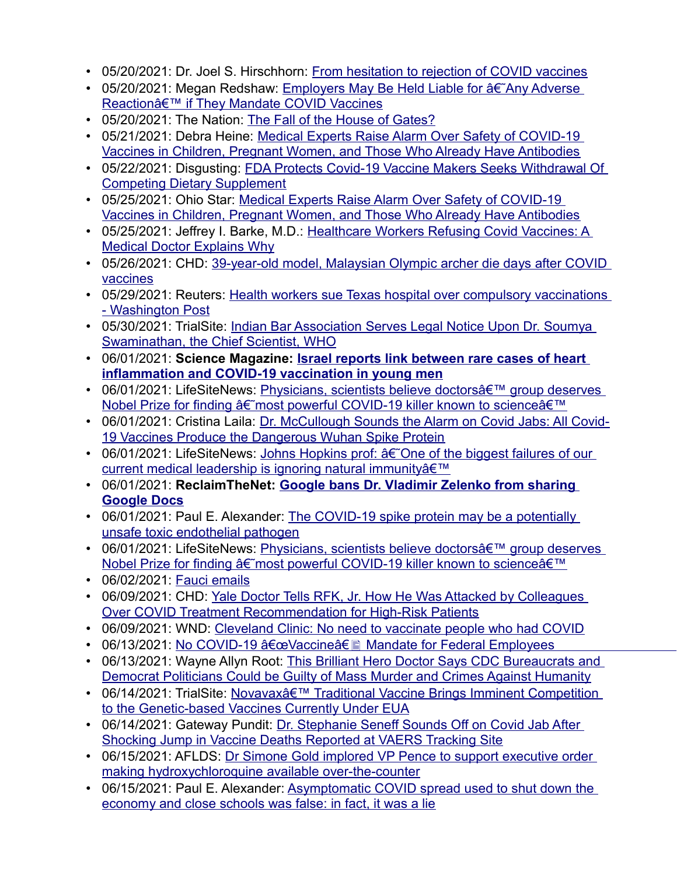- 05/20/2021: Dr. Joel S. Hirsch[horn: From hesitation to rejection of COVID vaccines](https://childrenshealthdefense.org/defender/employers-liable-adverse-reaction-mandate-covid-vaccines/)
- [05/20/2021: Megan Redshaw: Employers May B](https://childrenshealthdefense.org/defender/employers-liable-adverse-reaction-mandate-covid-vaccines/)e Held Liable for  $\hat{a}\hat{\epsilon}$  Any Adverse Reactionâ€<sup>™</sup> if They M[andate COVID Vaccines](https://www.thenation.com/article/society/gates-me-too-divorce/)
- 05/20/2021: The Nation: T[he Fall of the House of Gates?](https://amgreatness.com/2021/05/21/medical-experts-raise-alarm-over-safety-of-covid-19-vaccines-in-children-pregnant-women-and-those-who-already-have-antibodies/)
- [05/21/2021: Debra Heine: Medical Experts Raise Alarm Over Safety of COVID-19](https://amgreatness.com/2021/05/21/medical-experts-raise-alarm-over-safety-of-covid-19-vaccines-in-children-pregnant-women-and-those-who-already-have-antibodies/)  Vaccines in Children, Pr[egnant Women, and Those Who Already Have Antibodies](https://www.lewrockwell.com/2021/05/no_author/fda-protects-covid-19-vaccine-makers-seeks-withdrawal-of-competing-dietary-supplement/)
- [05/22/2021: Disgusting: FDA Pr](https://www.lewrockwell.com/2021/05/no_author/fda-protects-covid-19-vaccine-makers-seeks-withdrawal-of-competing-dietary-supplement/)otects Covid-19 Vaccine Makers Seeks Withdrawal Of Competing Dietary Su[pplement](https://theohiostar.com/2021/05/25/medical-experts-raise-alarm-over-safety-of-covid-19-vaccines-in-children-pregnant-women-and-those-who-already-have-antibodies/)
- 05/25/2021: Ohio Star: Medical Experts Raise Alarm Over Safety of COVID-19 Vaccines in Children, Pregnant W[omen, and Those Who Already Have Antibodies](https://www.jennifermargulis.net/healthcare-workers-refusing-covid-vaccines-a-medical-doctor-explains-why/)
- [05/25/2021: Jeffrey I. Barke, M](https://www.jennifermargulis.net/healthcare-workers-refusing-covid-vaccines-a-medical-doctor-explains-why/).D.: Healthcare Workers Refusing Covid Vaccines: A Medical Doctor Ex[plains Why](https://www.lifesitenews.com/news/39-year-old-model-malaysian-olympic-archer-die-days-after-covid-vaccines?utm_source=gab)
- [05/26/202](https://www.lifesitenews.com/news/39-year-old-model-malaysian-olympic-archer-die-days-after-covid-vaccines?utm_source=gab)1: CHD: 39[-year-old model, Malaysian Olympic archer die days after COVID](https://www.reuters.com/world/us/health-workers-sue-texas-hospital-over-compulsory-vaccinations-washington-post-2021-05-30/)  vaccines
- [05/29/2021: Reute](https://www.reuters.com/world/us/health-workers-sue-texas-hospital-over-compulsory-vaccinations-washington-post-2021-05-30/)rs: [Health workers sue Texas hospital over compulsory vaccinations](https://trialsitenews.com/indian-bar-association-serves-legal-notice-upon-dr-soumya-swaminathan-the-chief-scientist-who/)  - Washington Post
- [05/30/2021: TrialSite: Indian Bar Associa](https://trialsitenews.com/indian-bar-association-serves-legal-notice-upon-dr-soumya-swaminathan-the-chief-scientist-who/)tion Serves Legal Notice Upon Dr. Soumya Swaminathan, the Chief Scientis[t, WHO](https://www.sciencemag.org/news/2021/06/israel-reports-link-between-rare-cases-heart-inflammation-and-covid-19-vaccination)
- 06/01/2021: **[Science Magazine: Israel reports link betwe](https://www.sciencemag.org/news/2021/06/israel-reports-link-between-rare-cases-heart-inflammation-and-covid-19-vaccination)en rare cases of heart inflammation and COVID[-19 vaccination in young men](https://www.lifesitenews.com/news/prominent-physicians-scientists-believe-u.s-doctors-group-deserves-nobel-prize-for-finding-most-powerful-covid-19-killer-known-to-science)**
- 06/01/2021: LifeSiteNews: Physicians, scientists believe doctors a E<sup>TM</sup> aroup deserves Nobel Prize for finding †most powerful COVID-19 killer known to science â€<sup>™</sup>
- [06/01/2021: Cristina Laila: Dr. McCullough Sounds the Alar](https://www.thegatewaypundit.com/2021/06/dr-mccullough-sounds-alarm-covid-jabs-covid-19-vaccines-produce-dangerous-wuhan-spike-protein-audio/)m on Covid Jabs: All Covid-19 Vaccines Produce the [Dangerous Wuhan Spike Protein](https://www.lifesitenews.com/news/johns-hopkins-professor-one-of-the-biggest-failures-of-our-current-medical-leadership-is-ignoring-natural-immunity)
- 06/01/2021: LifeSiteNews: Johns Hopkins prof:  $\hat{a}\hat{\epsilon}$  One of the biggest failures of our current medical leadership is i[gnoring natural immunity'](https://reclaimthenet.org/google-bans-dr-vladimir-zelenko-from-sharing-google-docs/)
- [06/01/2021:](https://reclaimthenet.org/google-bans-dr-vladimir-zelenko-from-sharing-google-docs/) **ReclaimTheNet: [Google bans Dr. Vladimir Zelenko from sharing](https://trialsitenews.com/the-covid-19-spike-protein-may-be-a-potentially-unsafe-toxic-endothelial-pathogen/)  Google Docs**
- [06/01/2021: Paul E. Alexander: Th](https://trialsitenews.com/the-covid-19-spike-protein-may-be-a-potentially-unsafe-toxic-endothelial-pathogen/)e COVID-19 spike protein may be a potentially unsafe toxic endothelial pa[thogen](https://www.lifesitenews.com/news/prominent-physicians-scientists-believe-u.s-doctors-group-deserves-nobel-prize-for-finding-most-powerful-covid-19-killer-known-to-science)
- 06/01/2021: LifeSiteNews: Physicians, scientists believe doctors a E<sup>TM</sup> group deserves Nobel Prize for finding †most powerful COVID-19 killer known to science â€<sup>™</sup>
- 06/02/2021: Fauci [emails](https://childrenshealthdefense.org/defender/rfk-jr-the-defender-podcast-dr-harvey-risch-hydroxychloroquine-covid-treatment/)
- [06/09/2021: CHD: Yale Doctor Tells RFK, Jr. How He Was Attack](https://childrenshealthdefense.org/defender/rfk-jr-the-defender-podcast-dr-harvey-risch-hydroxychloroquine-covid-treatment/)ed by Colleagues Over COVID Treat[ment Recommendation for High-Risk Patients](https://www.wnd.com/2021/06/4922097/)
- 06/09/2021: [WND: Cleveland Clinic: No need to vaccinate people who had CO](https://employercovidpolicy.com/no-covid-19-vaccine-mandate-for-federal-employees/)VID
- 06/13/2021: No COVID-19 "Vaccine†i Mandate for Federal Employees
- [06/13/2021: Wayne Allyn Root: This Brilliant Hero Doctor Says CDC Bureaucrats an](https://www.creators.com/read/wayne-allyn-root/06/21/this-brilliant-hero-doctor-says-cdc-bureaucrats-and-democrat-politicians-could-be-guilty-of-mass-murder-and-crimes-against-humanity)d Democrat Politicians [Could be Guilty of Mass Murder and Crimes Against Humanity](https://trialsitenews.com/breaking-news-novavax-traditional-vaccine-brings-imminent-competition-to-the-genetic-based-vaccines-currently-under-eua/)
- 06/14/2021: TrialSite: Novavaxâ E<sup>TM</sup> Traditional Vaccine Brings Imminent Competition to the Genetic-based Vaccine[s Currently Under EUA](https://www.thegatewaypundit.com/2021/06/worse-disease-dr-stephanie-seneff-sounds-off-covid-jab-shocking-jump-vaccine-deaths-reported-vaers-tracking-site-audio/)
- [06/14/2021: Gateway Pundit: Dr. Stephanie Seneff Sounds Off on Co](https://www.thegatewaypundit.com/2021/06/worse-disease-dr-stephanie-seneff-sounds-off-covid-jab-shocking-jump-vaccine-deaths-reported-vaers-tracking-site-audio/)vid Jab After Shocking Jump in V[accine Deaths Reported at VAERS Tracking Site](https://americasfrontlinedoctors.org/frontlinenews/revealed-dr-simone-gold-implored-vp-pence-to-support-executive-order-making-hydroxychloroquine-available-over-the-counter/)
- [06/15/2021: AFLDS: Dr Simone Gold implored VP Pen](https://americasfrontlinedoctors.org/frontlinenews/revealed-dr-simone-gold-implored-vp-pence-to-support-executive-order-making-hydroxychloroquine-available-over-the-counter/)ce to support executive order making hydroxychloroquine av[ailable over-the-counter](https://trialsitenews.com/asymptomatic-covid-spread-used-to-shut-down-the-economy-and-close-schools-was-false/)
- [06/15/2021: Paul E. Alexander: Asymptomatic COVID spr](https://trialsitenews.com/asymptomatic-covid-spread-used-to-shut-down-the-economy-and-close-schools-was-false/)ead used to shut down the economy and close schools was false: in fact, it was a lie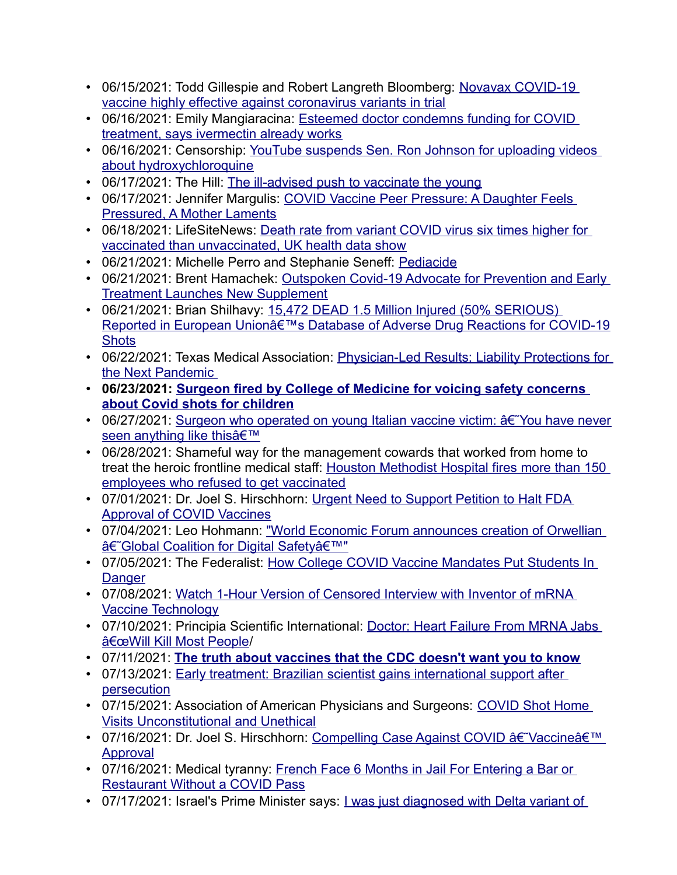- [06/15/2021: Todd Gillespie and Robert Langreth Bloomberg](https://www.crainsdetroit.com/coronavirus/novavax-covid-19-vaccine-highly-effective-against-coronavirus-variants-trial): Novavax COVID-19 vaccine highly effective against c[oronavirus variants in trial](https://www.lifesitenews.com/news/esteemed-doctor-condemns-funding-for-covid-treatment-says-ivermectin-already-works)
- [06/16/2021: Emily Mangiaracina: Esteem](https://www.lifesitenews.com/news/esteemed-doctor-condemns-funding-for-covid-treatment-says-ivermectin-already-works)ed doctor condemns funding for COVID treatment, says ivermect[in already works](https://www.dcclothesline.com/2021/06/16/suppressing-the-cures-youtube-suspends-sen-ron-johnson-for-uploading-videos-about-hydroxychloroquine/)
- [06/16/2021: Censorship: Y](https://www.dcclothesline.com/2021/06/16/suppressing-the-cures-youtube-suspends-sen-ron-johnson-for-uploading-videos-about-hydroxychloroquine/)ouTube suspends Sen. Ron Johnson for uploading videos about hydroxychloro[quine](https://thehill.com/opinion/healthcare/558757-the-ill-advised-push-to-vaccinate-the-young)
- 06/17/2021: The Hill: The ill-ad[vised push to vaccinate the young](https://www.jennifermargulis.net/covid-vaccine-peer-pressure/)
- [06/17/2021: Jennifer Margulis:](https://www.jennifermargulis.net/covid-vaccine-peer-pressure/) COVID Vaccine Peer Pressure: A Daughter Feels Pressured, A Mother Lame[nts](https://www.lifesitenews.com/news/death-rate-from-variant-covid-virus-six-times-higher-for-vaccinated-than-unvaccinated-uk-health-data-show)
- [06/18/2021: LifeSiteNews: Death rate from variant C](https://www.lifesitenews.com/news/death-rate-from-variant-covid-virus-six-times-higher-for-vaccinated-than-unvaccinated-uk-health-data-show)OVID virus six times higher for vaccinated than unvaccinated, UK health data sho[w](https://www.gmoscience.org/pediacide/)
- 06/21/2021: Michelle Perro an[d Stephanie Seneff: Pediacide](https://humanevents.com/2021/06/21/outspoken-covid-19-advocate-for-prevention-and-early-treatment-launches-new-supplement/)
- [06/21/2021: Brent Hamachek: Outspok](https://humanevents.com/2021/06/21/outspoken-covid-19-advocate-for-prevention-and-early-treatment-launches-new-supplement/)en Covid-19 Advocate for Prevention and Early Treatment Launches New S[upplement](https://healthimpactnews.com/2021/15472-dead-1-5-million-injured-50-serious-reported-in-european-unions-database-of-adverse-drug-reactions-for-covid-19-shots/)
- [06/21/2021: Brian Shilhavy: 15,472 DEAD 1.5 Million Injured \(50% SERIOUS\)](https://healthimpactnews.com/2021/15472-dead-1-5-million-injured-50-serious-reported-in-european-unions-database-of-adverse-drug-reactions-for-covid-19-shots/)  [Repor](https://healthimpactnews.com/2021/15472-dead-1-5-million-injured-50-serious-reported-in-european-unions-database-of-adverse-drug-reactions-for-covid-19-shots/)ted in European Unionâ€<sup>™</sup>s Database of Adverse Drug Reactions for COVID-19 **Shots**
- [06/22/2021: Texas M](https://www.texmed.org/TexasMedicineDetail.aspx?id=57187&utm_source=Informz&utm_medium=Email&utm_campaign=TMT&_zs=9WudA1&_zl=H9SL6)edical Association: Physician-Led Results: Liability Protections for the Next Pa[ndemic](https://www.jccf.ca/surgeon-fired-by-college-of-medicine-for-voicing-safety-concerns-about-covid-shots-for-children/)
- **[06/23/2021: Surgeon fired by Co](https://www.jccf.ca/surgeon-fired-by-college-of-medicine-for-voicing-safety-concerns-about-covid-shots-for-children/)llege of Medicine for voicing safety concerns about Covi[d shots for children](https://childrenshealthdefense.org/defender/censored-dark-horse-podcast-bret-weinstein-robert-malone-inventor-mrna-vaccine-technology/)**
- [06/27/2021: Surgeon who o](https://childrenshealthdefense.org/defender/censored-dark-horse-podcast-bret-weinstein-robert-malone-inventor-mrna-vaccine-technology/)perated on young Italian vaccine victim:  $\hat{a}\hat{\epsilon}$  You have never seen anything like this'
- 06/28/2021: Shameful way for the ma[nagement cowards that worked from home to](https://www.naturalnews.com/2021-06-28-houston-methodist-hospital-fires-unvaccinated-employees.html)  [treat the heroic frontline medical staff: Hou](https://www.naturalnews.com/2021-06-28-houston-methodist-hospital-fires-unvaccinated-employees.html)ston Methodist Hospital fires more than 150 employees who refused to get vacc[inated](https://noqreport.com/2021/07/01/urgent-need-to-support-petition-to-halt-fda-approval-of-covid-vaccines/)
- [07/01/2021: Dr. Joel S. Hirsch](https://noqreport.com/2021/07/01/urgent-need-to-support-petition-to-halt-fda-approval-of-covid-vaccines/)[horn: Urgent Need to Support Petition to Halt FDA](https://leohohmann.com/2021/07/01/world-economic-forum-announces-creation-of-orwellian-global-coalition-for-digital-safety/)  Approval of COVID Vaccines
- [07/04/2021: Leo Hohmann: "World Econom](https://leohohmann.com/2021/07/01/world-economic-forum-announces-creation-of-orwellian-global-coalition-for-digital-safety/)ic Forum announces creation of Orwellian †Global Coalition for Digital Safetyâ€<sup>™</sup>"
- [07/05/2](https://thefederalist.com/2021/07/05/how-college-covid-vaccine-mandates-put-students-in-danger/)021: The Federalist: How College COVID Vaccine Mandates Put Students In **Danger**
- [07/08/2021: Watch 1](https://childrenshealthdefense.org/defender/censored-dark-horse-podcast-bret-weinstein-robert-malone-inventor-mrna-vaccine-technology/)-Hour Version of Censored Interview with Inventor of mRNA Vaccine Technology
- [07/10/2021: Principia Scie](https://principia-scientific.com/doctor-heart-failure-from-mrna-jabs-will-kill-most-people/)ntific International: Doctor: Heart Failure From MRNA Jabs "Will Kill Most People/
- 07/11/2021: **[The truth about vaccines that the CDC doesn't want you to know](https://filiperafaeli.substack.com/p/tratamento-precoce-cientista-brasileiro)**
- [07/13/2021:](https://filiperafaeli.substack.com/p/tratamento-precoce-cientista-brasileiro) Early treatment: Brazilian scientist gains international support after persecution
- [07/15/2021: Association of American](https://aapsonline.org/covid-shot-home-visits-unconstitutional-and-unethical/) Physicians and Surgeons: COVID Shot Home Visits Unconstitutional and Unethic[al](https://noqreport.com/2021/07/16/compelling-case-against-covid-vaccine-approval/)
- [07/16/202](https://noqreport.com/2021/07/16/compelling-case-against-covid-vaccine-approval/)1: Dr. Joel S. Hirschhorn: Compelling Case Against COVID †Vaccine â€<sup>™</sup> Approval
- [07/16/2021: Medical tyranny: Frenc](https://summit.news/2021/07/16/french-face-6-months-in-jail-for-entering-a-bar-or-restaurant-without-a-covid-pass/)h Face 6 Months in Jail For Entering a Bar or Restaurant Without a COVID Pass
- 07/17/2021: Israel's Prime Minister says: *Lwas just diagnosed with Delta variant of*